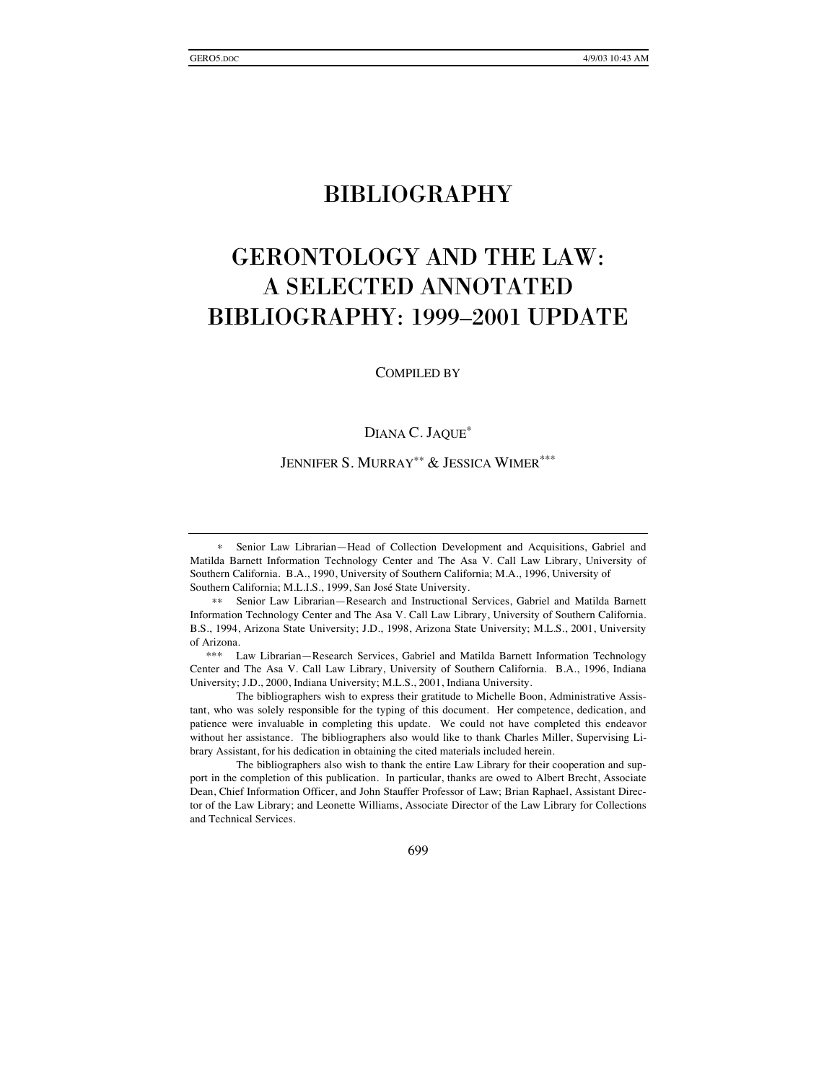# BIBLIOGRAPHY

# GERONTOLOGY AND THE LAW: A SELECTED ANNOTATED BIBLIOGRAPHY: 1999–2001 UPDATE

COMPILED BY

#### DIANA C. JAQUE<sup>∗</sup>

JENNIFER S. MURRAY<sup>\*\*</sup> & JESSICA WIMER<sup>\*\*\*</sup>

 The bibliographers also wish to thank the entire Law Library for their cooperation and support in the completion of this publication. In particular, thanks are owed to Albert Brecht, Associate Dean, Chief Information Officer, and John Stauffer Professor of Law; Brian Raphael, Assistant Director of the Law Library; and Leonette Williams, Associate Director of the Law Library for Collections and Technical Services.

699

<sup>∗</sup> Senior Law Librarian—Head of Collection Development and Acquisitions, Gabriel and Matilda Barnett Information Technology Center and The Asa V. Call Law Library, University of Southern California. B.A., 1990, University of Southern California; M.A., 1996, University of Southern California; M.L.I.S., 1999, San José State University.

<sup>∗∗</sup> Senior Law Librarian—Research and Instructional Services, Gabriel and Matilda Barnett Information Technology Center and The Asa V. Call Law Library, University of Southern California. B.S., 1994, Arizona State University; J.D., 1998, Arizona State University; M.L.S., 2001, University of Arizona.

 <sup>\*\*\*</sup> Law Librarian—Research Services, Gabriel and Matilda Barnett Information Technology Center and The Asa V. Call Law Library, University of Southern California. B.A., 1996, Indiana University; J.D., 2000, Indiana University; M.L.S., 2001, Indiana University.

The bibliographers wish to express their gratitude to Michelle Boon, Administrative Assistant, who was solely responsible for the typing of this document. Her competence, dedication, and patience were invaluable in completing this update. We could not have completed this endeavor without her assistance. The bibliographers also would like to thank Charles Miller, Supervising Library Assistant, for his dedication in obtaining the cited materials included herein.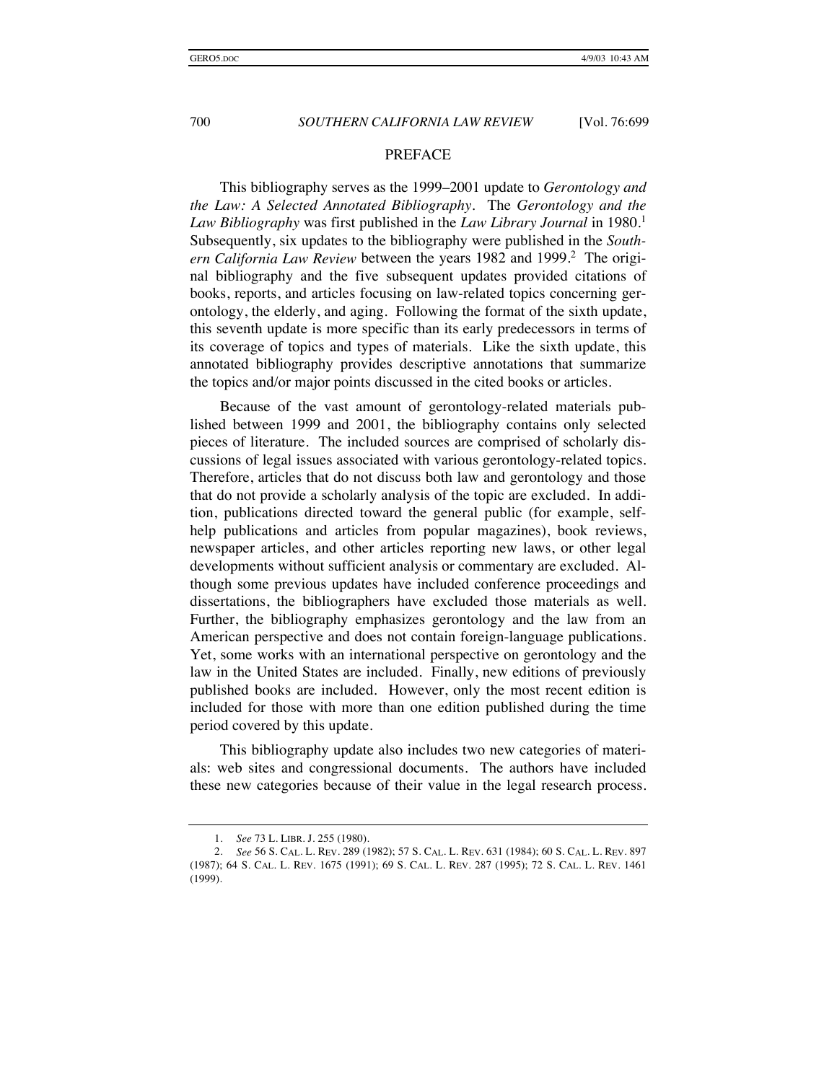#### PREFACE

This bibliography serves as the 1999–2001 update to *Gerontology and the Law: A Selected Annotated Bibliography*. The *Gerontology and the Law Bibliography* was first published in the *Law Library Journal* in 1980.<sup>1</sup> Subsequently, six updates to the bibliography were published in the *South*ern California Law Review between the years 1982 and 1999.<sup>2</sup> The original bibliography and the five subsequent updates provided citations of books, reports, and articles focusing on law-related topics concerning gerontology, the elderly, and aging. Following the format of the sixth update, this seventh update is more specific than its early predecessors in terms of its coverage of topics and types of materials. Like the sixth update, this annotated bibliography provides descriptive annotations that summarize the topics and/or major points discussed in the cited books or articles.

Because of the vast amount of gerontology-related materials published between 1999 and 2001, the bibliography contains only selected pieces of literature. The included sources are comprised of scholarly discussions of legal issues associated with various gerontology-related topics. Therefore, articles that do not discuss both law and gerontology and those that do not provide a scholarly analysis of the topic are excluded. In addition, publications directed toward the general public (for example, selfhelp publications and articles from popular magazines), book reviews, newspaper articles, and other articles reporting new laws, or other legal developments without sufficient analysis or commentary are excluded. Although some previous updates have included conference proceedings and dissertations, the bibliographers have excluded those materials as well. Further, the bibliography emphasizes gerontology and the law from an American perspective and does not contain foreign-language publications. Yet, some works with an international perspective on gerontology and the law in the United States are included. Finally, new editions of previously published books are included. However, only the most recent edition is included for those with more than one edition published during the time period covered by this update.

This bibliography update also includes two new categories of materials: web sites and congressional documents. The authors have included these new categories because of their value in the legal research process.

 <sup>1.</sup> *See* 73 L. LIBR. J. 255 (1980).

 <sup>2.</sup> *See* 56 S. CAL. L. REV. 289 (1982); 57 S. CAL. L. REV. 631 (1984); 60 S. CAL. L. REV. 897 (1987); 64 S. CAL. L. REV. 1675 (1991); 69 S. CAL. L. REV. 287 (1995); 72 S. CAL. L. REV. 1461 (1999).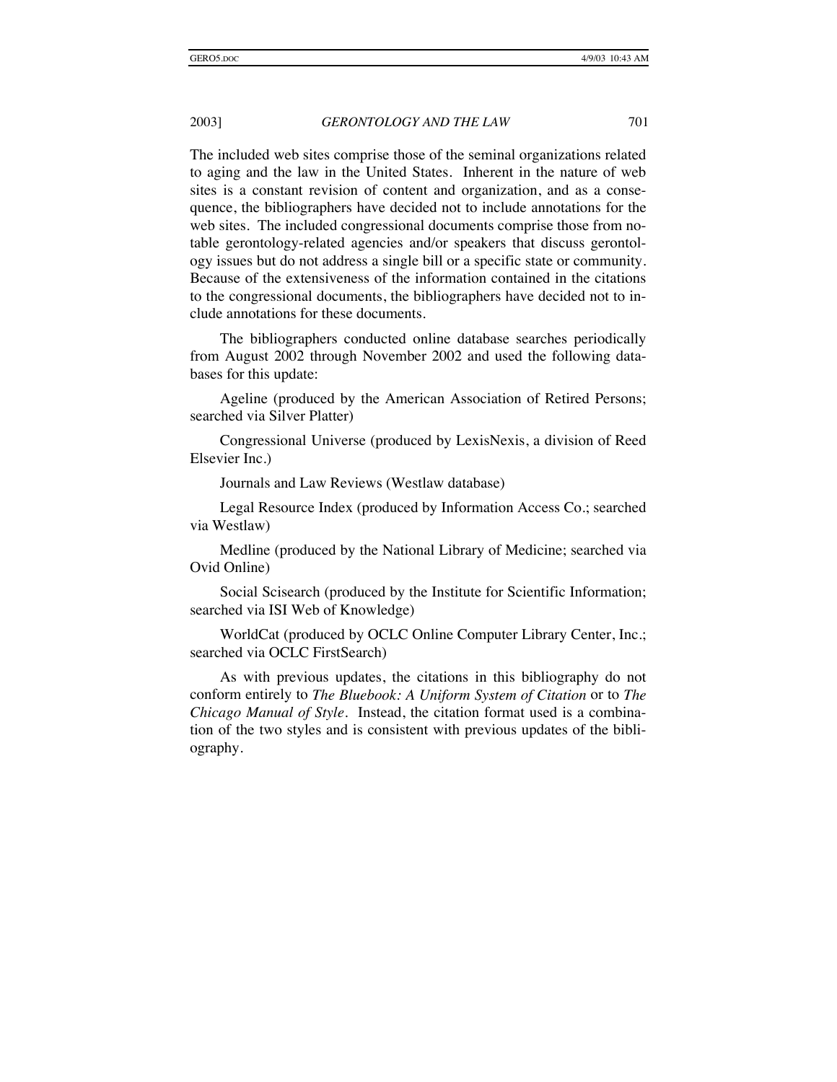The included web sites comprise those of the seminal organizations related to aging and the law in the United States. Inherent in the nature of web sites is a constant revision of content and organization, and as a consequence, the bibliographers have decided not to include annotations for the web sites. The included congressional documents comprise those from notable gerontology-related agencies and/or speakers that discuss gerontology issues but do not address a single bill or a specific state or community. Because of the extensiveness of the information contained in the citations to the congressional documents, the bibliographers have decided not to include annotations for these documents.

The bibliographers conducted online database searches periodically from August 2002 through November 2002 and used the following databases for this update:

Ageline (produced by the American Association of Retired Persons; searched via Silver Platter)

Congressional Universe (produced by LexisNexis, a division of Reed Elsevier Inc.)

Journals and Law Reviews (Westlaw database)

Legal Resource Index (produced by Information Access Co.; searched via Westlaw)

Medline (produced by the National Library of Medicine; searched via Ovid Online)

Social Scisearch (produced by the Institute for Scientific Information; searched via ISI Web of Knowledge)

WorldCat (produced by OCLC Online Computer Library Center, Inc.; searched via OCLC FirstSearch)

As with previous updates, the citations in this bibliography do not conform entirely to *The Bluebook: A Uniform System of Citation* or to *The Chicago Manual of Style*. Instead, the citation format used is a combination of the two styles and is consistent with previous updates of the bibliography.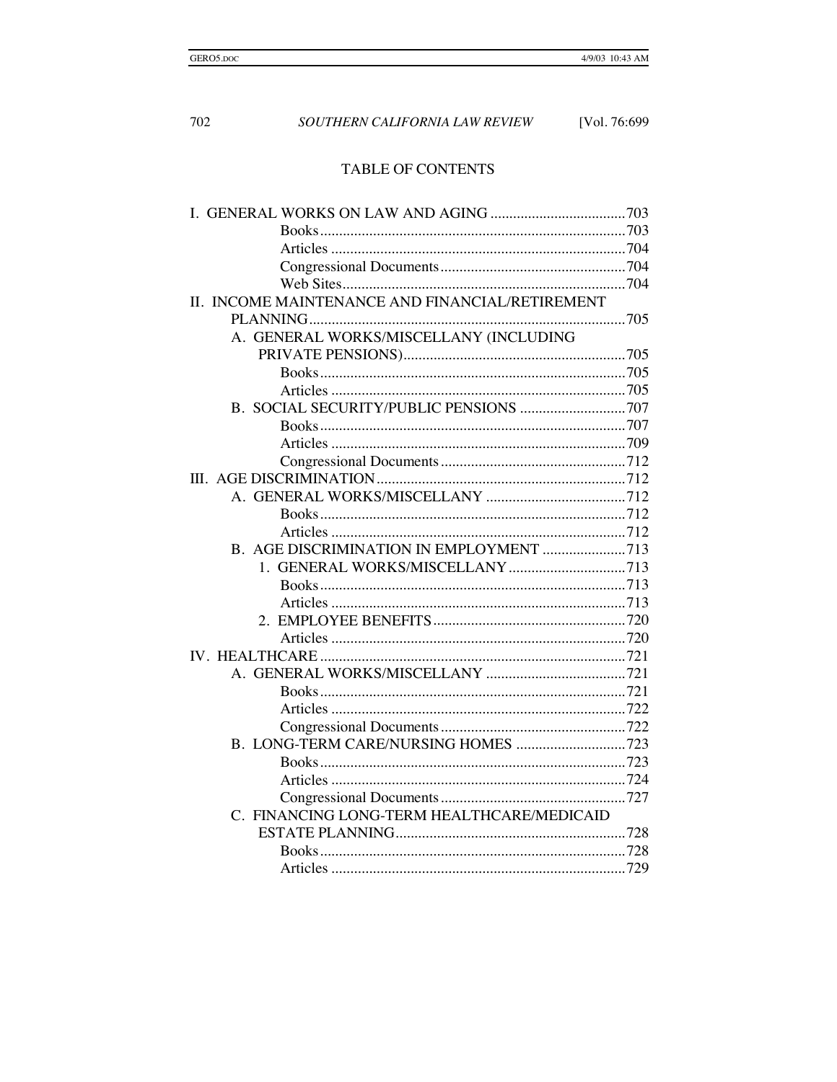# TABLE OF CONTENTS

| II. INCOME MAINTENANCE AND FINANCIAL/RETIREMENT |  |
|-------------------------------------------------|--|
|                                                 |  |
| A. GENERAL WORKS/MISCELLANY (INCLUDING          |  |
|                                                 |  |
|                                                 |  |
|                                                 |  |
|                                                 |  |
|                                                 |  |
|                                                 |  |
|                                                 |  |
|                                                 |  |
|                                                 |  |
|                                                 |  |
|                                                 |  |
|                                                 |  |
|                                                 |  |
|                                                 |  |
|                                                 |  |
|                                                 |  |
|                                                 |  |
|                                                 |  |
|                                                 |  |
|                                                 |  |
|                                                 |  |
|                                                 |  |
|                                                 |  |
|                                                 |  |
|                                                 |  |
|                                                 |  |
| C. FINANCING LONG-TERM HEALTHCARE/MEDICAID      |  |
|                                                 |  |
|                                                 |  |
|                                                 |  |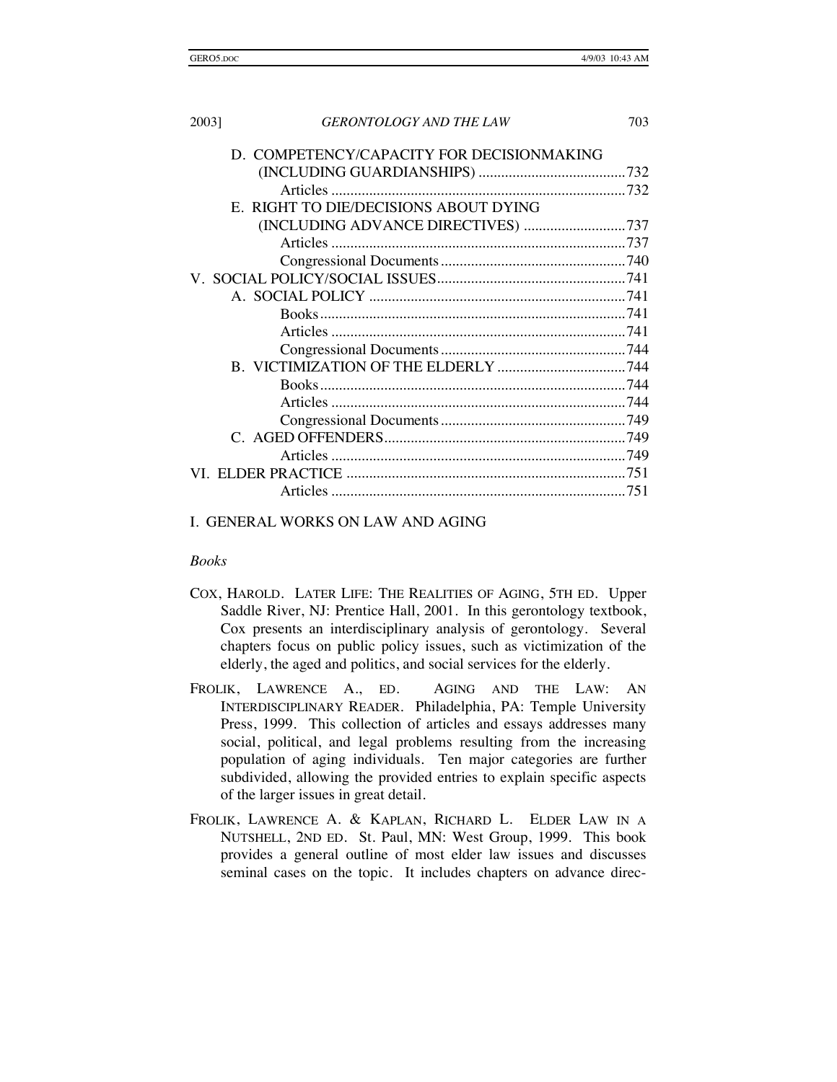| 2003] | <b>GERONTOLOGY AND THE LAW</b>            | 703 |
|-------|-------------------------------------------|-----|
|       | D. COMPETENCY/CAPACITY FOR DECISIONMAKING |     |
|       |                                           |     |
|       |                                           |     |
|       | E. RIGHT TO DIE/DECISIONS ABOUT DYING     |     |
|       | (INCLUDING ADVANCE DIRECTIVES) 737        |     |
|       |                                           |     |
|       |                                           |     |
|       |                                           |     |
|       |                                           |     |
|       |                                           |     |
|       |                                           |     |
|       |                                           |     |
|       |                                           |     |
|       |                                           |     |
|       |                                           |     |
|       |                                           |     |
|       |                                           |     |
|       |                                           |     |
|       |                                           |     |
|       |                                           |     |

#### I. GENERAL WORKS ON LAW AND AGING

#### *Books*

- COX, HAROLD. LATER LIFE: THE REALITIES OF AGING, 5TH ED. Upper Saddle River, NJ: Prentice Hall, 2001. In this gerontology textbook, Cox presents an interdisciplinary analysis of gerontology. Several chapters focus on public policy issues, such as victimization of the elderly, the aged and politics, and social services for the elderly.
- FROLIK, LAWRENCE A., ED. AGING AND THE LAW: AN INTERDISCIPLINARY READER. Philadelphia, PA: Temple University Press, 1999. This collection of articles and essays addresses many social, political, and legal problems resulting from the increasing population of aging individuals. Ten major categories are further subdivided, allowing the provided entries to explain specific aspects of the larger issues in great detail.
- FROLIK, LAWRENCE A. & KAPLAN, RICHARD L. ELDER LAW IN A NUTSHELL, 2ND ED. St. Paul, MN: West Group, 1999. This book provides a general outline of most elder law issues and discusses seminal cases on the topic. It includes chapters on advance direc-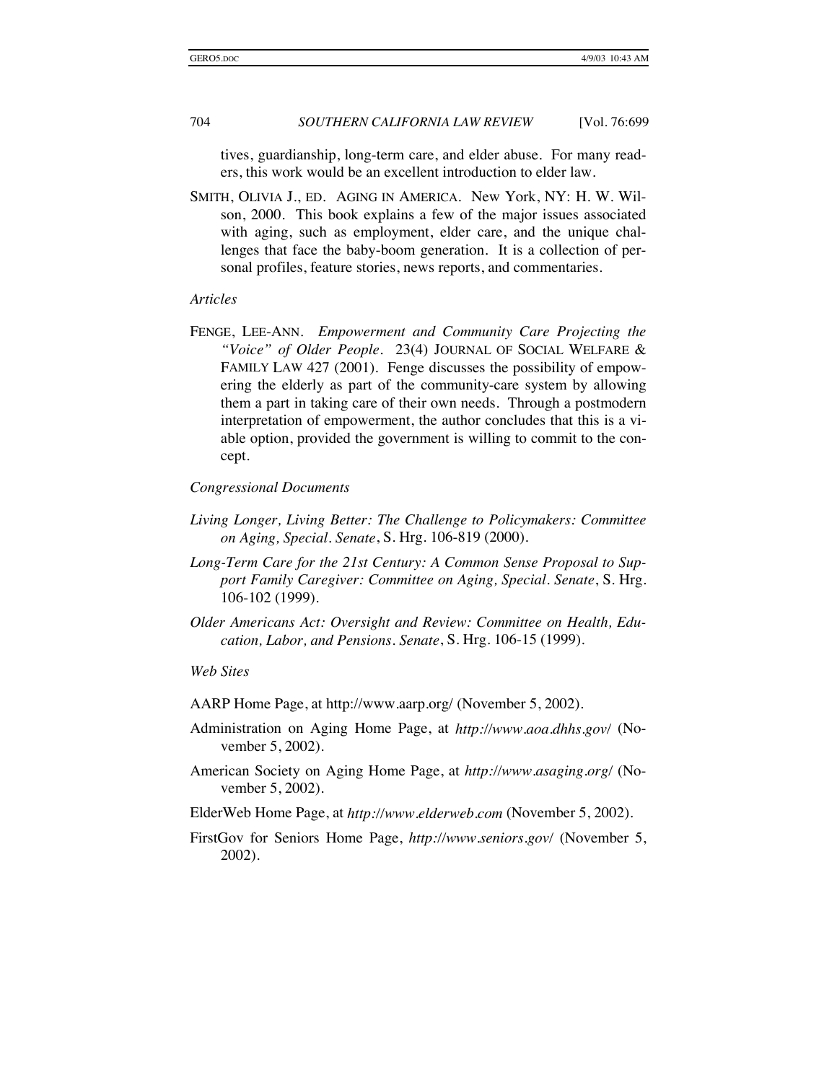tives, guardianship, long-term care, and elder abuse. For many readers, this work would be an excellent introduction to elder law.

SMITH, OLIVIA J., ED. AGING IN AMERICA. New York, NY: H. W. Wilson, 2000. This book explains a few of the major issues associated with aging, such as employment, elder care, and the unique challenges that face the baby-boom generation. It is a collection of personal profiles, feature stories, news reports, and commentaries.

#### *Articles*

FENGE, LEE-ANN. *Empowerment and Community Care Projecting the "Voice" of Older People*. 23(4) JOURNAL OF SOCIAL WELFARE & FAMILY LAW 427 (2001). Fenge discusses the possibility of empowering the elderly as part of the community-care system by allowing them a part in taking care of their own needs. Through a postmodern interpretation of empowerment, the author concludes that this is a viable option, provided the government is willing to commit to the concept.

#### *Congressional Documents*

- *Living Longer, Living Better: The Challenge to Policymakers: Committee on Aging, Special. Senate*, S. Hrg. 106-819 (2000).
- *Long-Term Care for the 21st Century: A Common Sense Proposal to Support Family Caregiver: Committee on Aging, Special. Senate*, S. Hrg. 106-102 (1999).
- *Older Americans Act: Oversight and Review: Committee on Health, Education, Labor, and Pensions. Senate*, S. Hrg. 106-15 (1999).

#### *Web Sites*

AARP Home Page, at http://www.aarp.org/ (November 5, 2002).

- Administration on Aging Home Page, at *http://www.aoa.dhhs.gov/* (November 5, 2002).
- American Society on Aging Home Page, at *http://www.asaging.org/* (November 5, 2002).
- ElderWeb Home Page, at *http://www.elderweb.com* (November 5, 2002).
- FirstGov for Seniors Home Page, *http://www.seniors.gov/* (November 5, 2002).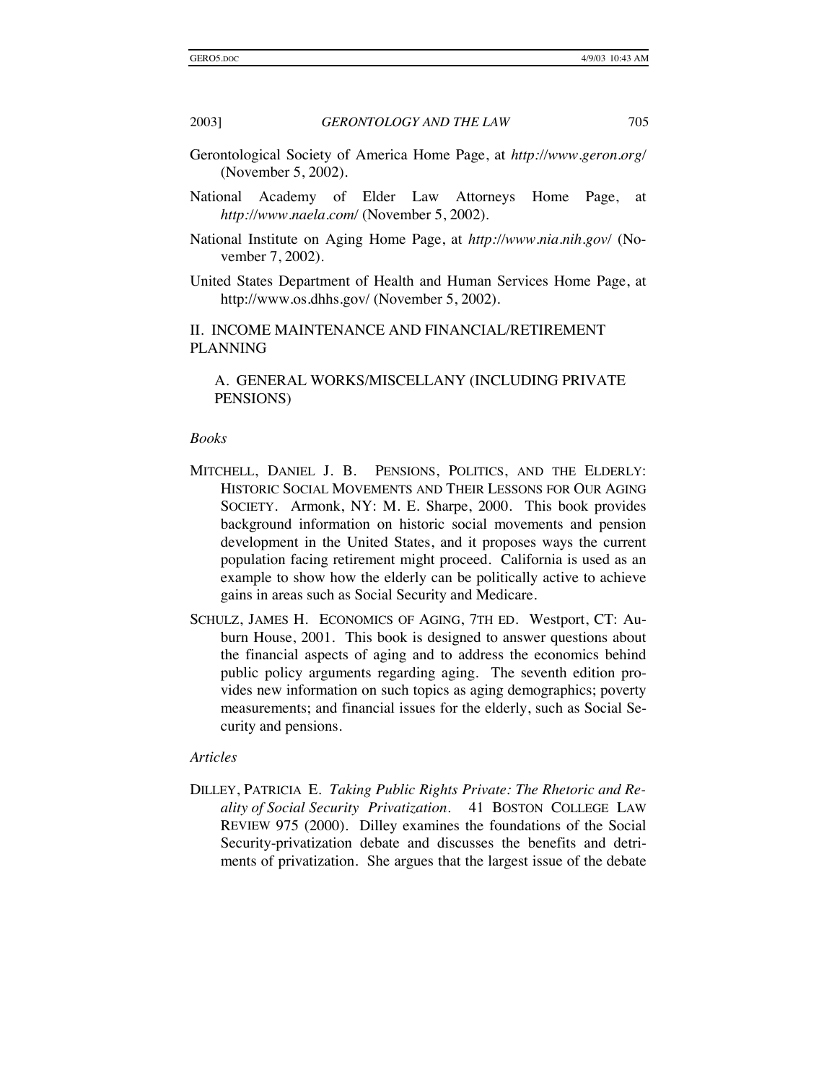- Gerontological Society of America Home Page, at *http://www.geron.org/* (November 5, 2002).
- National Academy of Elder Law Attorneys Home Page, at *http://www.naela.com/* (November 5, 2002).
- National Institute on Aging Home Page, at *http://www.nia.nih.gov/* (November 7, 2002).
- United States Department of Health and Human Services Home Page, at http://www.os.dhhs.gov/ (November 5, 2002).

II. INCOME MAINTENANCE AND FINANCIAL/RETIREMENT PLANNING

#### A. GENERAL WORKS/MISCELLANY (INCLUDING PRIVATE PENSIONS)

#### *Books*

- MITCHELL, DANIEL J. B. PENSIONS, POLITICS, AND THE ELDERLY: HISTORIC SOCIAL MOVEMENTS AND THEIR LESSONS FOR OUR AGING SOCIETY. Armonk, NY: M. E. Sharpe, 2000. This book provides background information on historic social movements and pension development in the United States, and it proposes ways the current population facing retirement might proceed. California is used as an example to show how the elderly can be politically active to achieve gains in areas such as Social Security and Medicare.
- SCHULZ, JAMES H. ECONOMICS OF AGING, 7TH ED. Westport, CT: Auburn House, 2001. This book is designed to answer questions about the financial aspects of aging and to address the economics behind public policy arguments regarding aging. The seventh edition provides new information on such topics as aging demographics; poverty measurements; and financial issues for the elderly, such as Social Security and pensions.

#### *Articles*

DILLEY, PATRICIA E. *Taking Public Rights Private: The Rhetoric and Reality of Social Security Privatization*. 41 BOSTON COLLEGE LAW REVIEW 975 (2000). Dilley examines the foundations of the Social Security-privatization debate and discusses the benefits and detriments of privatization. She argues that the largest issue of the debate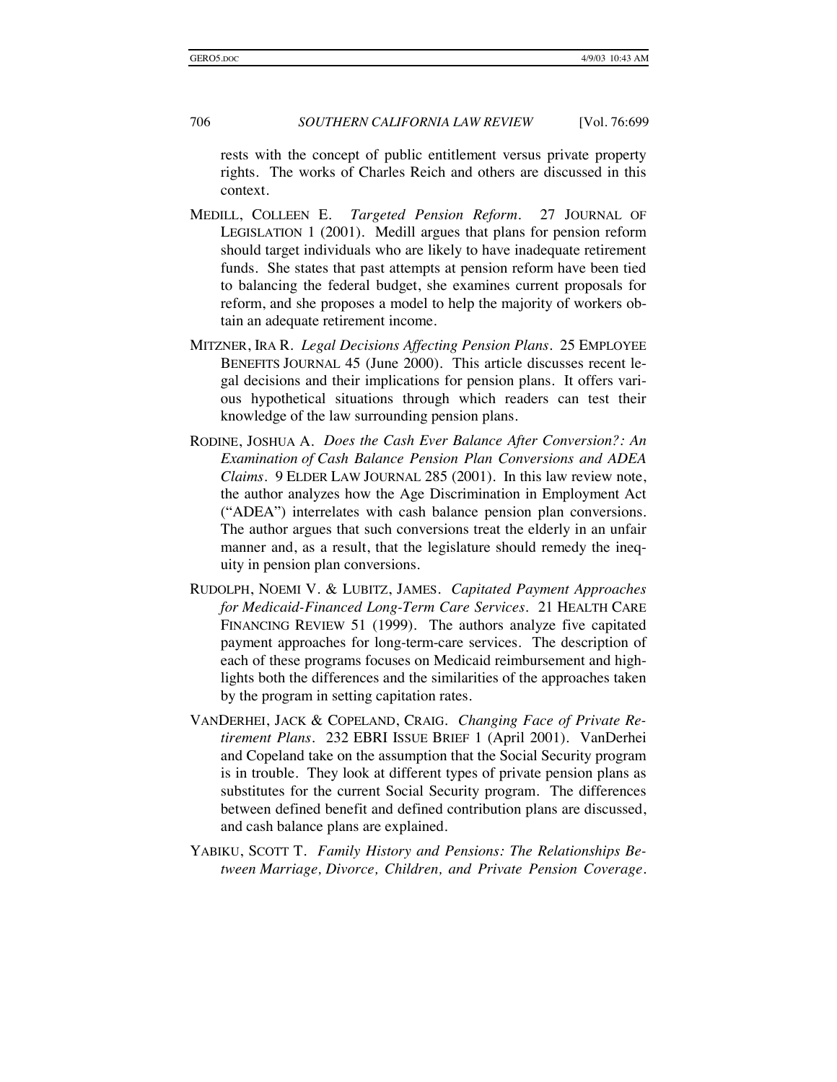rests with the concept of public entitlement versus private property rights. The works of Charles Reich and others are discussed in this context.

- MEDILL, COLLEEN E. *Targeted Pension Reform*. 27 JOURNAL OF LEGISLATION 1 (2001). Medill argues that plans for pension reform should target individuals who are likely to have inadequate retirement funds. She states that past attempts at pension reform have been tied to balancing the federal budget, she examines current proposals for reform, and she proposes a model to help the majority of workers obtain an adequate retirement income.
- MITZNER, IRA R. *Legal Decisions Affecting Pension Plans*. 25 EMPLOYEE BENEFITS JOURNAL 45 (June 2000). This article discusses recent legal decisions and their implications for pension plans. It offers various hypothetical situations through which readers can test their knowledge of the law surrounding pension plans.
- RODINE, JOSHUA A. *Does the Cash Ever Balance After Conversion?: An Examination of Cash Balance Pension Plan Conversions and ADEA Claims*. 9 ELDER LAW JOURNAL 285 (2001). In this law review note, the author analyzes how the Age Discrimination in Employment Act ("ADEA") interrelates with cash balance pension plan conversions. The author argues that such conversions treat the elderly in an unfair manner and, as a result, that the legislature should remedy the inequity in pension plan conversions.
- RUDOLPH, NOEMI V. & LUBITZ, JAMES. *Capitated Payment Approaches for Medicaid- Financed Long-Term Care Services*. 21 HEALTH CARE FINANCING REVIEW 51 (1999). The authors analyze five capitated payment approaches for long-term-care services. The description of each of these programs focuses on Medicaid reimbursement and highlights both the differences and the similarities of the approaches taken by the program in setting capitation rates.
- VANDERHEI, JACK & COPELAND, CRAIG. *Changing Face of Private Retirement Plans*. 232 EBRI ISSUE BRIEF 1 (April 2001). VanDerhei and Copeland take on the assumption that the Social Security program is in trouble. They look at different types of private pension plans as substitutes for the current Social Security program. The differences between defined benefit and defined contribution plans are discussed, and cash balance plans are explained.
- YABIKU, SCOTT T. *Family History and Pensions: The Relationships Between Marriage, Divorce, Children, and Private Pension Coverage*.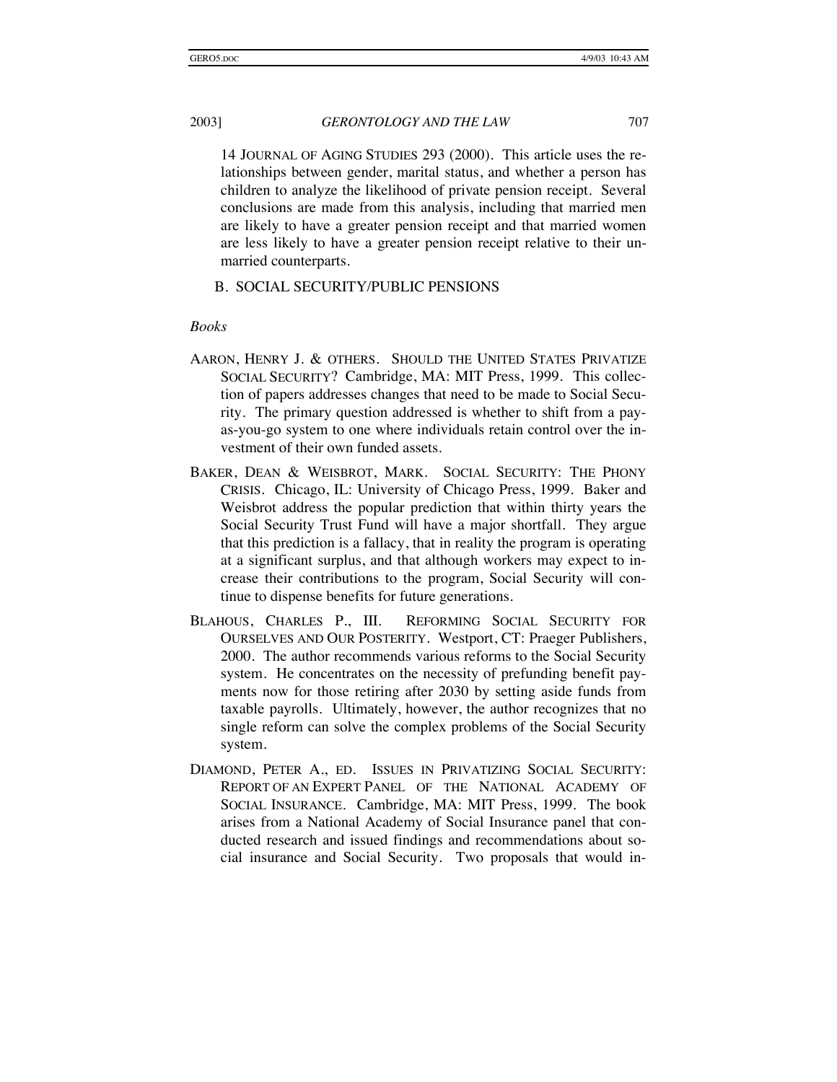14 JOURNAL OF AGING STUDIES 293 (2000). This article uses the relationships between gender, marital status, and whether a person has children to analyze the likelihood of private pension receipt. Several conclusions are made from this analysis, including that married men are likely to have a greater pension receipt and that married women are less likely to have a greater pension receipt relative to their unmarried counterparts.

### B. SOCIAL SECURITY/PUBLIC PENSIONS

#### *Books*

- AARON, HENRY J. & OTHERS. SHOULD THE UNITED STATES PRIVATIZE SOCIAL SECURITY? Cambridge, MA: MIT Press, 1999. This collection of papers addresses changes that need to be made to Social Security. The primary question addressed is whether to shift from a payas-you-go system to one where individuals retain control over the investment of their own funded assets.
- BAKER, DEAN & WEISBROT, MARK. SOCIAL SECURITY: THE PHONY CRISIS. Chicago, IL: University of Chicago Press, 1999. Baker and Weisbrot address the popular prediction that within thirty years the Social Security Trust Fund will have a major shortfall. They argue that this prediction is a fallacy, that in reality the program is operating at a significant surplus, and that although workers may expect to increase their contributions to the program, Social Security will continue to dispense benefits for future generations.
- BLAHOUS, CHARLES P., III. REFORMING SOCIAL SECURITY FOR OURSELVES AND OUR POSTERITY. Westport, CT: Praeger Publishers, 2000. The author recommends various reforms to the Social Security system. He concentrates on the necessity of prefunding benefit payments now for those retiring after 2030 by setting aside funds from taxable payrolls. Ultimately, however, the author recognizes that no single reform can solve the complex problems of the Social Security system.
- DIAMOND, PETER A., ED. ISSUES IN PRIVATIZING SOCIAL SECURITY: REPORT OF AN EXPERT PANEL OF THE NATIONAL ACADEMY OF SOCIAL INSURANCE. Cambridge, MA: MIT Press, 1999. The book arises from a National Academy of Social Insurance panel that conducted research and issued findings and recommendations about social insurance and Social Security. Two proposals that would in-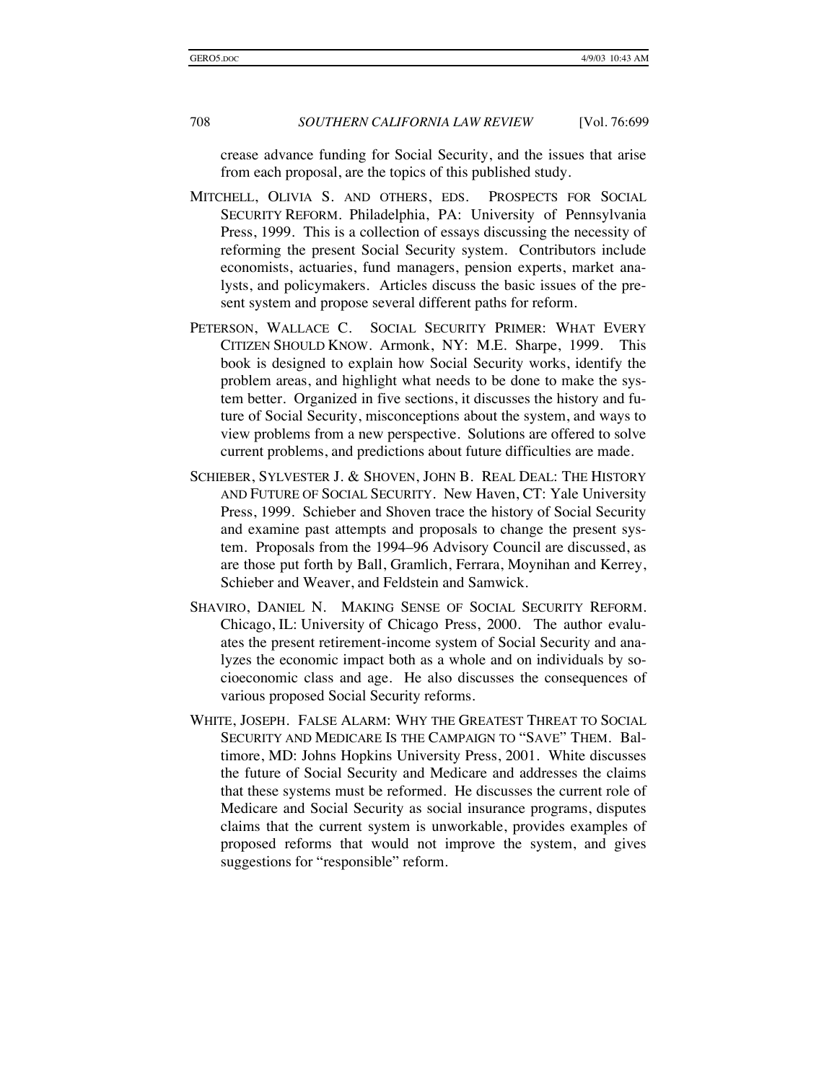crease advance funding for Social Security, and the issues that arise from each proposal, are the topics of this published study.

- MITCHELL, OLIVIA S. AND OTHERS, EDS. PROSPECTS FOR SOCIAL SECURITY REFORM. Philadelphia, PA: University of Pennsylvania Press, 1999. This is a collection of essays discussing the necessity of reforming the present Social Security system. Contributors include economists, actuaries, fund managers, pension experts, market analysts, and policymakers. Articles discuss the basic issues of the present system and propose several different paths for reform.
- PETERSON, WALLACE C. SOCIAL SECURITY PRIMER: WHAT EVERY CITIZEN SHOULD KNOW. Armonk, NY: M.E. Sharpe, 1999. This book is designed to explain how Social Security works, identify the problem areas, and highlight what needs to be done to make the system better. Organized in five sections, it discusses the history and future of Social Security, misconceptions about the system, and ways to view problems from a new perspective. Solutions are offered to solve current problems, and predictions about future difficulties are made.
- SCHIEBER, SYLVESTER J. & SHOVEN, JOHN B. REAL DEAL: THE HISTORY AND FUTURE OF SOCIAL SECURITY. New Haven, CT: Yale University Press, 1999. Schieber and Shoven trace the history of Social Security and examine past attempts and proposals to change the present system. Proposals from the 1994–96 Advisory Council are discussed, as are those put forth by Ball, Gramlich, Ferrara, Moynihan and Kerrey, Schieber and Weaver, and Feldstein and Samwick.
- SHAVIRO, DANIEL N. MAKING SENSE OF SOCIAL SECURITY REFORM. Chicago, IL: University of Chicago Press, 2000. The author evaluates the present retirement-income system of Social Security and analyzes the economic impact both as a whole and on individuals by socioeconomic class and age. He also discusses the consequences of various proposed Social Security reforms.
- WHITE, JOSEPH. FALSE ALARM: WHY THE GREATEST THREAT TO SOCIAL SECURITY AND MEDICARE IS THE CAMPAIGN TO "SAVE" THEM. Baltimore, MD: Johns Hopkins University Press, 2001. White discusses the future of Social Security and Medicare and addresses the claims that these systems must be reformed. He discusses the current role of Medicare and Social Security as social insurance programs, disputes claims that the current system is unworkable, provides examples of proposed reforms that would not improve the system, and gives suggestions for "responsible" reform.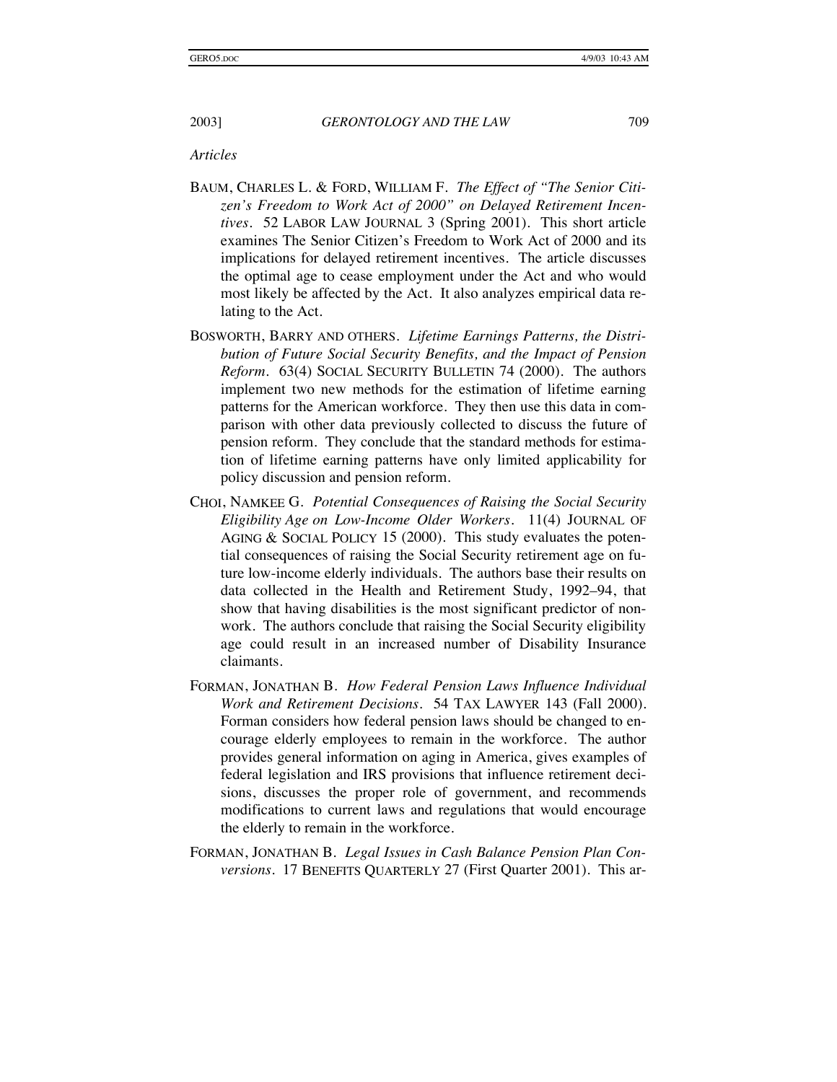*Articles* 

- BAUM, CHARLES L. & FORD, WILLIAM F. *The Effect of "The Senior Citizen's Freedom to Work Act of 2000" on Delayed Retirement Incentives*. 52 LABOR LAW JOURNAL 3 (Spring 2001). This short article examines The Senior Citizen's Freedom to Work Act of 2000 and its implications for delayed retirement incentives. The article discusses the optimal age to cease employment under the Act and who would most likely be affected by the Act. It also analyzes empirical data relating to the Act.
- BOSWORTH, BARRY AND OTHERS. *Lifetime Earnings Patterns, the Distribution of Future Social Security Benefits, and the Impact of Pension Reform*. 63(4) SOCIAL SECURITY BULLETIN 74 (2000). The authors implement two new methods for the estimation of lifetime earning patterns for the American workforce. They then use this data in comparison with other data previously collected to discuss the future of pension reform. They conclude that the standard methods for estimation of lifetime earning patterns have only limited applicability for policy discussion and pension reform.
- CHOI, NAMKEE G. *Potential Consequences of Raising the Social Security Eligibility Age on Low-Income Older Workers*. 11(4) JOURNAL OF AGING & SOCIAL POLICY 15 (2000). This study evaluates the potential consequences of raising the Social Security retirement age on future low-income elderly individuals. The authors base their results on data collected in the Health and Retirement Study, 1992–94, that show that having disabilities is the most significant predictor of nonwork. The authors conclude that raising the Social Security eligibility age could result in an increased number of Disability Insurance claimants.
- FORMAN, JONATHAN B. *How Federal Pension Laws Influence Individual Work and Retirement Decisions*. 54 TAX LAWYER 143 (Fall 2000). Forman considers how federal pension laws should be changed to encourage elderly employees to remain in the workforce. The author provides general information on aging in America, gives examples of federal legislation and IRS provisions that influence retirement decisions, discusses the proper role of government, and recommends modifications to current laws and regulations that would encourage the elderly to remain in the workforce.
- FORMAN, JONATHAN B. *Legal Issues in Cash Balance Pension Plan Conversions*. 17 BENEFITS QUARTERLY 27 (First Quarter 2001). This ar-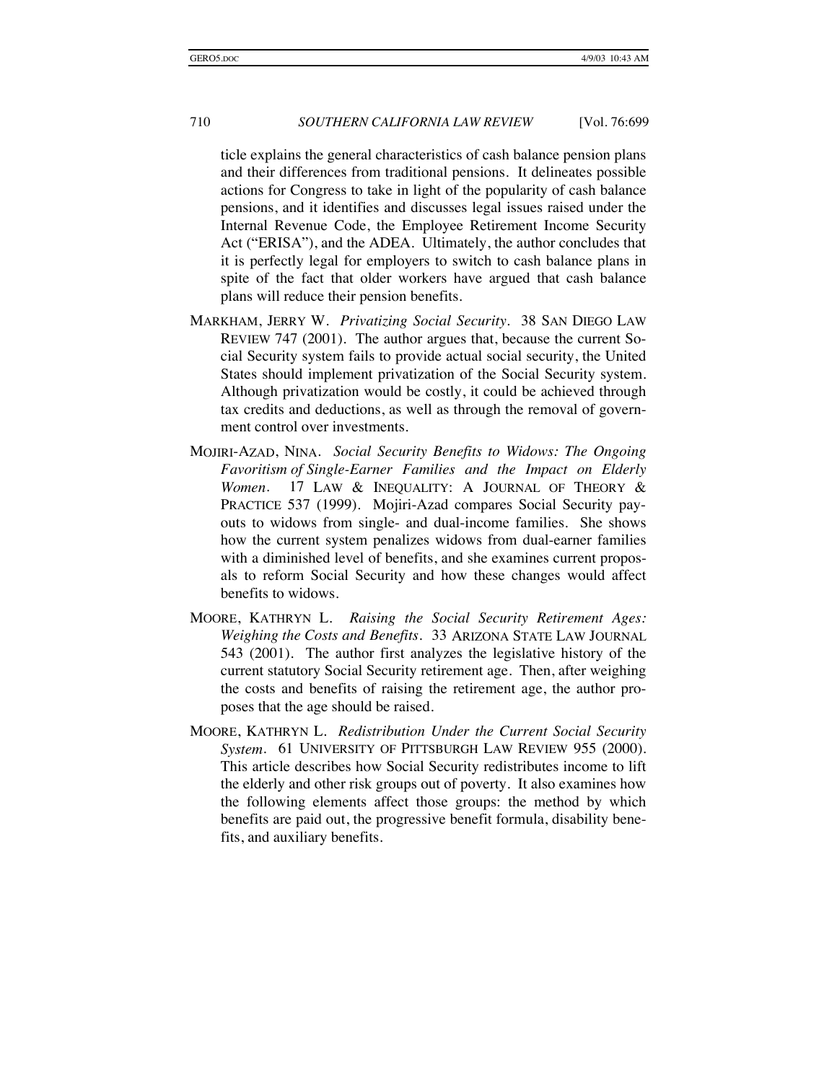ticle explains the general characteristics of cash balance pension plans and their differences from traditional pensions. It delineates possible actions for Congress to take in light of the popularity of cash balance pensions, and it identifies and discusses legal issues raised under the Internal Revenue Code, the Employee Retirement Income Security Act ("ERISA"), and the ADEA. Ultimately, the author concludes that it is perfectly legal for employers to switch to cash balance plans in spite of the fact that older workers have argued that cash balance plans will reduce their pension benefits.

- MARKHAM, JERRY W. *Privatizing Social Security*. 38 SAN DIEGO LAW REVIEW 747 (2001). The author argues that, because the current Social Security system fails to provide actual social security, the United States should implement privatization of the Social Security system. Although privatization would be costly, it could be achieved through tax credits and deductions, as well as through the removal of government control over investments.
- MOJIRI-AZAD, NINA. *Social Security Benefits to Widows: The Ongoing Favoritism of Single-Earner Families and the Impact on Elderly Women*. 17 LAW & INEQUALITY: A JOURNAL OF THEORY & PRACTICE 537 (1999). Mojiri-Azad compares Social Security payouts to widows from single- and dual-income families. She shows how the current system penalizes widows from dual-earner families with a diminished level of benefits, and she examines current proposals to reform Social Security and how these changes would affect benefits to widows.
- MOORE, KATHRYN L. *Raising the Social Security Retirement Ages: Weighing the Costs and Benefits*. 33 ARIZONA STATE LAW JOURNAL 543 (2001). The author first analyzes the legislative history of the current statutory Social Security retirement age. Then, after weighing the costs and benefits of raising the retirement age, the author proposes that the age should be raised.
- MOORE, KATHRYN L*. Redistribution Under the Current Social Security System*. 61 UNIVERSITY OF PITTSBURGH LAW REVIEW 955 (2000). This article describes how Social Security redistributes income to lift the elderly and other risk groups out of poverty. It also examines how the following elements affect those groups: the method by which benefits are paid out, the progressive benefit formula, disability benefits, and auxiliary benefits.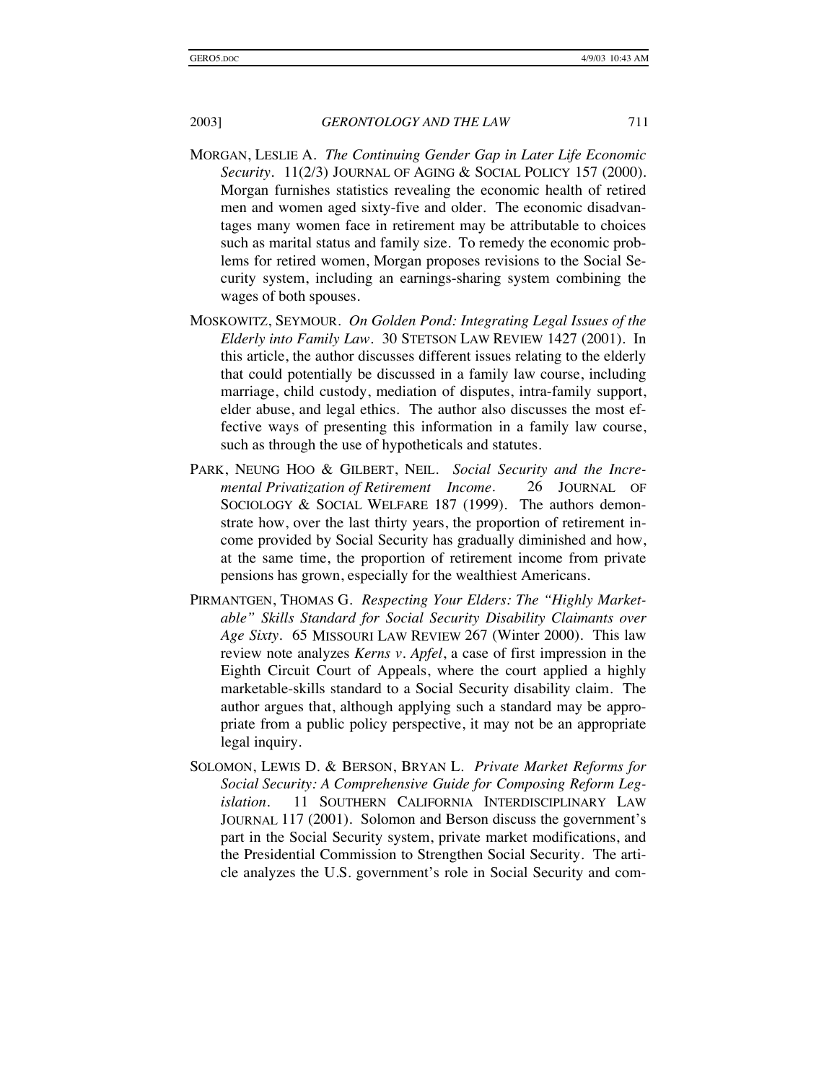- MORGAN, LESLIE A. *The Continuing Gender Gap in Later Life Economic Security*. 11(2/3) JOURNAL OF AGING & SOCIAL POLICY 157 (2000). Morgan furnishes statistics revealing the economic health of retired men and women aged sixty-five and older. The economic disadvantages many women face in retirement may be attributable to choices such as marital status and family size. To remedy the economic problems for retired women, Morgan proposes revisions to the Social Security system, including an earnings-sharing system combining the wages of both spouses.
- MOSKOWITZ, SEYMOUR. *On Golden Pond: Integrating Legal Issues of the Elderly into Family Law*. 30 STETSON LAW REVIEW 1427 (2001). In this article, the author discusses different issues relating to the elderly that could potentially be discussed in a family law course, including marriage, child custody, mediation of disputes, intra-family support, elder abuse, and legal ethics. The author also discusses the most effective ways of presenting this information in a family law course, such as through the use of hypotheticals and statutes.
- PARK, NEUNG HOO & GILBERT, NEIL*. Social Security and the Incremental Privatization of Retirement Income*. 26 JOURNAL OF SOCIOLOGY & SOCIAL WELFARE 187 (1999). The authors demonstrate how, over the last thirty years, the proportion of retirement income provided by Social Security has gradually diminished and how, at the same time, the proportion of retirement income from private pensions has grown, especially for the wealthiest Americans.
- PIRMANTGEN, THOMAS G. *Respecting Your Elders: The "Highly Marketable" Skills Standard for Social Security Disability Claimants over Age Sixty*. 65 MISSOURI LAW REVIEW 267 (Winter 2000). This law review note analyzes *Kerns v. Apfel*, a case of first impression in the Eighth Circuit Court of Appeals, where the court applied a highly marketable-skills standard to a Social Security disability claim. The author argues that, although applying such a standard may be appropriate from a public policy perspective, it may not be an appropriate legal inquiry.
- SOLOMON, LEWIS D. & BERSON, BRYAN L. *Private Market Reforms for Social Security: A Comprehensive Guide for Composing Reform Legislation*. 11 SOUTHERN CALIFORNIA INTERDISCIPLINARY LAW JOURNAL 117 (2001). Solomon and Berson discuss the government's part in the Social Security system, private market modifications, and the Presidential Commission to Strengthen Social Security. The article analyzes the U.S. government's role in Social Security and com-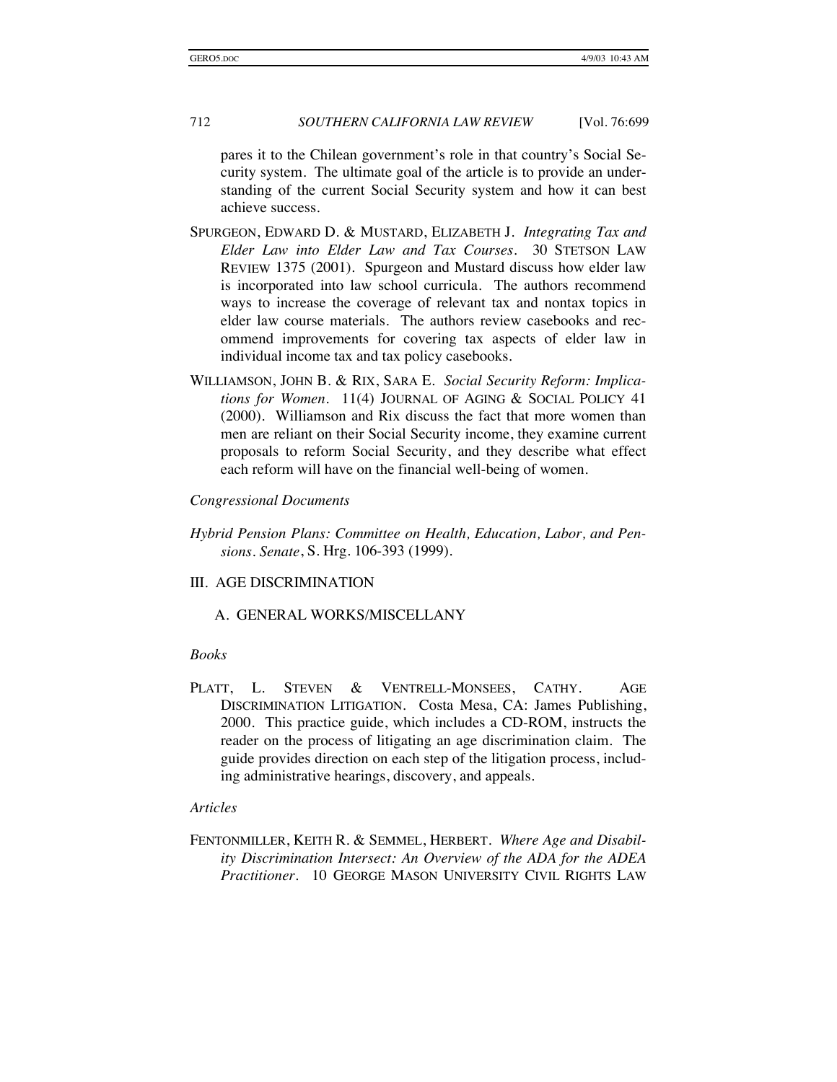pares it to the Chilean government's role in that country's Social Security system. The ultimate goal of the article is to provide an understanding of the current Social Security system and how it can best achieve success.

- SPURGEON, EDWARD D. & MUSTARD, ELIZABETH J. *Integrating Tax and Elder Law into Elder Law and Tax Courses*. 30 STETSON LAW REVIEW 1375 (2001). Spurgeon and Mustard discuss how elder law is incorporated into law school curricula. The authors recommend ways to increase the coverage of relevant tax and nontax topics in elder law course materials. The authors review casebooks and recommend improvements for covering tax aspects of elder law in individual income tax and tax policy casebooks.
- WILLIAMSON, JOHN B. & RIX, SARA E. *Social Security Reform: Implications for Women.* 11(4) JOURNAL OF AGING & SOCIAL POLICY 41 (2000). Williamson and Rix discuss the fact that more women than men are reliant on their Social Security income, they examine current proposals to reform Social Security, and they describe what effect each reform will have on the financial well-being of women.

#### *Congressional Documents*

- *Hybrid Pension Plans: Committee on Health, Education, Labor, and Pensions. Senate*, S. Hrg. 106-393 (1999).
- III. AGE DISCRIMINATION

A. GENERAL WORKS/MISCELLANY

#### *Books*

PLATT, L. STEVEN & VENTRELL-MONSEES, CATHY. AGE DISCRIMINATION LITIGATION. Costa Mesa, CA: James Publishing, 2000. This practice guide, which includes a CD-ROM, instructs the reader on the process of litigating an age discrimination claim. The guide provides direction on each step of the litigation process, including administrative hearings, discovery, and appeals.

#### *Articles*

FENTONMILLER, KEITH R. & SEMMEL, HERBERT. *Where Age and Disability Discrimination Intersect: An Overview of the ADA for the ADEA Practitioner*. 10 GEORGE MASON UNIVERSITY CIVIL RIGHTS LAW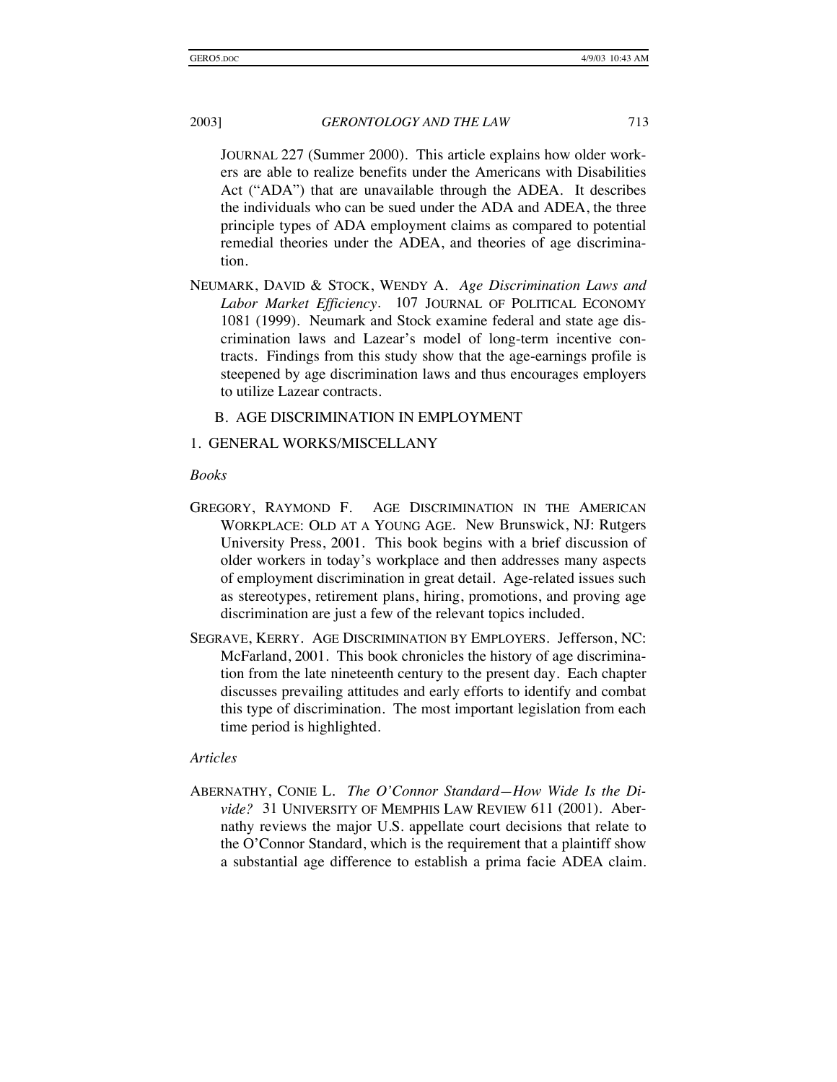JOURNAL 227 (Summer 2000). This article explains how older workers are able to realize benefits under the Americans with Disabilities Act ("ADA") that are unavailable through the ADEA. It describes the individuals who can be sued under the ADA and ADEA, the three principle types of ADA employment claims as compared to potential remedial theories under the ADEA, and theories of age discrimination.

NEUMARK, DAVID & STOCK, WENDY A. *Age Discrimination Laws and Labor Market Efficiency*. 107 JOURNAL OF POLITICAL ECONOMY 1081 (1999). Neumark and Stock examine federal and state age discrimination laws and Lazear's model of long-term incentive contracts. Findings from this study show that the age-earnings profile is steepened by age discrimination laws and thus encourages employers to utilize Lazear contracts.

#### B. AGE DISCRIMINATION IN EMPLOYMENT

#### 1. GENERAL WORKS/MISCELLANY

#### *Books*

- GREGORY, RAYMOND F. AGE DISCRIMINATION IN THE AMERICAN WORKPLACE: OLD AT A YOUNG AGE. New Brunswick, NJ: Rutgers University Press, 2001. This book begins with a brief discussion of older workers in today's workplace and then addresses many aspects of employment discrimination in great detail. Age-related issues such as stereotypes, retirement plans, hiring, promotions, and proving age discrimination are just a few of the relevant topics included.
- SEGRAVE, KERRY. AGE DISCRIMINATION BY EMPLOYERS. Jefferson, NC: McFarland, 2001. This book chronicles the history of age discrimination from the late nineteenth century to the present day. Each chapter discusses prevailing attitudes and early efforts to identify and combat this type of discrimination. The most important legislation from each time period is highlighted.

## *Articles*

ABERNATHY, CONIE L. *The O'Connor Standard—How Wide Is the Divide?* 31 UNIVERSITY OF MEMPHIS LAW REVIEW 611 (2001). Abernathy reviews the major U.S. appellate court decisions that relate to the O'Connor Standard, which is the requirement that a plaintiff show a substantial age difference to establish a prima facie ADEA claim.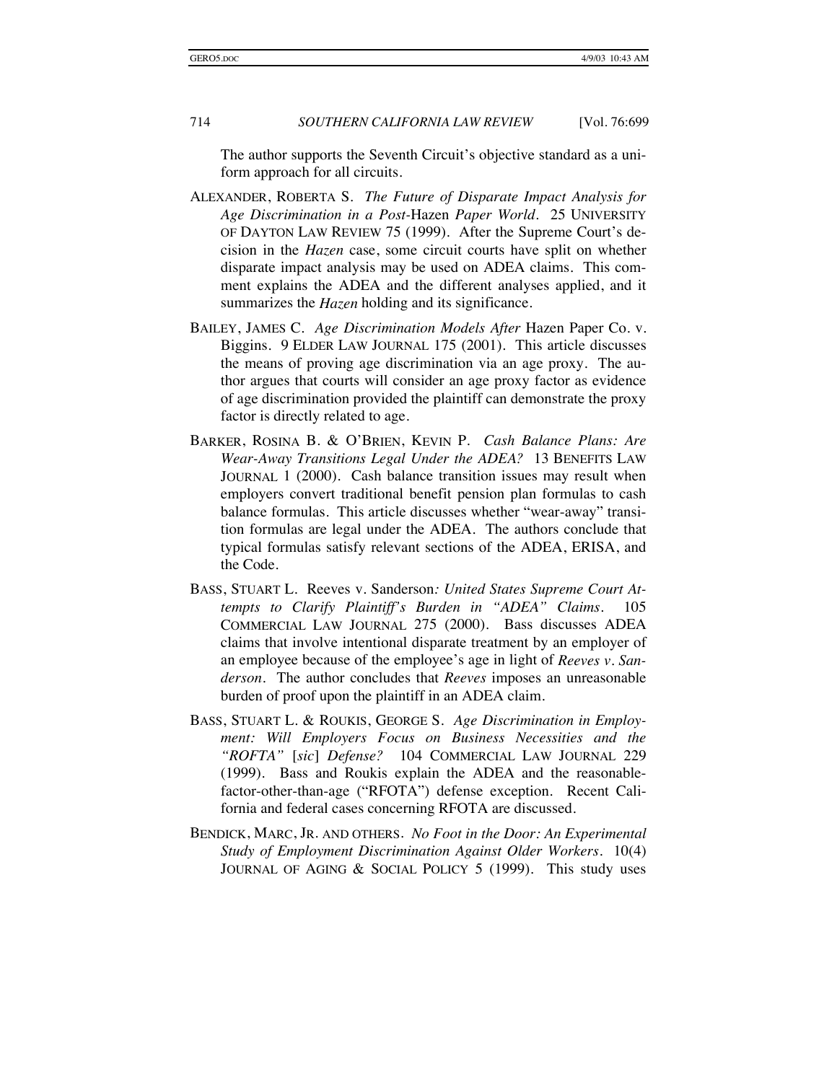The author supports the Seventh Circuit's objective standard as a uniform approach for all circuits.

- ALEXANDER, ROBERTA S. *The Future of Disparate Impact Analysis for Age Discrimination in a Post-*Hazen *Paper World*. 25 UNIVERSITY OF DAYTON LAW REVIEW 75 (1999). After the Supreme Court's decision in the *Hazen* case, some circuit courts have split on whether disparate impact analysis may be used on ADEA claims. This comment explains the ADEA and the different analyses applied, and it summarizes the *Hazen* holding and its significance.
- BAILEY, JAMES C. *Age Discrimination Models After* Hazen Paper Co. v. Biggins*.* 9 ELDER LAW JOURNAL 175 (2001). This article discusses the means of proving age discrimination via an age proxy. The author argues that courts will consider an age proxy factor as evidence of age discrimination provided the plaintiff can demonstrate the proxy factor is directly related to age.
- BARKER, ROSINA B. & O'BRIEN, KEVIN P. *Cash Balance Plans: Are Wear-Away Transitions Legal Under the ADEA?* 13 BENEFITS LAW JOURNAL 1 (2000). Cash balance transition issues may result when employers convert traditional benefit pension plan formulas to cash balance formulas. This article discusses whether "wear-away" transition formulas are legal under the ADEA. The authors conclude that typical formulas satisfy relevant sections of the ADEA, ERISA, and the Code.
- BASS, STUART L.Reeves v. Sanderson*: United States Supreme Court Attempts to Clarify Plaintiff's Burden in "ADEA" Claims*. 105 COMMERCIAL LAW JOURNAL 275 (2000). Bass discusses ADEA claims that involve intentional disparate treatment by an employer of an employee because of the employee's age in light of *Reeves v. Sanderson*. The author concludes that *Reeves* imposes an unreasonable burden of proof upon the plaintiff in an ADEA claim.
- BASS, STUART L. & ROUKIS, GEORGE S. *Age Discrimination in Employment: Will Employers Focus on Business Necessities and the "ROFTA"* [*sic*] *Defense?* 104 COMMERCIAL LAW JOURNAL 229 (1999). Bass and Roukis explain the ADEA and the reasonablefactor-other-than-age ("RFOTA") defense exception. Recent California and federal cases concerning RFOTA are discussed.
- BENDICK, MARC, JR. AND OTHERS. *No Foot in the Door: An Experimental Study of Employment Discrimination Against Older Workers*. 10(4) JOURNAL OF AGING & SOCIAL POLICY 5 (1999). This study uses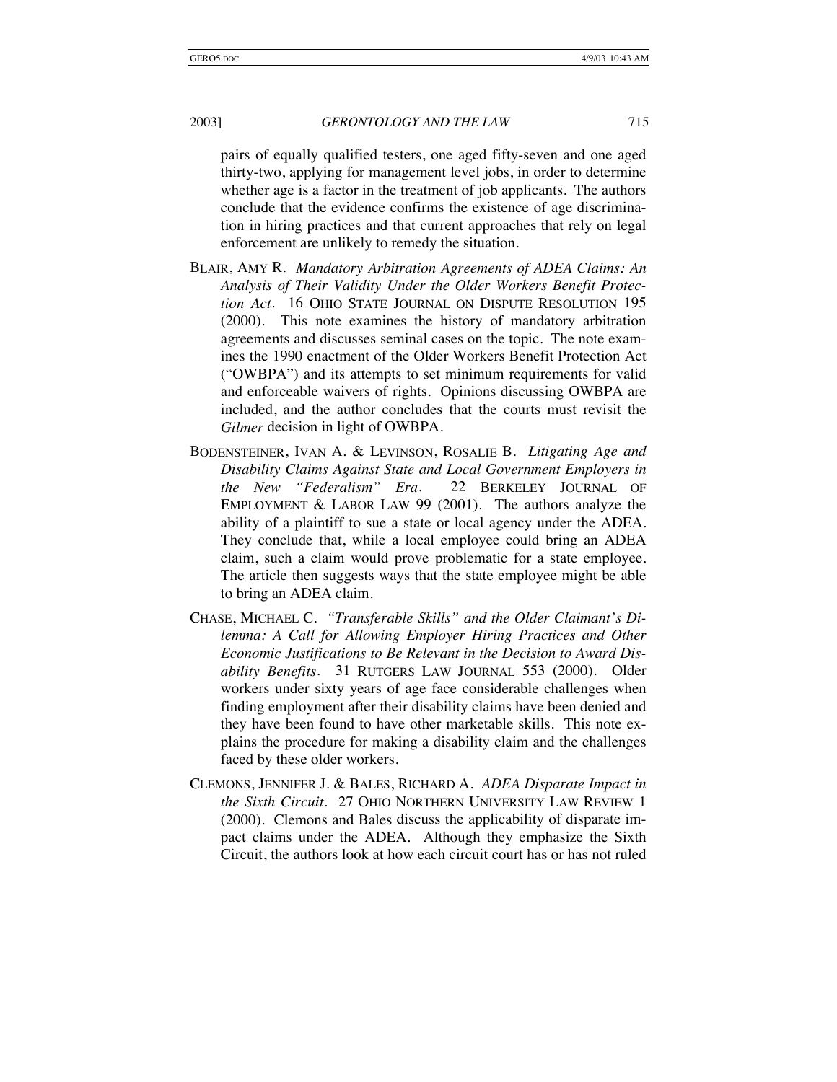pairs of equally qualified testers, one aged fifty-seven and one aged thirty-two, applying for management level jobs, in order to determine whether age is a factor in the treatment of job applicants. The authors conclude that the evidence confirms the existence of age discrimination in hiring practices and that current approaches that rely on legal enforcement are unlikely to remedy the situation.

- BLAIR, AMY R. *Mandatory Arbitration Agreements of ADEA Claims: An Analysis of Their Validity Under the Older Workers Benefit Protection Act*. 16 OHIO STATE JOURNAL ON DISPUTE RESOLUTION 195 (2000). This note examines the history of mandatory arbitration agreements and discusses seminal cases on the topic. The note examines the 1990 enactment of the Older Workers Benefit Protection Act ("OWBPA") and its attempts to set minimum requirements for valid and enforceable waivers of rights. Opinions discussing OWBPA are included, and the author concludes that the courts must revisit the *Gilmer* decision in light of OWBPA.
- BODENSTEINER, IVAN A. & LEVINSON, ROSALIE B. *Litigating Age and Disability Claims Against State and Local Government Employers in the New "Federalism" Era*. 22 BERKELEY JOURNAL OF EMPLOYMENT & LABOR LAW 99 (2001). The authors analyze the ability of a plaintiff to sue a state or local agency under the ADEA. They conclude that, while a local employee could bring an ADEA claim, such a claim would prove problematic for a state employee. The article then suggests ways that the state employee might be able to bring an ADEA claim.
- CHASE, MICHAEL C. *"Transferable Skills" and the Older Claimant's Dilemma: A Call for Allowing Employer Hiring Practices and Other Economic Justifications to Be Relevant in the Decision to Award Disability Benefits*. 31 RUTGERS LAW JOURNAL 553 (2000). Older workers under sixty years of age face considerable challenges when finding employment after their disability claims have been denied and they have been found to have other marketable skills. This note explains the procedure for making a disability claim and the challenges faced by these older workers.
- CLEMONS, JENNIFER J. & BALES, RICHARD A. *ADEA Disparate Impact in the Sixth Circuit*. 27 OHIO NORTHERN UNIVERSITY LAW REVIEW 1 (2000). Clemons and Bales discuss the applicability of disparate impact claims under the ADEA. Although they emphasize the Sixth Circuit, the authors look at how each circuit court has or has not ruled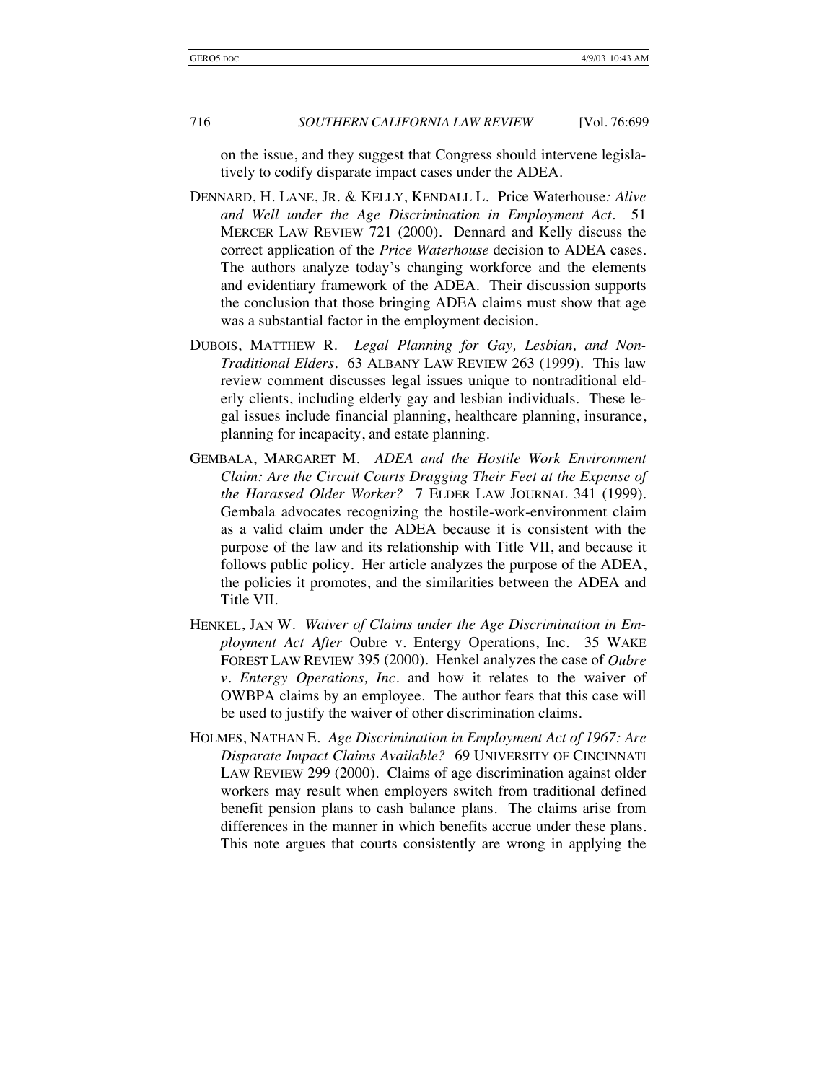on the issue, and they suggest that Congress should intervene legislatively to codify disparate impact cases under the ADEA.

- DENNARD, H. LANE, JR. & KELLY, KENDALL L.Price Waterhouse*: Alive and Well under the Age Discrimination in Employment Act*. 51 MERCER LAW REVIEW 721 (2000). Dennard and Kelly discuss the correct application of the *Price Waterhouse* decision to ADEA cases. The authors analyze today's changing workforce and the elements and evidentiary framework of the ADEA. Their discussion supports the conclusion that those bringing ADEA claims must show that age was a substantial factor in the employment decision.
- DUBOIS, MATTHEW R*. Legal Planning for Gay, Lesbian, and Non-Traditional Elders*. 63 ALBANY LAW REVIEW 263 (1999). This law review comment discusses legal issues unique to nontraditional elderly clients, including elderly gay and lesbian individuals. These legal issues include financial planning, healthcare planning, insurance, planning for incapacity, and estate planning.
- GEMBALA, MARGARET M. *ADEA and the Hostile Work Environment Claim: Are the Circuit Courts Dragging Their Feet at the Expense of the Harassed Older Worker?* 7 ELDER LAW JOURNAL 341 (1999). Gembala advocates recognizing the hostile-work-environment claim as a valid claim under the ADEA because it is consistent with the purpose of the law and its relationship with Title VII, and because it follows public policy. Her article analyzes the purpose of the ADEA, the policies it promotes, and the similarities between the ADEA and Title VII.
- HENKEL, JAN W. *Waiver of Claims under the Age Discrimination in Employment Act After* Oubre v. Entergy Operations, Inc*.* 35 WAKE FOREST LAW REVIEW 395 (2000). Henkel analyzes the case of *Oubre v. Entergy Operations, Inc.* and how it relates to the waiver of OWBPA claims by an employee. The author fears that this case will be used to justify the waiver of other discrimination claims.
- HOLMES, NATHAN E. *Age Discrimination in Employment Act of 1967: Are Disparate Impact Claims Available?* 69 UNIVERSITY OF CINCINNATI LAW REVIEW 299 (2000). Claims of age discrimination against older workers may result when employers switch from traditional defined benefit pension plans to cash balance plans. The claims arise from differences in the manner in which benefits accrue under these plans. This note argues that courts consistently are wrong in applying the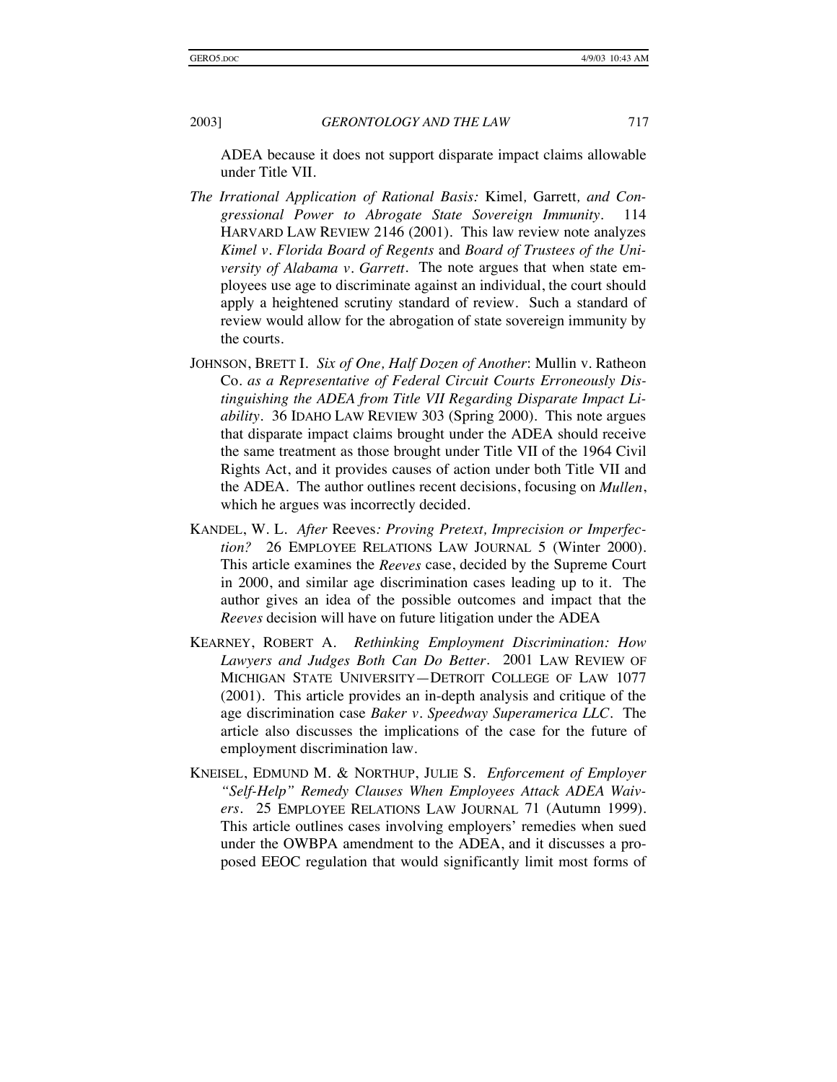ADEA because it does not support disparate impact claims allowable under Title VII.

- *The Irrational Application of Rational Basis:* Kimel*,* Garrett*, and Congressional Power to Abrogate State Sovereign Immunity*. 114 HARVARD LAW REVIEW 2146 (2001). This law review note analyzes *Kimel v. Florida Board of Regents* and *Board of Trustees of the University of Alabama v. Garrett*. The note argues that when state employees use age to discriminate against an individual, the court should apply a heightened scrutiny standard of review. Such a standard of review would allow for the abrogation of state sovereign immunity by the courts.
- JOHNSON, BRETT I. *Six of One, Half Dozen of Another*: Mullin v. Ratheon Co. *as a Representative of Federal Circuit Courts Erroneously Distinguishing the ADEA from Title VII Regarding Disparate Impact Liability*. 36 IDAHO LAW REVIEW 303 (Spring 2000). This note argues that disparate impact claims brought under the ADEA should receive the same treatment as those brought under Title VII of the 1964 Civil Rights Act, and it provides causes of action under both Title VII and the ADEA. The author outlines recent decisions, focusing on *Mullen*, which he argues was incorrectly decided.
- KANDEL, W. L. *After* Reeves*: Proving Pretext, Imprecision or Imperfection?* 26 EMPLOYEE RELATIONS LAW JOURNAL 5 (Winter 2000). This article examines the *Reeves* case, decided by the Supreme Court in 2000, and similar age discrimination cases leading up to it. The author gives an idea of the possible outcomes and impact that the *Reeves* decision will have on future litigation under the ADEA
- KEARNEY, ROBERT A. *Rethinking Employment Discrimination: How Lawyers and Judges Both Can Do Better*. 2001 LAW REVIEW OF MICHIGAN STATE UNIVERSITY—DETROIT COLLEGE OF LAW 1077 (2001). This article provides an in-depth analysis and critique of the age discrimination case *Baker v. Speedway Superamerica LLC*. The article also discusses the implications of the case for the future of employment discrimination law.
- KNEISEL, EDMUND M. & NORTHUP, JULIE S. *Enforcement of Employer "Self-Help" Remedy Clauses When Employees Attack ADEA Waivers*. 25 EMPLOYEE RELATIONS LAW JOURNAL 71 (Autumn 1999). This article outlines cases involving employers' remedies when sued under the OWBPA amendment to the ADEA, and it discusses a proposed EEOC regulation that would significantly limit most forms of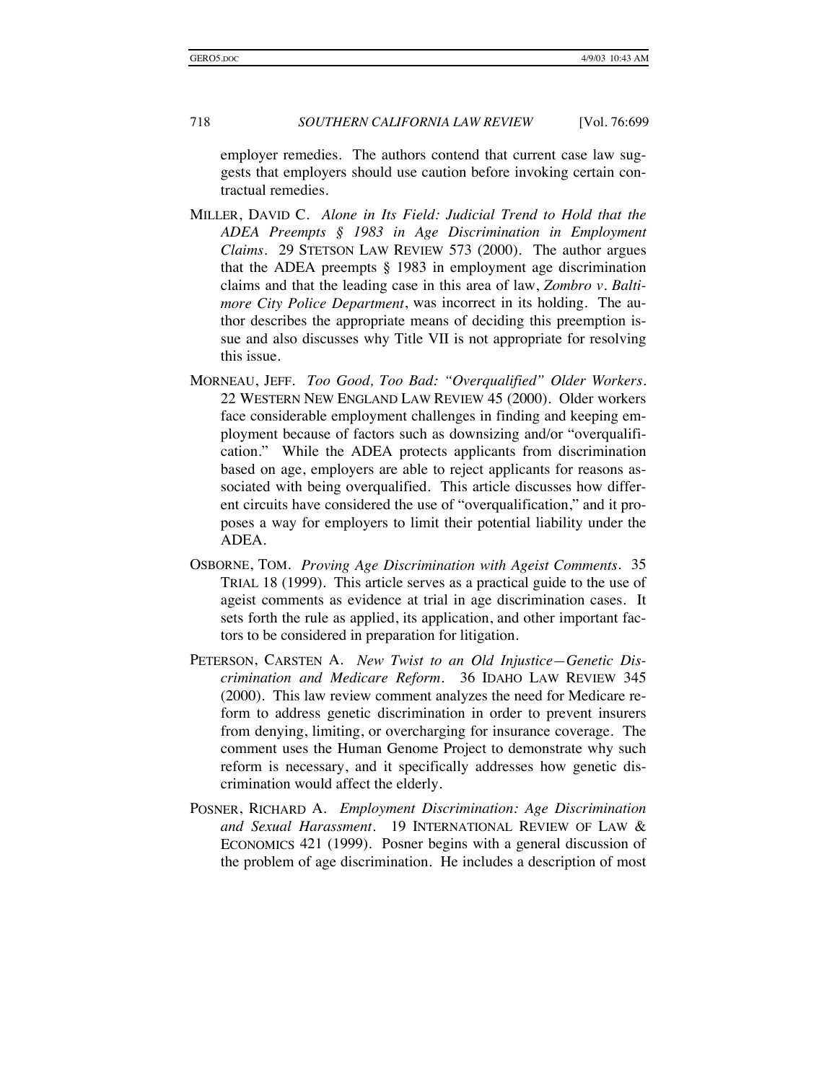employer remedies. The authors contend that current case law suggests that employers should use caution before invoking certain contractual remedies.

- MILLER, DAVID C. *Alone in Its Field: Judicial Trend to Hold that the ADEA Preempts § 1983 in Age Discrimination in Employment Claims*. 29 STETSON LAW REVIEW 573 (2000). The author argues that the ADEA preempts § 1983 in employment age discrimination claims and that the leading case in this area of law, *Zombro v. Baltimore City Police Department*, was incorrect in its holding. The author describes the appropriate means of deciding this preemption issue and also discusses why Title VII is not appropriate for resolving this issue.
- MORNEAU, JEFF. *Too Good, Too Bad: "Overqualified" Older Workers*. 22 WESTERN NEW ENGLAND LAW REVIEW 45 (2000). Older workers face considerable employment challenges in finding and keeping employment because of factors such as downsizing and/or "overqualification." While the ADEA protects applicants from discrimination based on age, employers are able to reject applicants for reasons associated with being overqualified. This article discusses how different circuits have considered the use of "overqualification," and it proposes a way for employers to limit their potential liability under the ADEA.
- OSBORNE, TOM. *Proving Age Discrimination with Ageist Comments*. 35 TRIAL 18 (1999). This article serves as a practical guide to the use of ageist comments as evidence at trial in age discrimination cases. It sets forth the rule as applied, its application, and other important factors to be considered in preparation for litigation.
- PETERSON, CARSTEN A. *New Twist to an Old Injustice—Genetic Discrimination and Medicare Reform*. 36 IDAHO LAW REVIEW 345 (2000). This law review comment analyzes the need for Medicare reform to address genetic discrimination in order to prevent insurers from denying, limiting, or overcharging for insurance coverage. The comment uses the Human Genome Project to demonstrate why such reform is necessary, and it specifically addresses how genetic discrimination would affect the elderly.
- POSNER, RICHARD A. *Employment Discrimination: Age Discrimination and Sexual Harassment*. 19 INTERNATIONAL REVIEW OF LAW & ECONOMICS 421 (1999). Posner begins with a general discussion of the problem of age discrimination. He includes a description of most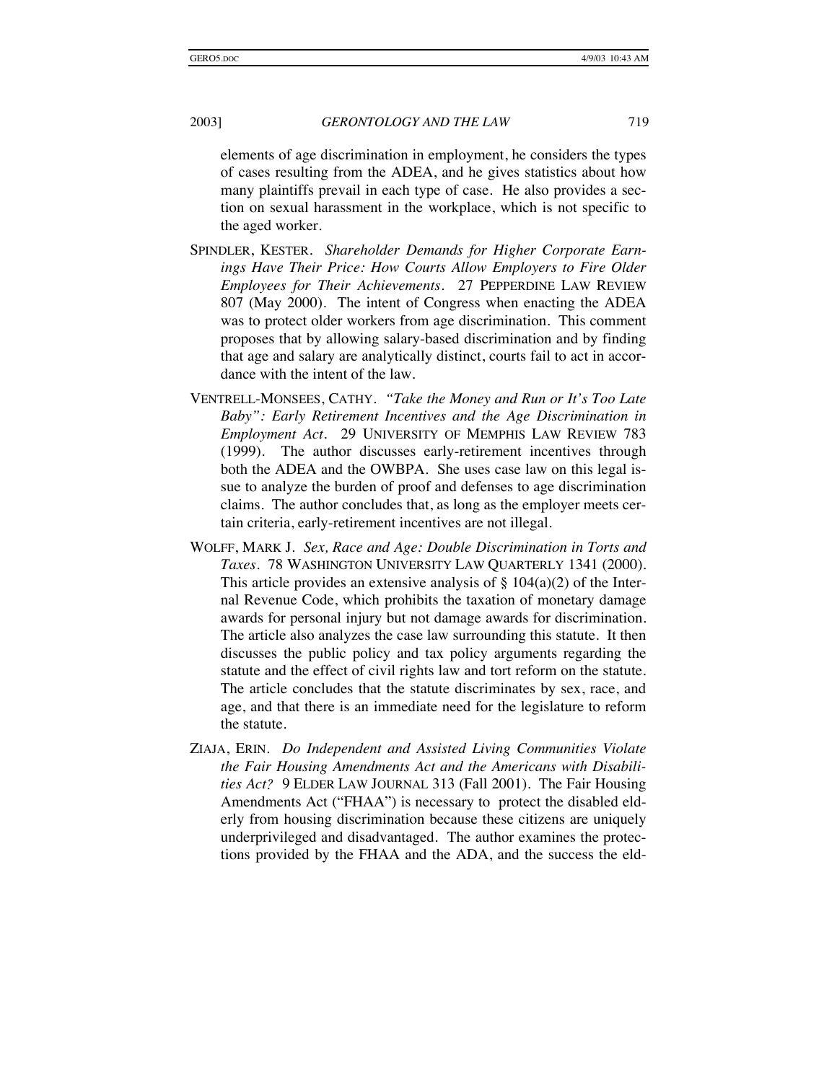elements of age discrimination in employment, he considers the types of cases resulting from the ADEA, and he gives statistics about how many plaintiffs prevail in each type of case. He also provides a section on sexual harassment in the workplace, which is not specific to the aged worker.

- SPINDLER, KESTER. *Shareholder Demands for Higher Corporate Earnings Have Their Price: How Courts Allow Employers to Fire Older Employees for Their Achievements*. 27 PEPPERDINE LAW REVIEW 807 (May 2000). The intent of Congress when enacting the ADEA was to protect older workers from age discrimination. This comment proposes that by allowing salary-based discrimination and by finding that age and salary are analytically distinct, courts fail to act in accordance with the intent of the law.
- VENTRELL-MONSEES, CATHY. *"Take the Money and Run or It's Too Late Baby": Early Retirement Incentives and the Age Discrimination in Employment Act*. 29 UNIVERSITY OF MEMPHIS LAW REVIEW 783 (1999). The author discusses early-retirement incentives through both the ADEA and the OWBPA. She uses case law on this legal issue to analyze the burden of proof and defenses to age discrimination claims. The author concludes that, as long as the employer meets certain criteria, early-retirement incentives are not illegal.
- WOLFF, MARK J. *Sex, Race and Age: Double Discrimination in Torts and Taxes*. 78 WASHINGTON UNIVERSITY LAW QUARTERLY 1341 (2000). This article provides an extensive analysis of  $\S$  104(a)(2) of the Internal Revenue Code, which prohibits the taxation of monetary damage awards for personal injury but not damage awards for discrimination. The article also analyzes the case law surrounding this statute. It then discusses the public policy and tax policy arguments regarding the statute and the effect of civil rights law and tort reform on the statute. The article concludes that the statute discriminates by sex, race, and age, and that there is an immediate need for the legislature to reform the statute.
- ZIAJA, ERIN. *Do Independent and Assisted Living Communities Violate the Fair Housing Amendments Act and the Americans with Disabilities Act?* 9 ELDER LAW JOURNAL 313 (Fall 2001). The Fair Housing Amendments Act ("FHAA") is necessary to protect the disabled elderly from housing discrimination because these citizens are uniquely underprivileged and disadvantaged. The author examines the protections provided by the FHAA and the ADA, and the success the eld-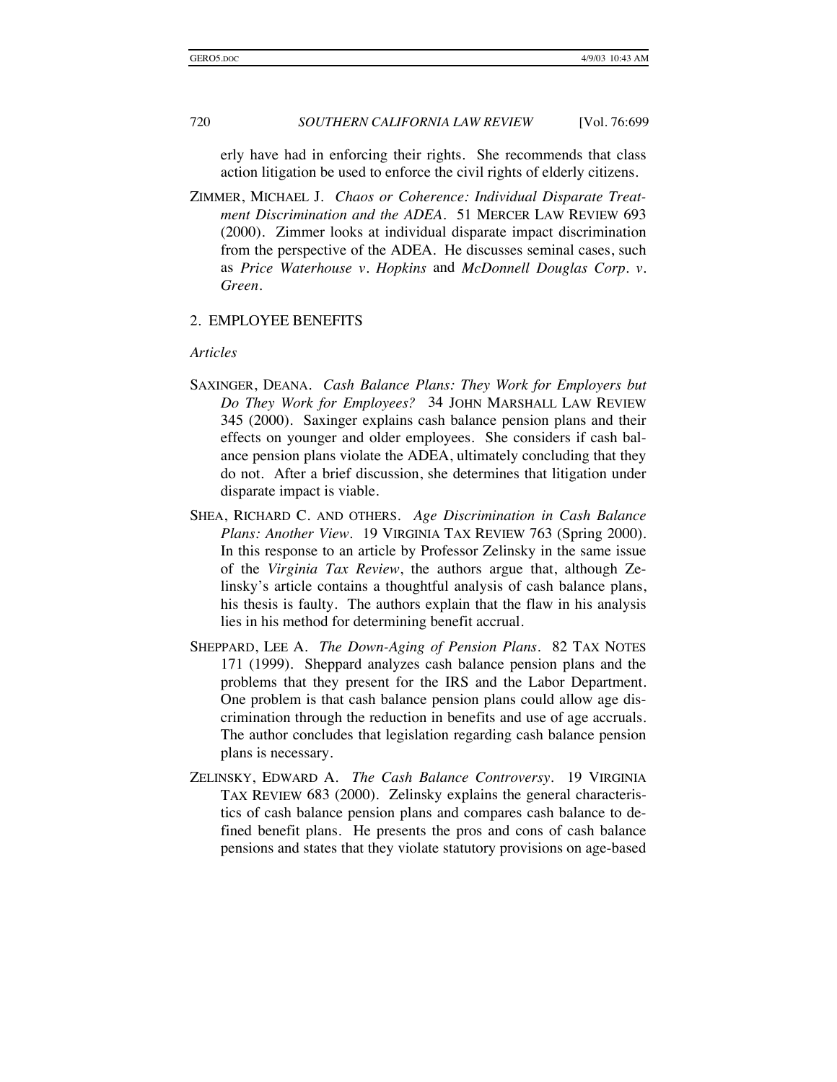erly have had in enforcing their rights. She recommends that class action litigation be used to enforce the civil rights of elderly citizens.

ZIMMER, MICHAEL J. *Chaos or Coherence: Individual Disparate Treatment Discrimination and the ADEA*. 51 MERCER LAW REVIEW 693 (2000). Zimmer looks at individual disparate impact discrimination from the perspective of the ADEA. He discusses seminal cases, such as *Price Waterhouse v. Hopkins* and *McDonnell Douglas Corp. v. Green*.

#### 2. EMPLOYEE BENEFITS

#### *Articles*

- SAXINGER, DEANA. *Cash Balance Plans: They Work for Employers but Do They Work for Employees?* 34 JOHN MARSHALL LAW REVIEW 345 (2000). Saxinger explains cash balance pension plans and their effects on younger and older employees. She considers if cash balance pension plans violate the ADEA, ultimately concluding that they do not. After a brief discussion, she determines that litigation under disparate impact is viable.
- SHEA, RICHARD C. AND OTHERS. *Age Discrimination in Cash Balance Plans: Another View*. 19 VIRGINIA TAX REVIEW 763 (Spring 2000). In this response to an article by Professor Zelinsky in the same issue of the *Virginia Tax Review*, the authors argue that, although Zelinsky's article contains a thoughtful analysis of cash balance plans, his thesis is faulty. The authors explain that the flaw in his analysis lies in his method for determining benefit accrual.
- SHEPPARD, LEE A. *The Down-Aging of Pension Plans*. 82 TAX NOTES 171 (1999). Sheppard analyzes cash balance pension plans and the problems that they present for the IRS and the Labor Department. One problem is that cash balance pension plans could allow age discrimination through the reduction in benefits and use of age accruals. The author concludes that legislation regarding cash balance pension plans is necessary.
- ZELINSKY, EDWARD A. *The Cash Balance Controversy*. 19 VIRGINIA TAX REVIEW 683 (2000). Zelinsky explains the general characteristics of cash balance pension plans and compares cash balance to defined benefit plans. He presents the pros and cons of cash balance pensions and states that they violate statutory provisions on age-based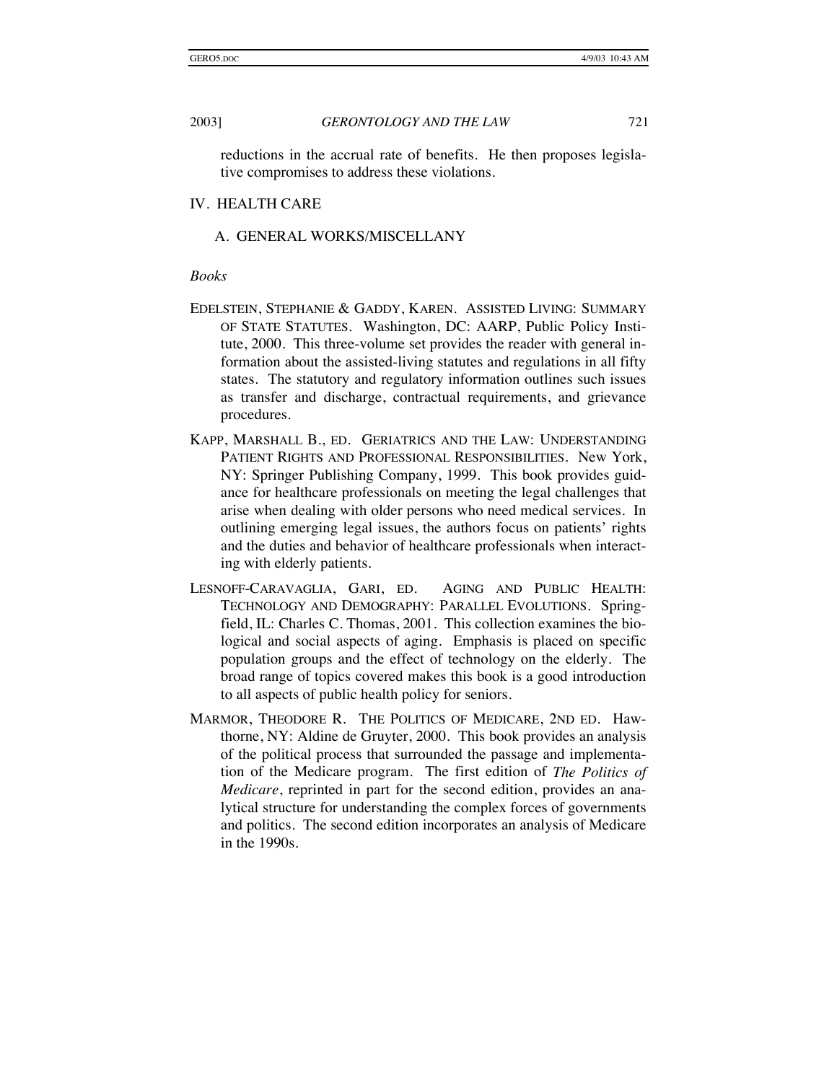reductions in the accrual rate of benefits. He then proposes legislative compromises to address these violations.

#### IV. HEALTH CARE

#### A. GENERAL WORKS/MISCELLANY

#### *Books*

- EDELSTEIN, STEPHANIE & GADDY, KAREN. ASSISTED LIVING: SUMMARY OF STATE STATUTES. Washington, DC: AARP, Public Policy Institute, 2000. This three-volume set provides the reader with general information about the assisted-living statutes and regulations in all fifty states. The statutory and regulatory information outlines such issues as transfer and discharge, contractual requirements, and grievance procedures.
- KAPP, MARSHALL B., ED. GERIATRICS AND THE LAW: UNDERSTANDING PATIENT RIGHTS AND PROFESSIONAL RESPONSIBILITIES. New York, NY: Springer Publishing Company, 1999. This book provides guidance for healthcare professionals on meeting the legal challenges that arise when dealing with older persons who need medical services. In outlining emerging legal issues, the authors focus on patients' rights and the duties and behavior of healthcare professionals when interacting with elderly patients.
- LESNOFF-CARAVAGLIA, GARI, ED. AGING AND PUBLIC HEALTH: TECHNOLOGY AND DEMOGRAPHY: PARALLEL EVOLUTIONS. Springfield, IL: Charles C. Thomas, 2001. This collection examines the biological and social aspects of aging. Emphasis is placed on specific population groups and the effect of technology on the elderly. The broad range of topics covered makes this book is a good introduction to all aspects of public health policy for seniors.
- MARMOR, THEODORE R. THE POLITICS OF MEDICARE, 2ND ED. Hawthorne, NY: Aldine de Gruyter, 2000. This book provides an analysis of the political process that surrounded the passage and implementation of the Medicare program. The first edition of *The Politics of Medicare*, reprinted in part for the second edition, provides an analytical structure for understanding the complex forces of governments and politics. The second edition incorporates an analysis of Medicare in the 1990s.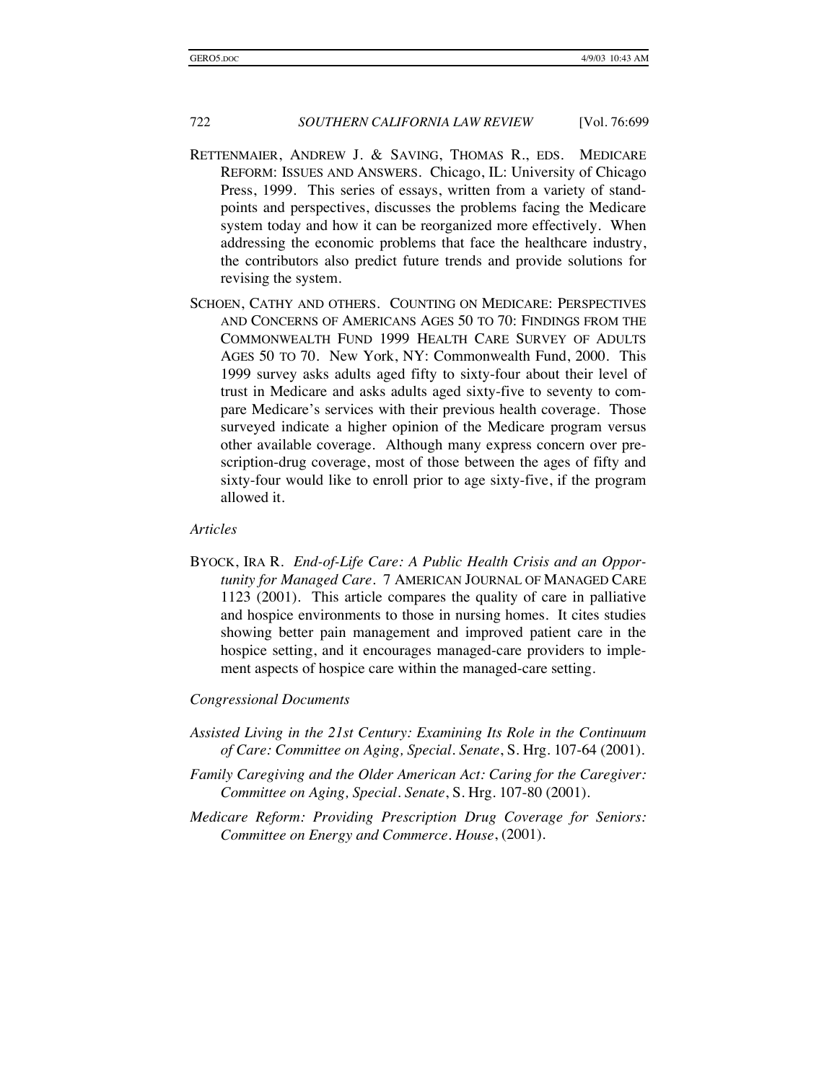- RETTENMAIER, ANDREW J. & SAVING, THOMAS R., EDS. MEDICARE REFORM: ISSUES AND ANSWERS. Chicago, IL: University of Chicago Press, 1999. This series of essays, written from a variety of standpoints and perspectives, discusses the problems facing the Medicare system today and how it can be reorganized more effectively. When addressing the economic problems that face the healthcare industry, the contributors also predict future trends and provide solutions for revising the system.
- SCHOEN, CATHY AND OTHERS. COUNTING ON MEDICARE: PERSPECTIVES AND CONCERNS OF AMERICANS AGES 50 TO 70: FINDINGS FROM THE COMMONWEALTH FUND 1999 HEALTH CARE SURVEY OF ADULTS AGES 50 TO 70. New York, NY: Commonwealth Fund, 2000. This 1999 survey asks adults aged fifty to sixty-four about their level of trust in Medicare and asks adults aged sixty-five to seventy to compare Medicare's services with their previous health coverage. Those surveyed indicate a higher opinion of the Medicare program versus other available coverage. Although many express concern over prescription-drug coverage, most of those between the ages of fifty and sixty-four would like to enroll prior to age sixty-five, if the program allowed it.

#### *Articles*

BYOCK, IRA R. *End-of-Life Care: A Public Health Crisis and an Opportunity for Managed Care*. 7 AMERICAN JOURNAL OF MANAGED CARE 1123 (2001). This article compares the quality of care in palliative and hospice environments to those in nursing homes. It cites studies showing better pain management and improved patient care in the hospice setting, and it encourages managed-care providers to implement aspects of hospice care within the managed-care setting.

#### *Congressional Documents*

- *Assisted Living in the 21st Century: Examining Its Role in the Continuum of Care: Committee on Aging, Special. Senate*, S. Hrg. 107-64 (2001).
- *Family Caregiving and the Older American Act: Caring for the Caregiver: Committee on Aging, Special. Senate*, S. Hrg. 107-80 (2001).
- *Medicare Reform: Providing Prescription Drug Coverage for Seniors: Committee on Energy and Commerce. House*, (2001).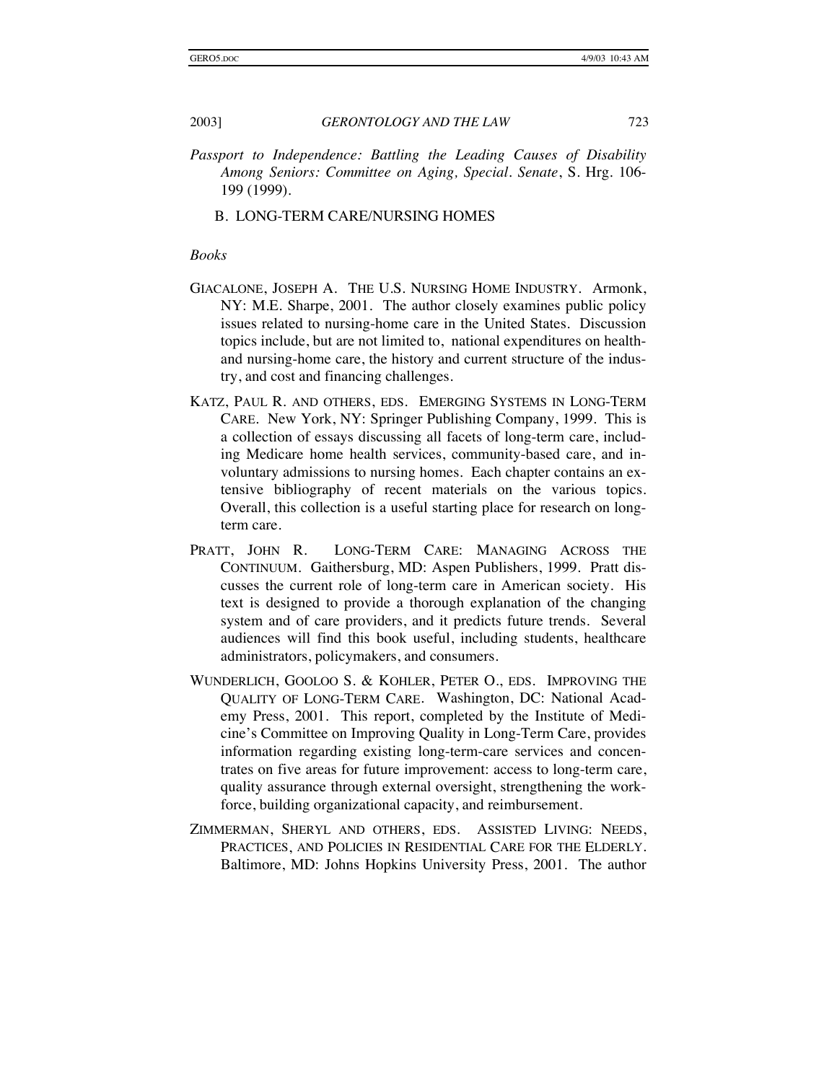*Passport to Independence: Battling the Leading Causes of Disability Among Seniors: Committee on Aging, Special. Senate*, S. Hrg. 106- 199 (1999).

#### B. LONG-TERM CARE/NURSING HOMES

#### *Books*

- GIACALONE, JOSEPH A. THE U.S. NURSING HOME INDUSTRY. Armonk, NY: M.E. Sharpe, 2001. The author closely examines public policy issues related to nursing-home care in the United States. Discussion topics include, but are not limited to, national expenditures on healthand nursing-home care, the history and current structure of the industry, and cost and financing challenges.
- KATZ, PAUL R. AND OTHERS, EDS. EMERGING SYSTEMS IN LONG-TERM CARE. New York, NY: Springer Publishing Company, 1999. This is a collection of essays discussing all facets of long-term care, including Medicare home health services, community-based care, and involuntary admissions to nursing homes. Each chapter contains an extensive bibliography of recent materials on the various topics. Overall, this collection is a useful starting place for research on longterm care.
- PRATT, JOHN R. LONG-TERM CARE: MANAGING ACROSS THE CONTINUUM. Gaithersburg, MD: Aspen Publishers, 1999. Pratt discusses the current role of long-term care in American society. His text is designed to provide a thorough explanation of the changing system and of care providers, and it predicts future trends. Several audiences will find this book useful, including students, healthcare administrators, policymakers, and consumers.
- WUNDERLICH, GOOLOO S. & KOHLER, PETER O., EDS. IMPROVING THE QUALITY OF LONG-TERM CARE. Washington, DC: National Academy Press, 2001. This report, completed by the Institute of Medicine's Committee on Improving Quality in Long-Term Care, provides information regarding existing long-term-care services and concentrates on five areas for future improvement: access to long-term care, quality assurance through external oversight, strengthening the workforce, building organizational capacity, and reimbursement.
- ZIMMERMAN, SHERYL AND OTHERS, EDS. ASSISTED LIVING: NEEDS, PRACTICES, AND POLICIES IN RESIDENTIAL CARE FOR THE ELDERLY. Baltimore, MD: Johns Hopkins University Press, 2001. The author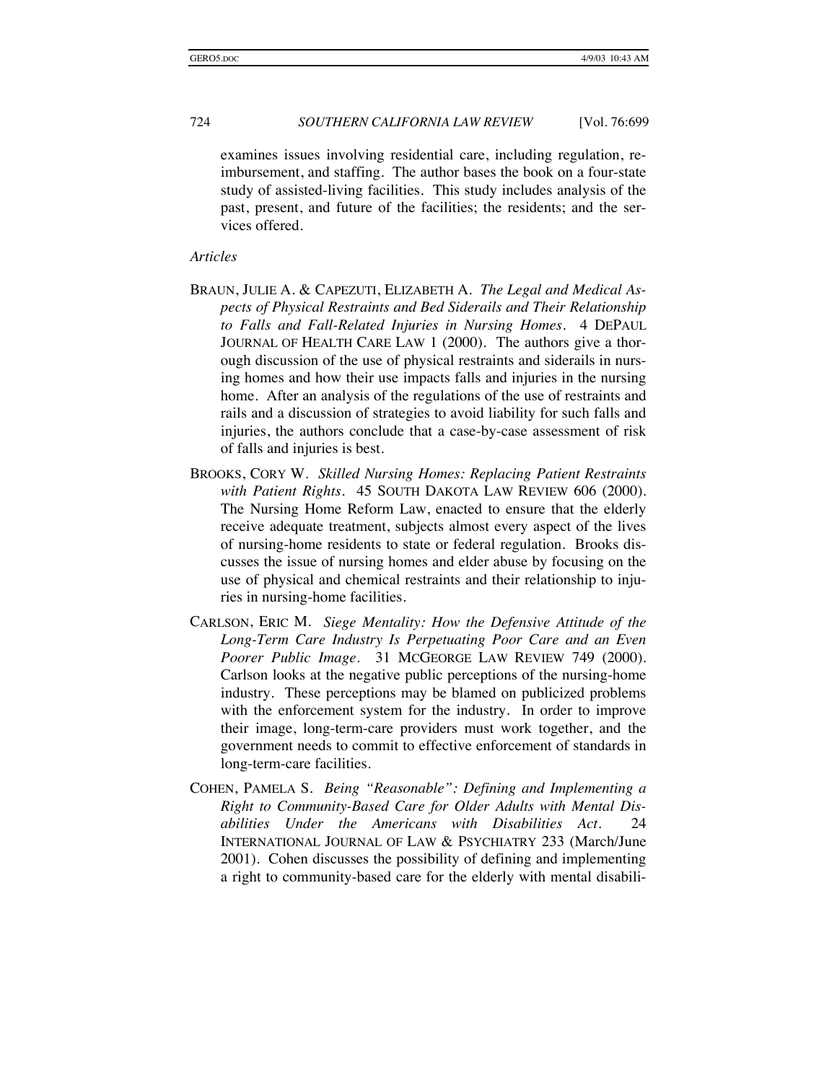examines issues involving residential care, including regulation, reimbursement, and staffing. The author bases the book on a four-state study of assisted-living facilities. This study includes analysis of the past, present, and future of the facilities; the residents; and the services offered.

#### *Articles*

- BRAUN, JULIE A. & CAPEZUTI, ELIZABETH A. *The Legal and Medical Aspects of Physical Restraints and Bed Siderails and Their Relationship to Falls and Fall-Related Injuries in Nursing Homes*. 4 DEPAUL JOURNAL OF HEALTH CARE LAW 1 (2000). The authors give a thorough discussion of the use of physical restraints and siderails in nursing homes and how their use impacts falls and injuries in the nursing home. After an analysis of the regulations of the use of restraints and rails and a discussion of strategies to avoid liability for such falls and injuries, the authors conclude that a case-by-case assessment of risk of falls and injuries is best.
- BROOKS, CORY W. *Skilled Nursing Homes: Replacing Patient Restraints with Patient Rights*. 45 SOUTH DAKOTA LAW REVIEW 606 (2000). The Nursing Home Reform Law, enacted to ensure that the elderly receive adequate treatment, subjects almost every aspect of the lives of nursing-home residents to state or federal regulation. Brooks discusses the issue of nursing homes and elder abuse by focusing on the use of physical and chemical restraints and their relationship to injuries in nursing-home facilities.
- CARLSON, ERIC M. *Siege Mentality: How the Defensive Attitude of the Long-Term Care Industry Is Perpetuating Poor Care and an Even Poorer Public Image*. 31 MCGEORGE LAW REVIEW 749 (2000). Carlson looks at the negative public perceptions of the nursing-home industry. These perceptions may be blamed on publicized problems with the enforcement system for the industry. In order to improve their image, long-term-care providers must work together, and the government needs to commit to effective enforcement of standards in long-term-care facilities.
- COHEN, PAMELA S. *Being "Reasonable": Defining and Implementing a Right to Community-Based Care for Older Adults with Mental Disabilities Under the Americans with Disabilities Act*. 24 INTERNATIONAL JOURNAL OF LAW & PSYCHIATRY 233 (March/June 2001). Cohen discusses the possibility of defining and implementing a right to community-based care for the elderly with mental disabili-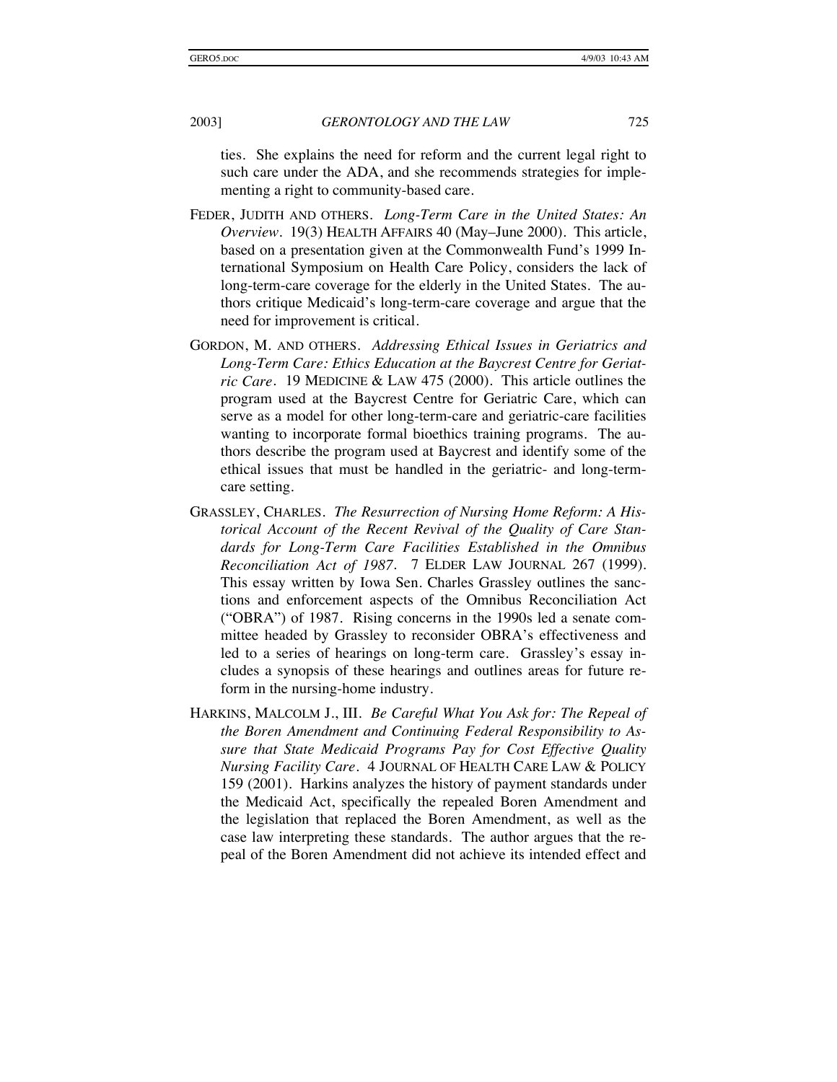ties. She explains the need for reform and the current legal right to such care under the ADA, and she recommends strategies for implementing a right to community-based care.

- FEDER, JUDITH AND OTHERS. *Long-Term Care in the United States: An Overview*. 19(3) HEALTH AFFAIRS 40 (May–June 2000). This article, based on a presentation given at the Commonwealth Fund's 1999 International Symposium on Health Care Policy, considers the lack of long-term-care coverage for the elderly in the United States. The authors critique Medicaid's long-term-care coverage and argue that the need for improvement is critical.
- GORDON, M. AND OTHERS. *Addressing Ethical Issues in Geriatrics and Long-Term Care: Ethics Education at the Baycrest Centre for Geriatric Care*. 19 MEDICINE & LAW 475 (2000). This article outlines the program used at the Baycrest Centre for Geriatric Care, which can serve as a model for other long-term-care and geriatric-care facilities wanting to incorporate formal bioethics training programs. The authors describe the program used at Baycrest and identify some of the ethical issues that must be handled in the geriatric- and long-termcare setting.
- GRASSLEY, CHARLES. *The Resurrection of Nursing Home Reform: A Historical Account of the Recent Revival of the Quality of Care Standards for Long-Term Care Facilities Established in the Omnibus Reconciliation Act of 1987*. 7 ELDER LAW JOURNAL 267 (1999). This essay written by Iowa Sen. Charles Grassley outlines the sanctions and enforcement aspects of the Omnibus Reconciliation Act ("OBRA") of 1987. Rising concerns in the 1990s led a senate committee headed by Grassley to reconsider OBRA's effectiveness and led to a series of hearings on long-term care. Grassley's essay includes a synopsis of these hearings and outlines areas for future reform in the nursing-home industry.
- HARKINS, MALCOLM J., III. *Be Careful What You Ask for: The Repeal of the Boren Amendment and Continuing Federal Responsibility to Assure that State Medicaid Programs Pay for Cost Effective Quality Nursing Facility Care*. 4 JOURNAL OF HEALTH CARE LAW & POLICY 159 (2001). Harkins analyzes the history of payment standards under the Medicaid Act, specifically the repealed Boren Amendment and the legislation that replaced the Boren Amendment, as well as the case law interpreting these standards. The author argues that the repeal of the Boren Amendment did not achieve its intended effect and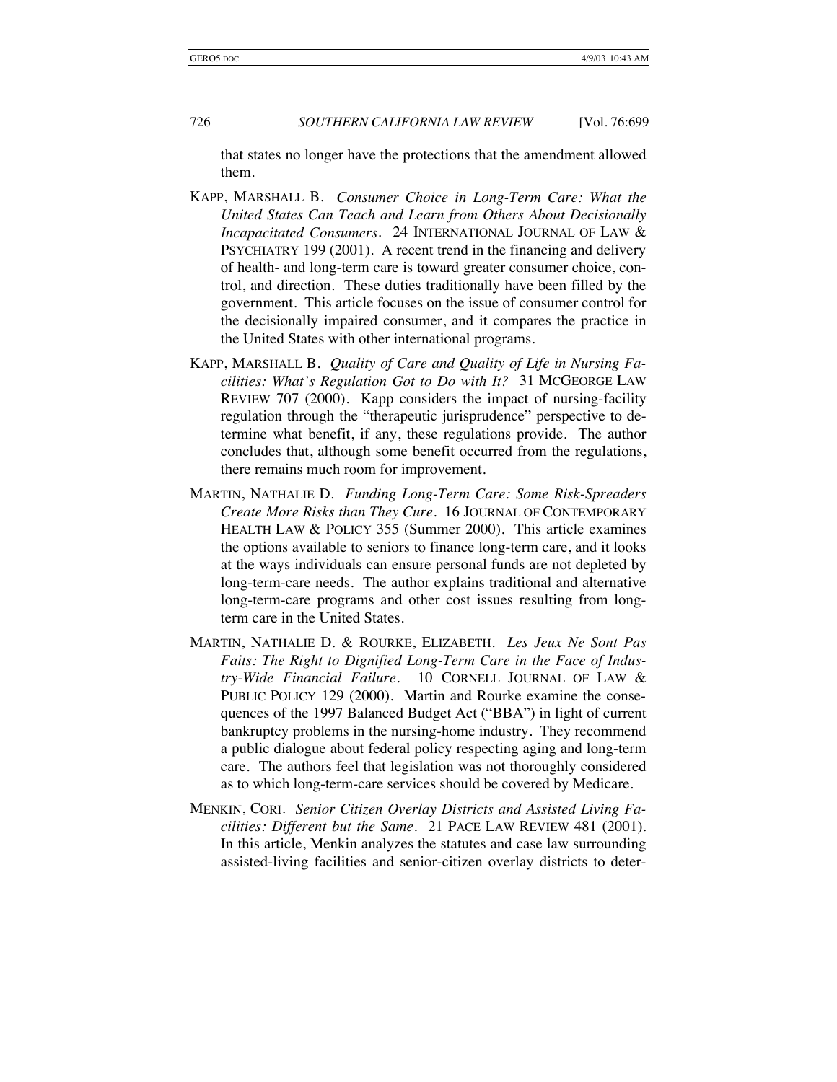that states no longer have the protections that the amendment allowed them.

- KAPP, MARSHALL B. *Consumer Choice in Long-Term Care: What the United States Can Teach and Learn from Others About Decisionally Incapacitated Consumers*. 24 INTERNATIONAL JOURNAL OF LAW & PSYCHIATRY 199 (2001). A recent trend in the financing and delivery of health- and long-term care is toward greater consumer choice, control, and direction. These duties traditionally have been filled by the government. This article focuses on the issue of consumer control for the decisionally impaired consumer, and it compares the practice in the United States with other international programs.
- KAPP, MARSHALL B. *Quality of Care and Quality of Life in Nursing Facilities: What's Regulation Got to Do with It?* 31 MCGEORGE LAW REVIEW 707 (2000). Kapp considers the impact of nursing-facility regulation through the "therapeutic jurisprudence" perspective to determine what benefit, if any, these regulations provide. The author concludes that, although some benefit occurred from the regulations, there remains much room for improvement.
- MARTIN, NATHALIE D. *Funding Long-Term Care: Some Risk-Spreaders Create More Risks than They Cure*. 16 JOURNAL OF CONTEMPORARY HEALTH LAW & POLICY 355 (Summer 2000). This article examines the options available to seniors to finance long-term care, and it looks at the ways individuals can ensure personal funds are not depleted by long-term-care needs. The author explains traditional and alternative long-term-care programs and other cost issues resulting from longterm care in the United States.
- MARTIN, NATHALIE D. & ROURKE, ELIZABETH. *Les Jeux Ne Sont Pas Faits: The Right to Dignified Long-Term Care in the Face of Industry-Wide Financial Failure*. 10 CORNELL JOURNAL OF LAW & PUBLIC POLICY 129 (2000). Martin and Rourke examine the consequences of the 1997 Balanced Budget Act ("BBA") in light of current bankruptcy problems in the nursing-home industry. They recommend a public dialogue about federal policy respecting aging and long-term care. The authors feel that legislation was not thoroughly considered as to which long-term-care services should be covered by Medicare.
- MENKIN, CORI. *Senior Citizen Overlay Districts and Assisted Living Facilities: Different but the Same*. 21 PACE LAW REVIEW 481 (2001). In this article, Menkin analyzes the statutes and case law surrounding assisted-living facilities and senior-citizen overlay districts to deter-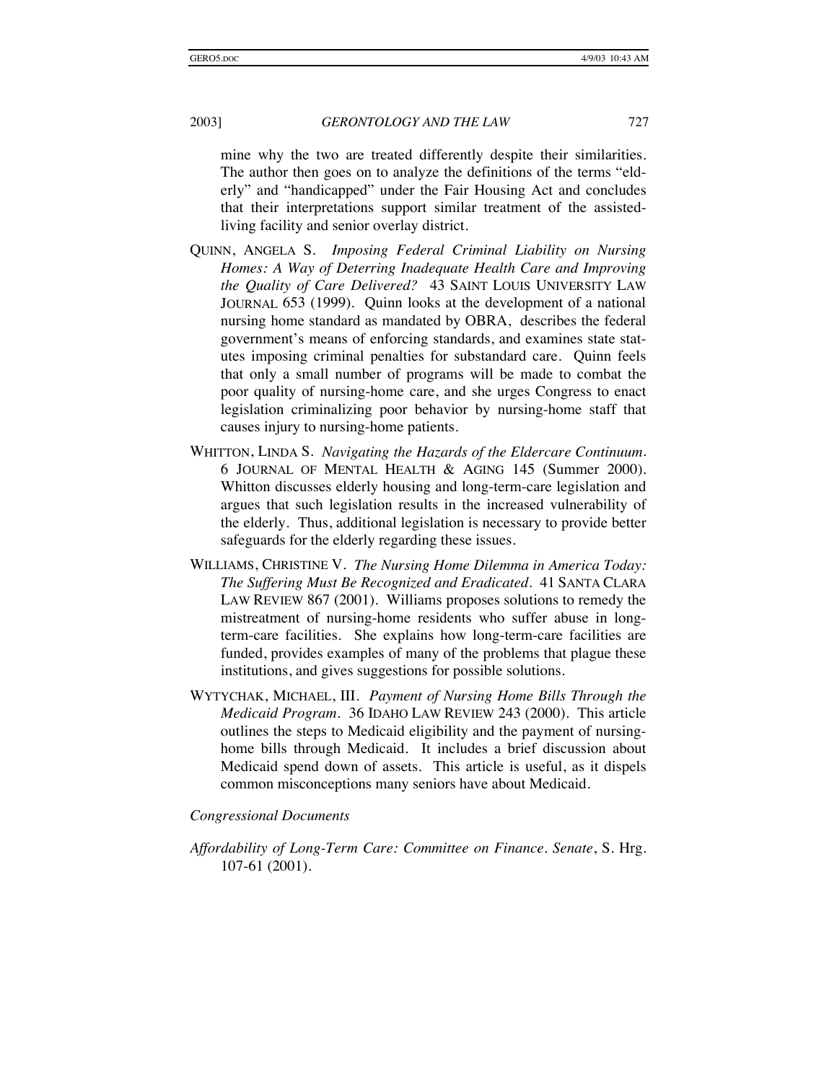mine why the two are treated differently despite their similarities. The author then goes on to analyze the definitions of the terms "elderly" and "handicapped" under the Fair Housing Act and concludes that their interpretations support similar treatment of the assistedliving facility and senior overlay district.

- QUINN, ANGELA S. *Imposing Federal Criminal Liability on Nursing Homes: A Way of Deterring Inadequate Health Care and Improving the Quality of Care Delivered?* 43 SAINT LOUIS UNIVERSITY LAW JOURNAL 653 (1999). Quinn looks at the development of a national nursing home standard as mandated by OBRA, describes the federal government's means of enforcing standards, and examines state statutes imposing criminal penalties for substandard care. Quinn feels that only a small number of programs will be made to combat the poor quality of nursing-home care, and she urges Congress to enact legislation criminalizing poor behavior by nursing-home staff that causes injury to nursing-home patients.
- WHITTON, LINDA S. *Navigating the Hazards of the Eldercare Continuum*. 6 JOURNAL OF MENTAL HEALTH & AGING 145 (Summer 2000). Whitton discusses elderly housing and long-term-care legislation and argues that such legislation results in the increased vulnerability of the elderly. Thus, additional legislation is necessary to provide better safeguards for the elderly regarding these issues.
- WILLIAMS, CHRISTINE V. *The Nursing Home Dilemma in America Today: The Suffering Must Be Recognized and Eradicated*. 41 SANTA CLARA LAW REVIEW 867 (2001). Williams proposes solutions to remedy the mistreatment of nursing-home residents who suffer abuse in longterm-care facilities. She explains how long-term-care facilities are funded, provides examples of many of the problems that plague these institutions, and gives suggestions for possible solutions.
- WYTYCHAK, MICHAEL, III*. Payment of Nursing Home Bills Through the Medicaid Program*. 36 IDAHO LAW REVIEW 243 (2000). This article outlines the steps to Medicaid eligibility and the payment of nursinghome bills through Medicaid. It includes a brief discussion about Medicaid spend down of assets. This article is useful, as it dispels common misconceptions many seniors have about Medicaid.

#### *Congressional Documents*

*Affordability of Long-Term Care: Committee on Finance. Senate*, S. Hrg. 107-61 (2001).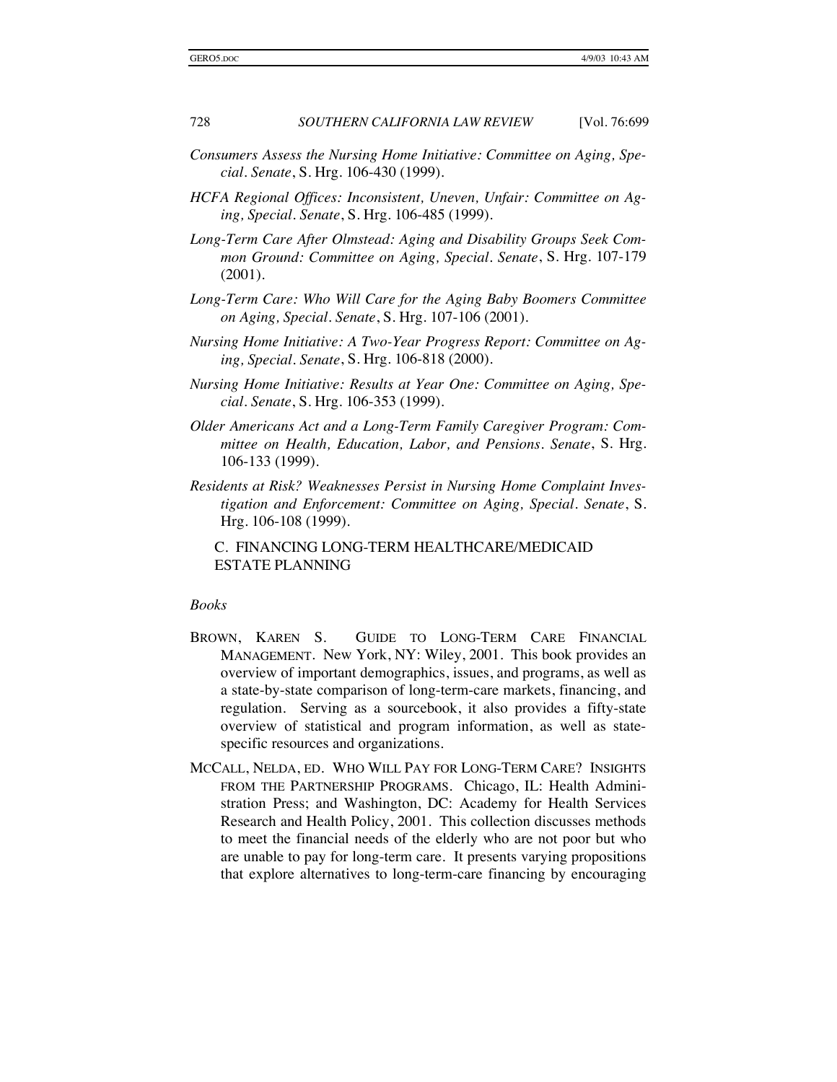- *Consumers Assess the Nursing Home Initiative: Committee on Aging, Special. Senate*, S. Hrg. 106-430 (1999).
- *HCFA Regional Offices: Inconsistent, Uneven, Unfair: Committee on Aging, Special. Senate*, S. Hrg. 106-485 (1999).
- *Long-Term Care After Olmstead: Aging and Disability Groups Seek Common Ground: Committee on Aging, Special. Senate*, S. Hrg. 107-179 (2001).
- *Long-Term Care: Who Will Care for the Aging Baby Boomers Committee on Aging, Special. Senate*, S. Hrg. 107-106 (2001).
- *Nursing Home Initiative: A Two-Year Progress Report: Committee on Aging, Special. Senate*, S. Hrg. 106-818 (2000).
- *Nursing Home Initiative: Results at Year One: Committee on Aging, Special. Senate*, S. Hrg. 106-353 (1999).
- *Older Americans Act and a Long-Term Family Caregiver Program: Committee on Health, Education, Labor, and Pensions. Senate*, S. Hrg. 106-133 (1999).
- *Residents at Risk? Weaknesses Persist in Nursing Home Complaint Investigation and Enforcement: Committee on Aging, Special*. *Senate*, S. Hrg. 106-108 (1999).

C. FINANCING LONG-TERM HEALTHCARE/MEDICAID ESTATE PLANNING

#### *Books*

- BROWN, KAREN S. GUIDE TO LONG-TERM CARE FINANCIAL MANAGEMENT. New York, NY: Wiley, 2001. This book provides an overview of important demographics, issues, and programs, as well as a state-by-state comparison of long-term-care markets, financing, and regulation. Serving as a sourcebook, it also provides a fifty-state overview of statistical and program information, as well as statespecific resources and organizations.
- MCCALL, NELDA, ED. WHO WILL PAY FOR LONG-TERM CARE? INSIGHTS FROM THE PARTNERSHIP PROGRAMS. Chicago, IL: Health Administration Press; and Washington, DC: Academy for Health Services Research and Health Policy, 2001. This collection discusses methods to meet the financial needs of the elderly who are not poor but who are unable to pay for long-term care. It presents varying propositions that explore alternatives to long-term-care financing by encouraging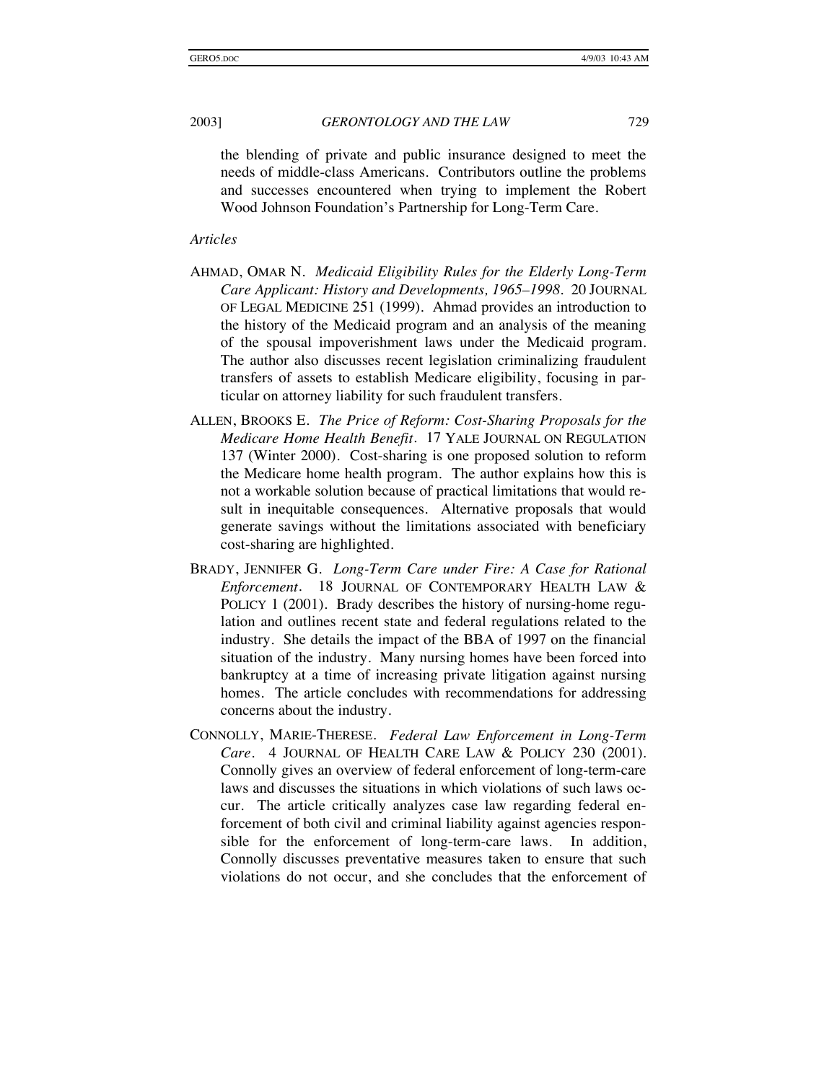the blending of private and public insurance designed to meet the needs of middle-class Americans. Contributors outline the problems and successes encountered when trying to implement the Robert Wood Johnson Foundation's Partnership for Long-Term Care.

### *Articles*

- AHMAD, OMAR N. *Medicaid Eligibility Rules for the Elderly Long-Term Care Applicant: History and Developments, 1965–1998.* 20 JOURNAL OF LEGAL MEDICINE 251 (1999). Ahmad provides an introduction to the history of the Medicaid program and an analysis of the meaning of the spousal impoverishment laws under the Medicaid program. The author also discusses recent legislation criminalizing fraudulent transfers of assets to establish Medicare eligibility, focusing in particular on attorney liability for such fraudulent transfers.
- ALLEN, BROOKS E. *The Price of Reform: Cost-Sharing Proposals for the Medicare Home Health Benefit*. 17 YALE JOURNAL ON REGULATION 137 (Winter 2000). Cost-sharing is one proposed solution to reform the Medicare home health program. The author explains how this is not a workable solution because of practical limitations that would result in inequitable consequences. Alternative proposals that would generate savings without the limitations associated with beneficiary cost-sharing are highlighted.
- BRADY, JENNIFER G. *Long-Term Care under Fire: A Case for Rational Enforcement*. 18 JOURNAL OF CONTEMPORARY HEALTH LAW & POLICY 1 (2001). Brady describes the history of nursing-home regulation and outlines recent state and federal regulations related to the industry. She details the impact of the BBA of 1997 on the financial situation of the industry. Many nursing homes have been forced into bankruptcy at a time of increasing private litigation against nursing homes. The article concludes with recommendations for addressing concerns about the industry.
- CONNOLLY, MARIE-THERESE. *Federal Law Enforcement in Long-Term Care*. 4 JOURNAL OF HEALTH CARE LAW & POLICY 230 (2001). Connolly gives an overview of federal enforcement of long-term-care laws and discusses the situations in which violations of such laws occur. The article critically analyzes case law regarding federal enforcement of both civil and criminal liability against agencies responsible for the enforcement of long-term-care laws. In addition, Connolly discusses preventative measures taken to ensure that such violations do not occur, and she concludes that the enforcement of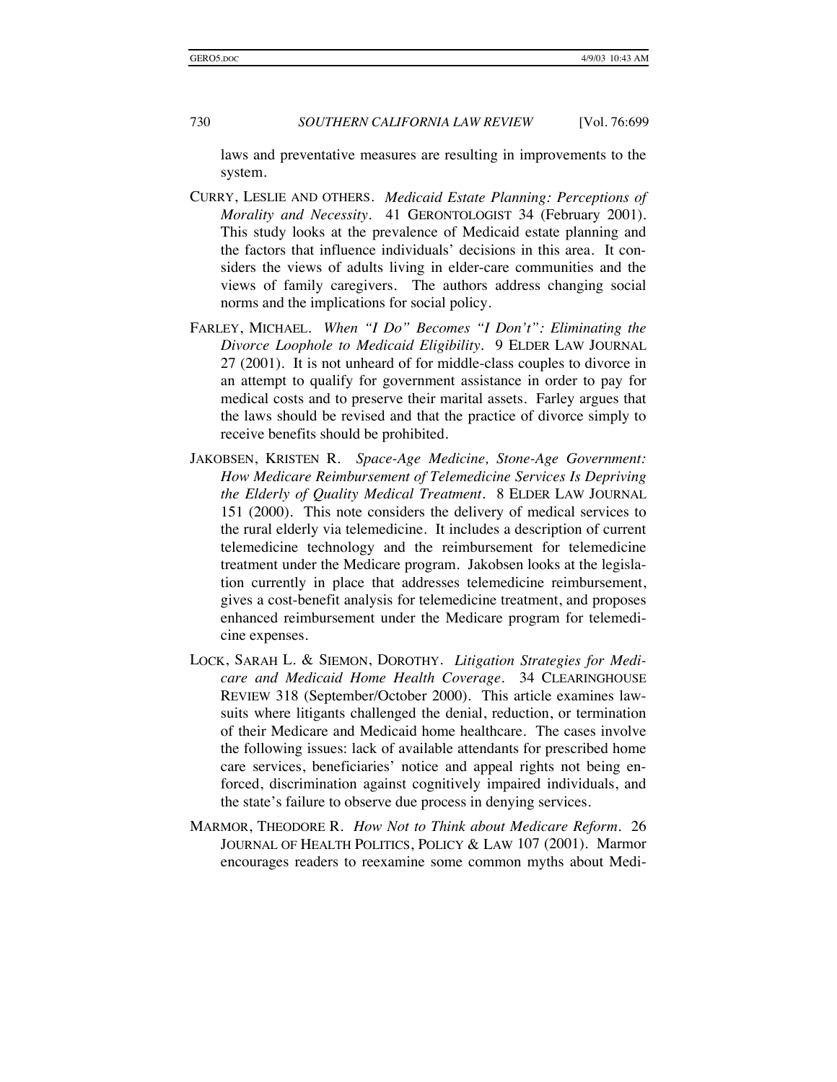laws and preventative measures are resulting in improvements to the system.

- CURRY, LESLIE AND OTHERS. *Medicaid Estate Planning: Perceptions of Morality and Necessity*. 41 GERONTOLOGIST 34 (February 2001). This study looks at the prevalence of Medicaid estate planning and the factors that influence individuals' decisions in this area. It considers the views of adults living in elder-care communities and the views of family caregivers. The authors address changing social norms and the implications for social policy.
- FARLEY, MICHAEL. *When "I Do" Becomes "I Don't": Eliminating the Divorce Loophole to Medicaid Eligibility*. 9 ELDER LAW JOURNAL 27 (2001). It is not unheard of for middle-class couples to divorce in an attempt to qualify for government assistance in order to pay for medical costs and to preserve their marital assets. Farley argues that the laws should be revised and that the practice of divorce simply to receive benefits should be prohibited.
- JAKOBSEN, KRISTEN R. *Space-Age Medicine, Stone-Age Government: How Medicare Reimbursement of Telemedicine Services Is Depriving the Elderly of Quality Medical Treatment*. 8 ELDER LAW JOURNAL 151 (2000). This note considers the delivery of medical services to the rural elderly via telemedicine. It includes a description of current telemedicine technology and the reimbursement for telemedicine treatment under the Medicare program. Jakobsen looks at the legislation currently in place that addresses telemedicine reimbursement, gives a cost-benefit analysis for telemedicine treatment, and proposes enhanced reimbursement under the Medicare program for telemedicine expenses.
- LOCK, SARAH L. & SIEMON, DOROTHY. *Litigation Strategies for Medicare and Medicaid Home Health Coverage*. 34 CLEARINGHOUSE REVIEW 318 (September/October 2000). This article examines lawsuits where litigants challenged the denial, reduction, or termination of their Medicare and Medicaid home healthcare. The cases involve the following issues: lack of available attendants for prescribed home care services, beneficiaries' notice and appeal rights not being enforced, discrimination against cognitively impaired individuals, and the state's failure to observe due process in denying services.
- MARMOR, THEODORE R. *How Not to Think about Medicare Reform*. 26 JOURNAL OF HEALTH POLITICS, POLICY & LAW 107 (2001). Marmor encourages readers to reexamine some common myths about Medi-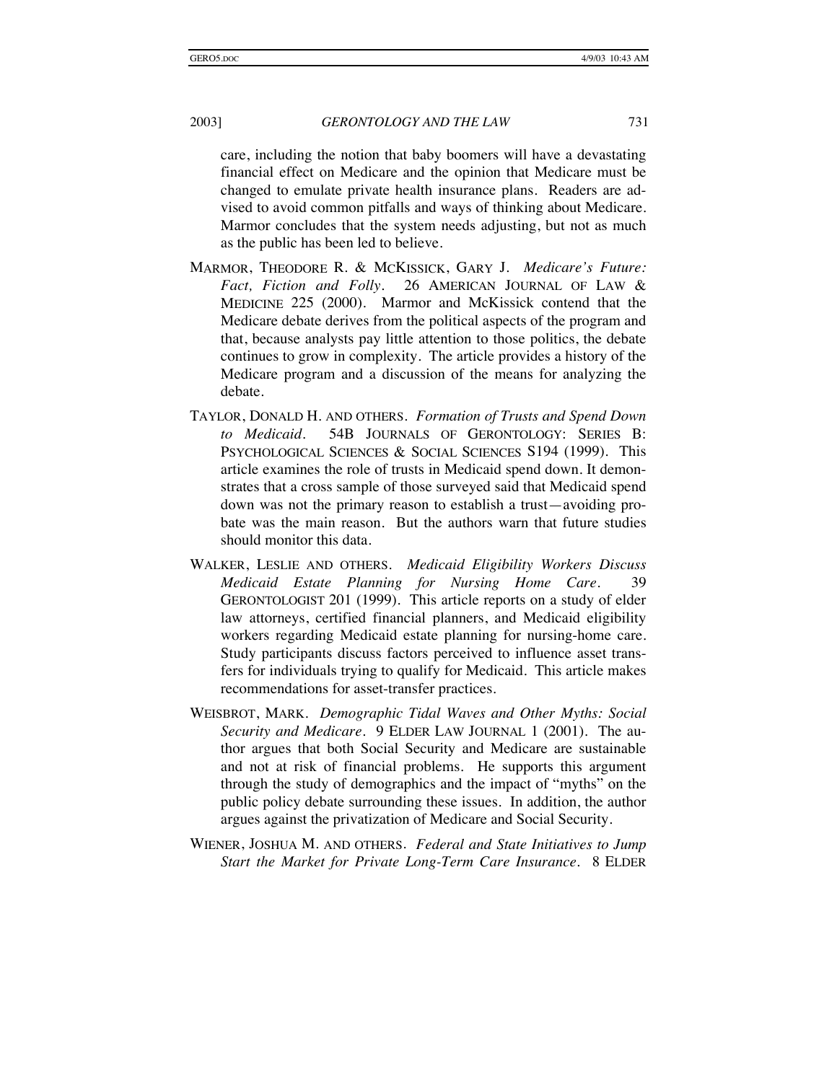care, including the notion that baby boomers will have a devastating financial effect on Medicare and the opinion that Medicare must be changed to emulate private health insurance plans. Readers are advised to avoid common pitfalls and ways of thinking about Medicare. Marmor concludes that the system needs adjusting, but not as much as the public has been led to believe.

- MARMOR, THEODORE R. & MCKISSICK, GARY J. *Medicare's Future: Fact, Fiction and Folly*. 26 AMERICAN JOURNAL OF LAW & MEDICINE 225 (2000). Marmor and McKissick contend that the Medicare debate derives from the political aspects of the program and that, because analysts pay little attention to those politics, the debate continues to grow in complexity. The article provides a history of the Medicare program and a discussion of the means for analyzing the debate.
- TAYLOR, DONALD H. AND OTHERS. *Formation of Trusts and Spend Down to Medicaid*. 54B JOURNALS OF GERONTOLOGY: SERIES B: PSYCHOLOGICAL SCIENCES & SOCIAL SCIENCES S194 (1999). This article examines the role of trusts in Medicaid spend down. It demonstrates that a cross sample of those surveyed said that Medicaid spend down was not the primary reason to establish a trust—avoiding probate was the main reason. But the authors warn that future studies should monitor this data.
- WALKER, LESLIE AND OTHERS. *Medicaid Eligibility Workers Discuss Medicaid Estate Planning for Nursing Home Care*. 39 GERONTOLOGIST 201 (1999). This article reports on a study of elder law attorneys, certified financial planners, and Medicaid eligibility workers regarding Medicaid estate planning for nursing-home care. Study participants discuss factors perceived to influence asset transfers for individuals trying to qualify for Medicaid. This article makes recommendations for asset-transfer practices.
- WEISBROT, MARK. *Demographic Tidal Waves and Other Myths: Social Security and Medicare*. 9 ELDER LAW JOURNAL 1 (2001). The author argues that both Social Security and Medicare are sustainable and not at risk of financial problems. He supports this argument through the study of demographics and the impact of "myths" on the public policy debate surrounding these issues. In addition, the author argues against the privatization of Medicare and Social Security.
- WIENER, JOSHUA M. AND OTHERS. *Federal and State Initiatives to Jump Start the Market for Private Long-Term Care Insurance*. 8 ELDER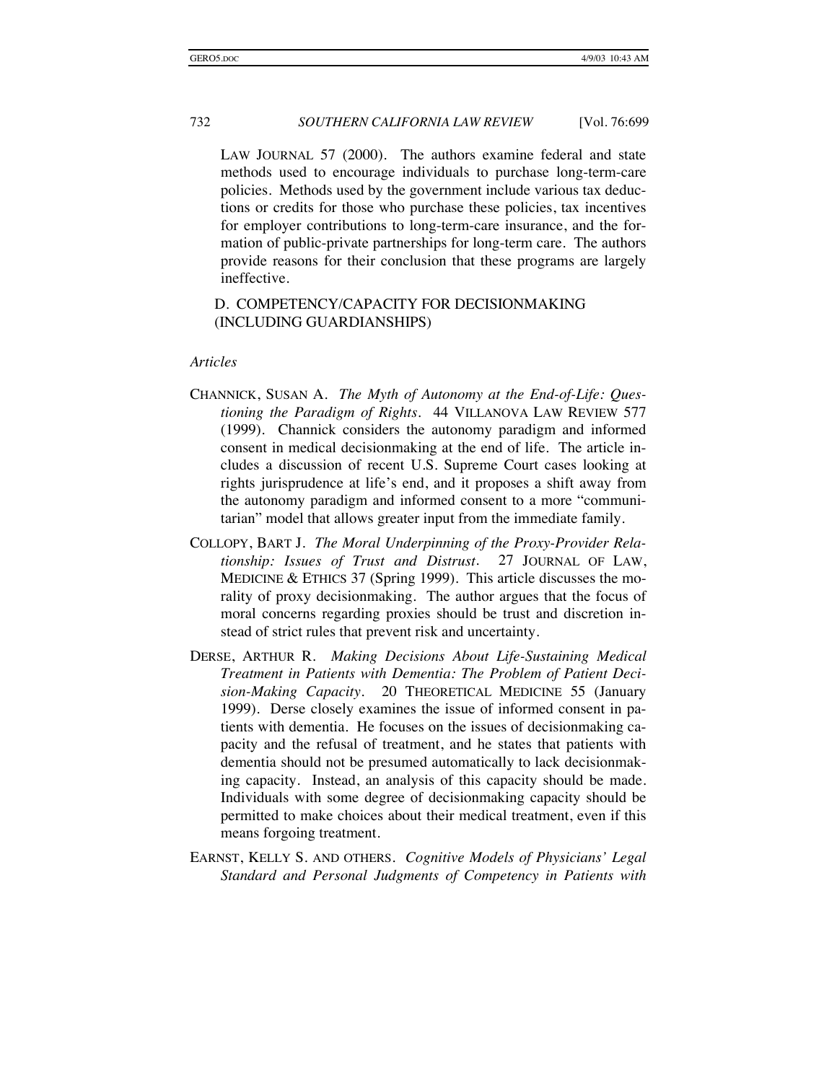LAW JOURNAL 57 (2000). The authors examine federal and state methods used to encourage individuals to purchase long-term-care policies. Methods used by the government include various tax deductions or credits for those who purchase these policies, tax incentives for employer contributions to long-term-care insurance, and the formation of public-private partnerships for long-term care. The authors provide reasons for their conclusion that these programs are largely ineffective.

### D. COMPETENCY/CAPACITY FOR DECISIONMAKING (INCLUDING GUARDIANSHIPS)

#### *Articles*

- CHANNICK, SUSAN A. *The Myth of Autonomy at the End-of-Life: Questioning the Paradigm of Rights*. 44 VILLANOVA LAW REVIEW 577 (1999). Channick considers the autonomy paradigm and informed consent in medical decisionmaking at the end of life. The article includes a discussion of recent U.S. Supreme Court cases looking at rights jurisprudence at life's end, and it proposes a shift away from the autonomy paradigm and informed consent to a more "communitarian" model that allows greater input from the immediate family.
- COLLOPY, BART J. *The Moral Underpinning of the Proxy-Provider Relationship: Issues of Trust and Distrust*. 27 JOURNAL OF LAW, MEDICINE & ETHICS 37 (Spring 1999). This article discusses the morality of proxy decisionmaking. The author argues that the focus of moral concerns regarding proxies should be trust and discretion instead of strict rules that prevent risk and uncertainty.
- DERSE, ARTHUR R. *Making Decisions About Life-Sustaining Medical Treatment in Patients with Dementia: The Problem of Patient Decision-Making Capacity*. 20 THEORETICAL MEDICINE 55 (January 1999). Derse closely examines the issue of informed consent in patients with dementia. He focuses on the issues of decisionmaking capacity and the refusal of treatment, and he states that patients with dementia should not be presumed automatically to lack decisionmaking capacity. Instead, an analysis of this capacity should be made. Individuals with some degree of decisionmaking capacity should be permitted to make choices about their medical treatment, even if this means forgoing treatment.
- EARNST, KELLY S. AND OTHERS. *Cognitive Models of Physicians' Legal Standard and Personal Judgments of Competency in Patients with*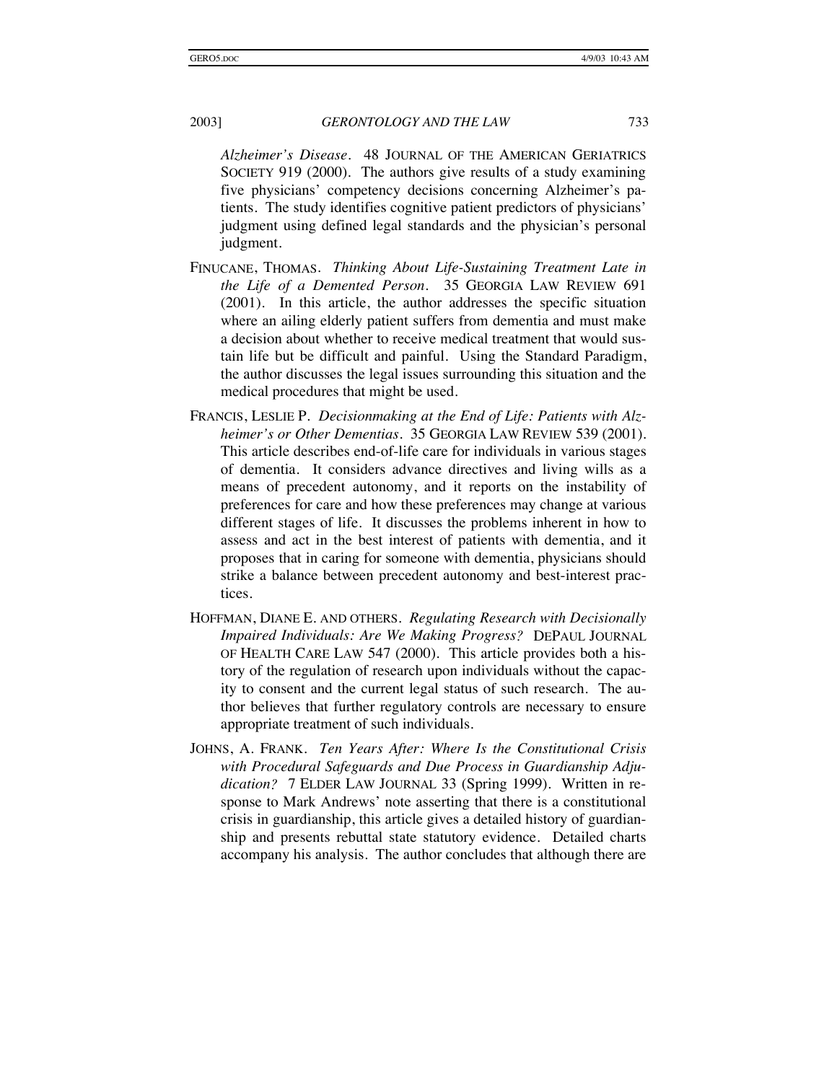*Alzheimer's Disease*. 48 JOURNAL OF THE AMERICAN GERIATRICS SOCIETY 919 (2000). The authors give results of a study examining five physicians' competency decisions concerning Alzheimer's patients. The study identifies cognitive patient predictors of physicians' judgment using defined legal standards and the physician's personal judgment.

- FINUCANE, THOMAS. *Thinking About Life-Sustaining Treatment Late in the Life of a Demented Person*. 35 GEORGIA LAW REVIEW 691 (2001). In this article, the author addresses the specific situation where an ailing elderly patient suffers from dementia and must make a decision about whether to receive medical treatment that would sustain life but be difficult and painful. Using the Standard Paradigm, the author discusses the legal issues surrounding this situation and the medical procedures that might be used.
- FRANCIS, LESLIE P. *Decisionmaking at the End of Life: Patients with Alzheimer's or Other Dementias*. 35 GEORGIA LAW REVIEW 539 (2001). This article describes end-of-life care for individuals in various stages of dementia. It considers advance directives and living wills as a means of precedent autonomy, and it reports on the instability of preferences for care and how these preferences may change at various different stages of life. It discusses the problems inherent in how to assess and act in the best interest of patients with dementia, and it proposes that in caring for someone with dementia, physicians should strike a balance between precedent autonomy and best-interest practices.
- HOFFMAN, DIANE E. AND OTHERS. *Regulating Research with Decisionally Impaired Individuals: Are We Making Progress?* DEPAUL JOURNAL OF HEALTH CARE LAW 547 (2000). This article provides both a history of the regulation of research upon individuals without the capacity to consent and the current legal status of such research. The author believes that further regulatory controls are necessary to ensure appropriate treatment of such individuals.
- JOHNS, A. FRANK. *Ten Years After: Where Is the Constitutional Crisis with Procedural Safeguards and Due Process in Guardianship Adjudication?* 7 ELDER LAW JOURNAL 33 (Spring 1999). Written in response to Mark Andrews' note asserting that there is a constitutional crisis in guardianship, this article gives a detailed history of guardianship and presents rebuttal state statutory evidence. Detailed charts accompany his analysis. The author concludes that although there are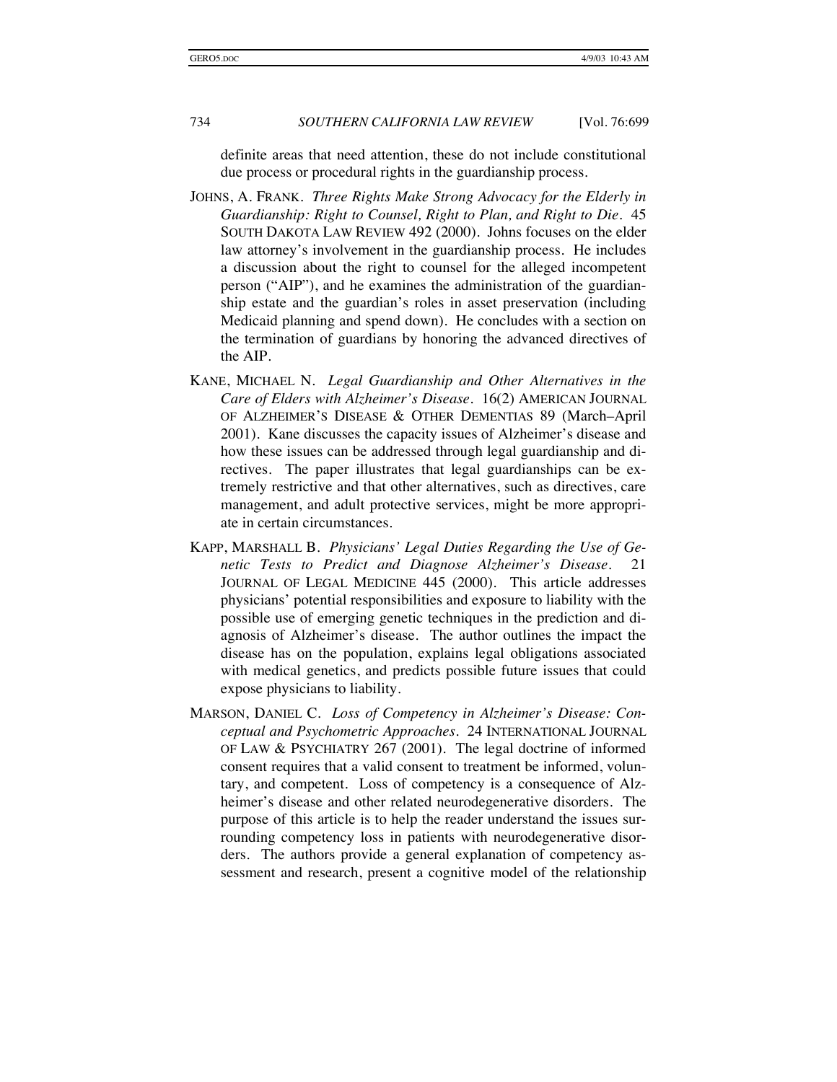definite areas that need attention, these do not include constitutional due process or procedural rights in the guardianship process.

- JOHNS, A. FRANK. *Three Rights Make Strong Advocacy for the Elderly in Guardianship: Right to Counsel, Right to Plan, and Right to Die*. 45 SOUTH DAKOTA LAW REVIEW 492 (2000). Johns focuses on the elder law attorney's involvement in the guardianship process. He includes a discussion about the right to counsel for the alleged incompetent person ("AIP"), and he examines the administration of the guardianship estate and the guardian's roles in asset preservation (including Medicaid planning and spend down). He concludes with a section on the termination of guardians by honoring the advanced directives of the AIP.
- KANE, MICHAEL N. *Legal Guardianship and Other Alternatives in the Care of Elders with Alzheimer's Disease*. 16(2) AMERICAN JOURNAL OF ALZHEIMER'S DISEASE & OTHER DEMENTIAS 89 (March–April 2001). Kane discusses the capacity issues of Alzheimer's disease and how these issues can be addressed through legal guardianship and directives. The paper illustrates that legal guardianships can be extremely restrictive and that other alternatives, such as directives, care management, and adult protective services, might be more appropriate in certain circumstances.
- KAPP, MARSHALL B. *Physicians' Legal Duties Regarding the Use of Genetic Tests to Predict and Diagnose Alzheimer's Disease*. 21 JOURNAL OF LEGAL MEDICINE 445 (2000). This article addresses physicians' potential responsibilities and exposure to liability with the possible use of emerging genetic techniques in the prediction and diagnosis of Alzheimer's disease. The author outlines the impact the disease has on the population, explains legal obligations associated with medical genetics, and predicts possible future issues that could expose physicians to liability.
- MARSON, DANIEL C. *Loss of Competency in Alzheimer's Disease: Conceptual and Psychometric Approaches*. 24 INTERNATIONAL JOURNAL OF LAW & PSYCHIATRY 267 (2001). The legal doctrine of informed consent requires that a valid consent to treatment be informed, voluntary, and competent. Loss of competency is a consequence of Alzheimer's disease and other related neurodegenerative disorders. The purpose of this article is to help the reader understand the issues surrounding competency loss in patients with neurodegenerative disorders. The authors provide a general explanation of competency assessment and research, present a cognitive model of the relationship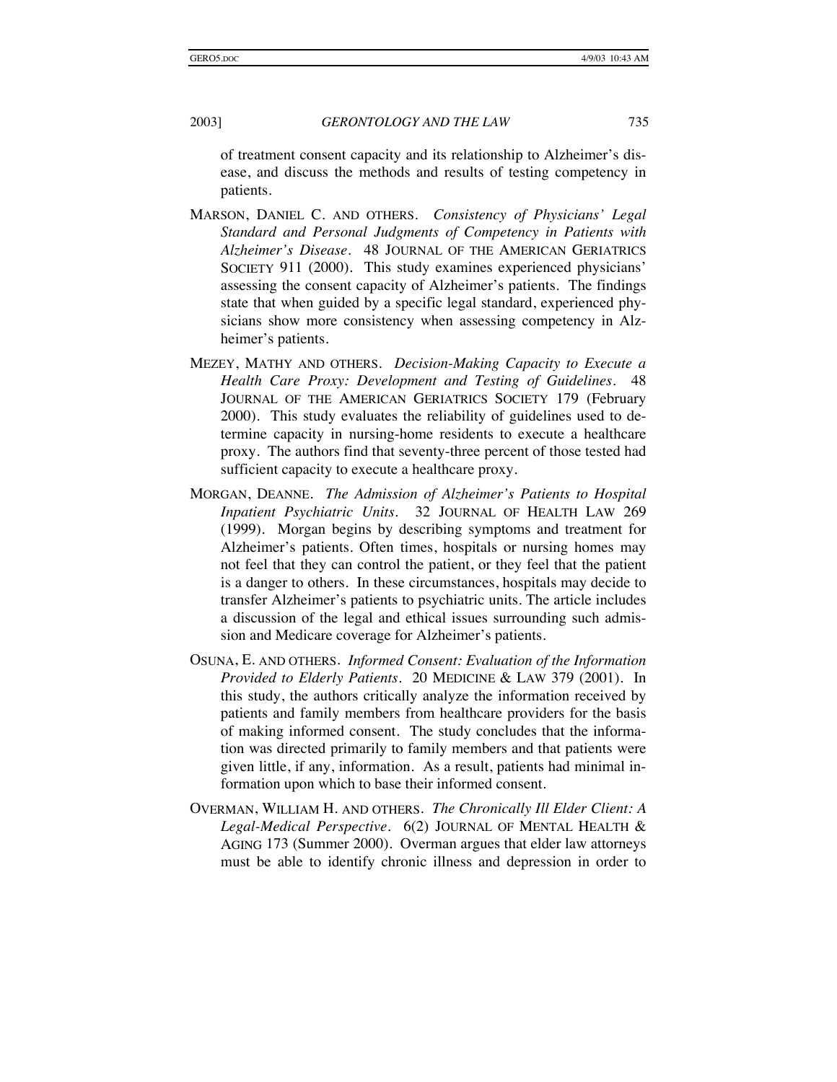of treatment consent capacity and its relationship to Alzheimer's disease, and discuss the methods and results of testing competency in patients.

- MARSON, DANIEL C. AND OTHERS. *Consistency of Physicians' Legal Standard and Personal Judgments of Competency in Patients with Alzheimer's Disease*. 48 JOURNAL OF THE AMERICAN GERIATRICS SOCIETY 911 (2000). This study examines experienced physicians' assessing the consent capacity of Alzheimer's patients. The findings state that when guided by a specific legal standard, experienced physicians show more consistency when assessing competency in Alzheimer's patients.
- MEZEY, MATHY AND OTHERS. *Decision-Making Capacity to Execute a Health Care Proxy: Development and Testing of Guidelines*. 48 JOURNAL OF THE AMERICAN GERIATRICS SOCIETY 179 (February 2000). This study evaluates the reliability of guidelines used to determine capacity in nursing-home residents to execute a healthcare proxy. The authors find that seventy-three percent of those tested had sufficient capacity to execute a healthcare proxy.
- MORGAN, DEANNE. *The Admission of Alzheimer's Patients to Hospital Inpatient Psychiatric Units*. 32 JOURNAL OF HEALTH LAW 269 (1999). Morgan begins by describing symptoms and treatment for Alzheimer's patients. Often times, hospitals or nursing homes may not feel that they can control the patient, or they feel that the patient is a danger to others. In these circumstances, hospitals may decide to transfer Alzheimer's patients to psychiatric units. The article includes a discussion of the legal and ethical issues surrounding such admission and Medicare coverage for Alzheimer's patients.
- OSUNA, E. AND OTHERS. *Informed Consent: Evaluation of the Information Provided to Elderly Patients*. 20 MEDICINE & LAW 379 (2001). In this study, the authors critically analyze the information received by patients and family members from healthcare providers for the basis of making informed consent. The study concludes that the information was directed primarily to family members and that patients were given little, if any, information. As a result, patients had minimal information upon which to base their informed consent.
- OVERMAN, WILLIAM H. AND OTHERS. *The Chronically Ill Elder Client: A Legal-Medical Perspective*. 6(2) JOURNAL OF MENTAL HEALTH & AGING 173 (Summer 2000). Overman argues that elder law attorneys must be able to identify chronic illness and depression in order to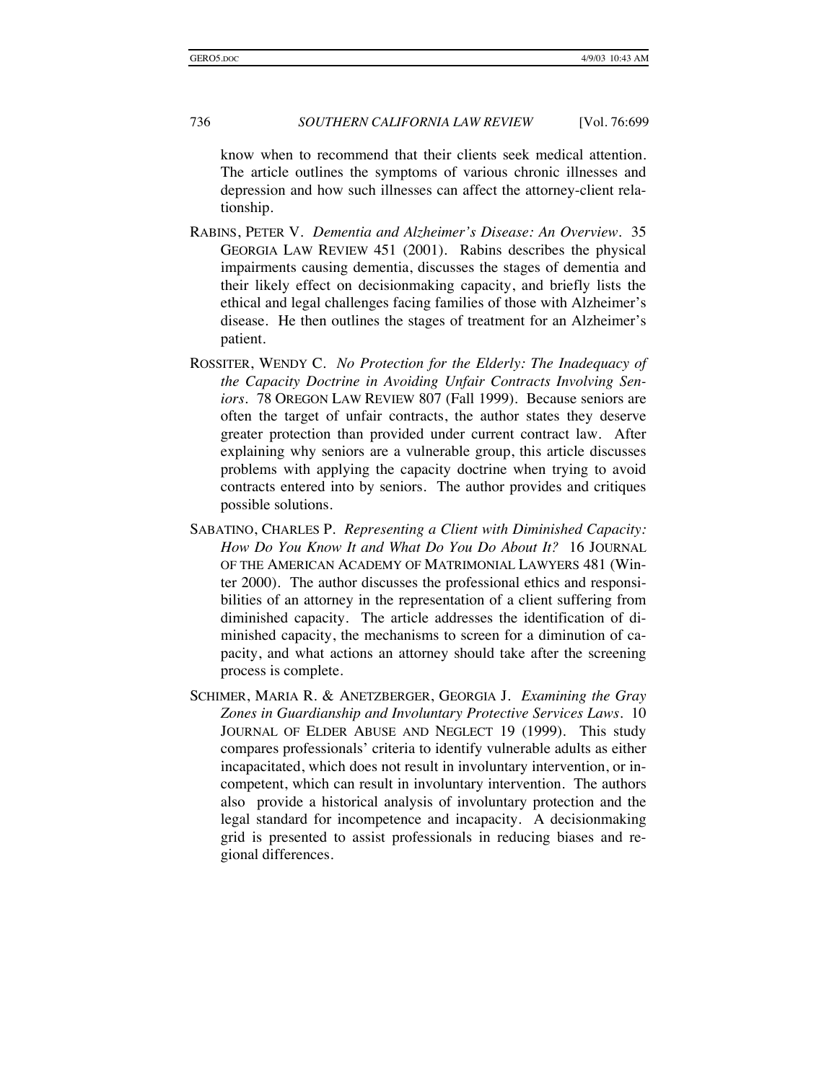know when to recommend that their clients seek medical attention. The article outlines the symptoms of various chronic illnesses and depression and how such illnesses can affect the attorney-client relationship.

- RABINS, PETER V. *Dementia and Alzheimer's Disease: An Overview*. 35 GEORGIA LAW REVIEW 451 (2001). Rabins describes the physical impairments causing dementia, discusses the stages of dementia and their likely effect on decisionmaking capacity, and briefly lists the ethical and legal challenges facing families of those with Alzheimer's disease. He then outlines the stages of treatment for an Alzheimer's patient.
- ROSSITER, WENDY C. *No Protection for the Elderly: The Inadequacy of the Capacity Doctrine in Avoiding Unfair Contracts Involving Seniors*. 78 OREGON LAW REVIEW 807 (Fall 1999). Because seniors are often the target of unfair contracts, the author states they deserve greater protection than provided under current contract law. After explaining why seniors are a vulnerable group, this article discusses problems with applying the capacity doctrine when trying to avoid contracts entered into by seniors. The author provides and critiques possible solutions.
- SABATINO, CHARLES P. *Representing a Client with Diminished Capacity: How Do You Know It and What Do You Do About It?* 16 JOURNAL OF THE AMERICAN ACADEMY OF MATRIMONIAL LAWYERS 481 (Winter 2000). The author discusses the professional ethics and responsibilities of an attorney in the representation of a client suffering from diminished capacity. The article addresses the identification of diminished capacity, the mechanisms to screen for a diminution of capacity, and what actions an attorney should take after the screening process is complete.
- SCHIMER, MARIA R. & ANETZBERGER, GEORGIA J. *Examining the Gray Zones in Guardianship and Involuntary Protective Services Laws*. 10 JOURNAL OF ELDER ABUSE AND NEGLECT 19 (1999). This study compares professionals' criteria to identify vulnerable adults as either incapacitated, which does not result in involuntary intervention, or incompetent, which can result in involuntary intervention. The authors also provide a historical analysis of involuntary protection and the legal standard for incompetence and incapacity. A decisionmaking grid is presented to assist professionals in reducing biases and regional differences.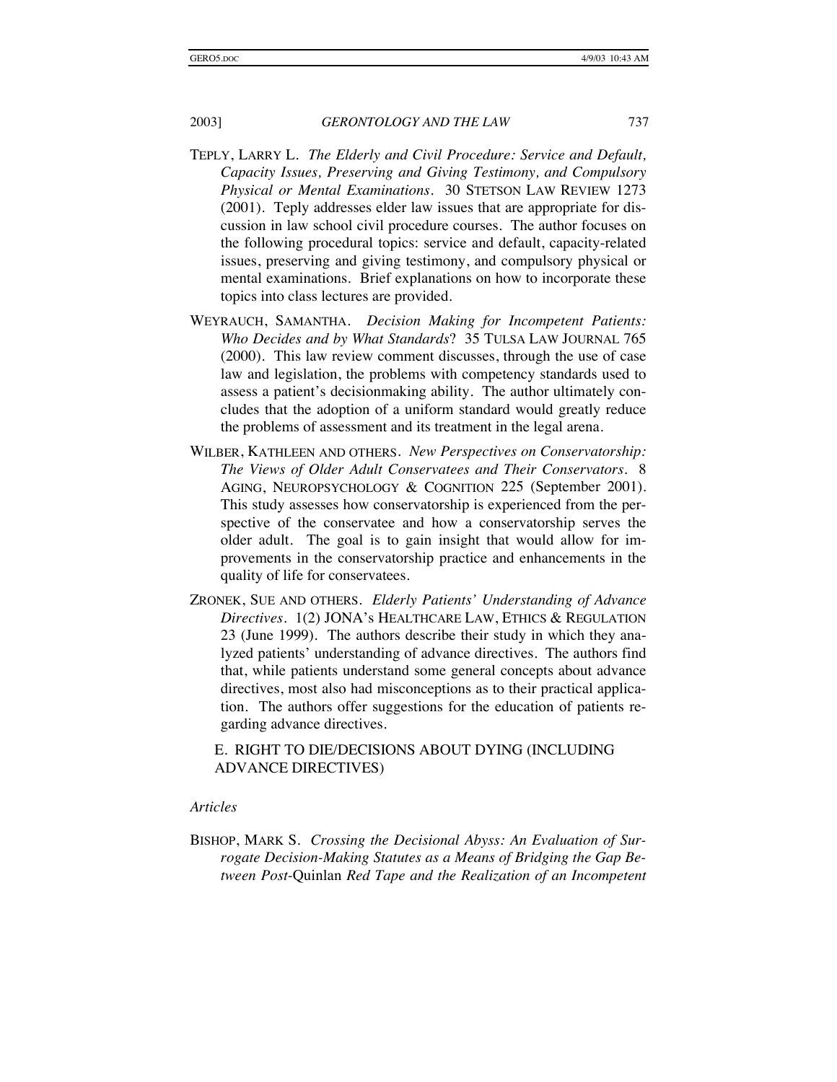- TEPLY, LARRY L. *The Elderly and Civil Procedure: Service and Default, Capacity Issues, Preserving and Giving Testimony, and Compulsory Physical or Mental Examinations*. 30 STETSON LAW REVIEW 1273 (2001). Teply addresses elder law issues that are appropriate for discussion in law school civil procedure courses. The author focuses on the following procedural topics: service and default, capacity-related issues, preserving and giving testimony, and compulsory physical or mental examinations. Brief explanations on how to incorporate these topics into class lectures are provided.
- WEYRAUCH, SAMANTHA. *Decision Making for Incompetent Patients: Who Decides and by What Standards*? 35 TULSA LAW JOURNAL 765 (2000). This law review comment discusses, through the use of case law and legislation, the problems with competency standards used to assess a patient's decisionmaking ability. The author ultimately concludes that the adoption of a uniform standard would greatly reduce the problems of assessment and its treatment in the legal arena.
- WILBER, KATHLEEN AND OTHERS. *New Perspectives on Conservatorship: The Views of Older Adult Conservatees and Their Conservators*. 8 AGING, NEUROPSYCHOLOGY & COGNITION 225 (September 2001). This study assesses how conservatorship is experienced from the perspective of the conservatee and how a conservatorship serves the older adult. The goal is to gain insight that would allow for improvements in the conservatorship practice and enhancements in the quality of life for conservatees.
- ZRONEK, SUE AND OTHERS. *Elderly Patients' Understanding of Advance Directives*. 1(2) JONA's HEALTHCARE LAW, ETHICS & REGULATION 23 (June 1999). The authors describe their study in which they analyzed patients' understanding of advance directives. The authors find that, while patients understand some general concepts about advance directives, most also had misconceptions as to their practical application. The authors offer suggestions for the education of patients regarding advance directives.

E. RIGHT TO DIE/DECISIONS ABOUT DYING (INCLUDING ADVANCE DIRECTIVES)

#### *Articles*

BISHOP, MARK S. *Crossing the Decisional Abyss: An Evaluation of Surrogate Decision-Making Statutes as a Means of Bridging the Gap Between Post-*Quinlan *Red Tape and the Realization of an Incompetent*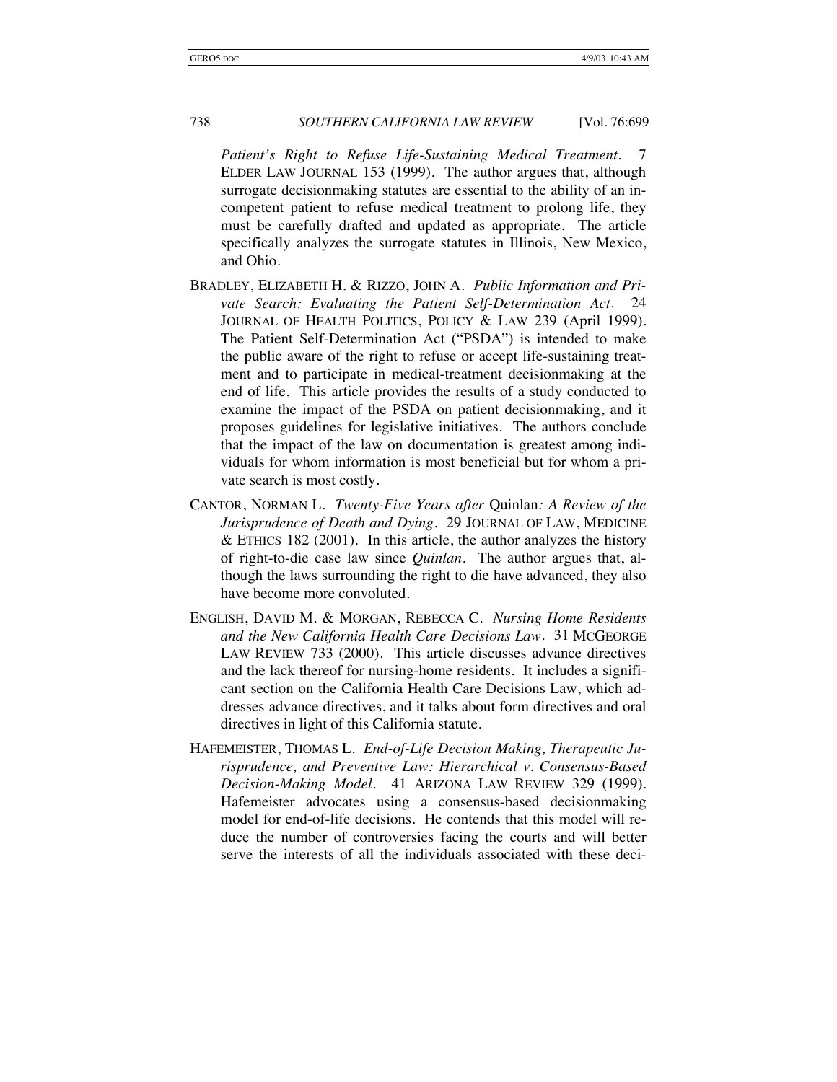*Patient's Right to Refuse Life-Sustaining Medical Treatment*. 7 ELDER LAW JOURNAL 153 (1999). The author argues that, although surrogate decisionmaking statutes are essential to the ability of an incompetent patient to refuse medical treatment to prolong life, they must be carefully drafted and updated as appropriate. The article specifically analyzes the surrogate statutes in Illinois, New Mexico, and Ohio.

- BRADLEY, ELIZABETH H. & RIZZO, JOHN A. *Public Information and Private Search: Evaluating the Patient Self-Determination Act*. 24 JOURNAL OF HEALTH POLITICS, POLICY & LAW 239 (April 1999). The Patient Self-Determination Act ("PSDA") is intended to make the public aware of the right to refuse or accept life-sustaining treatment and to participate in medical-treatment decisionmaking at the end of life. This article provides the results of a study conducted to examine the impact of the PSDA on patient decisionmaking, and it proposes guidelines for legislative initiatives. The authors conclude that the impact of the law on documentation is greatest among individuals for whom information is most beneficial but for whom a private search is most costly.
- CANTOR, NORMAN L. *Twenty-Five Years after* Quinlan*: A Review of the Jurisprudence of Death and Dying*. 29 JOURNAL OF LAW, MEDICINE  $&$  ETHICS 182 (2001). In this article, the author analyzes the history of right-to-die case law since *Quinlan*. The author argues that, although the laws surrounding the right to die have advanced, they also have become more convoluted.
- ENGLISH, DAVID M. & MORGAN, REBECCA C. *Nursing Home Residents and the New California Health Care Decisions Law*. 31 MCGEORGE LAW REVIEW 733 (2000). This article discusses advance directives and the lack thereof for nursing-home residents. It includes a significant section on the California Health Care Decisions Law, which addresses advance directives, and it talks about form directives and oral directives in light of this California statute.
- HAFEMEISTER, THOMAS L. *End-of-Life Decision Making, Therapeutic Jurisprudence, and Preventive Law: Hierarchical v. Consensus-Based Decision-Making Model*. 41 ARIZONA LAW REVIEW 329 (1999). Hafemeister advocates using a consensus-based decisionmaking model for end-of-life decisions. He contends that this model will reduce the number of controversies facing the courts and will better serve the interests of all the individuals associated with these deci-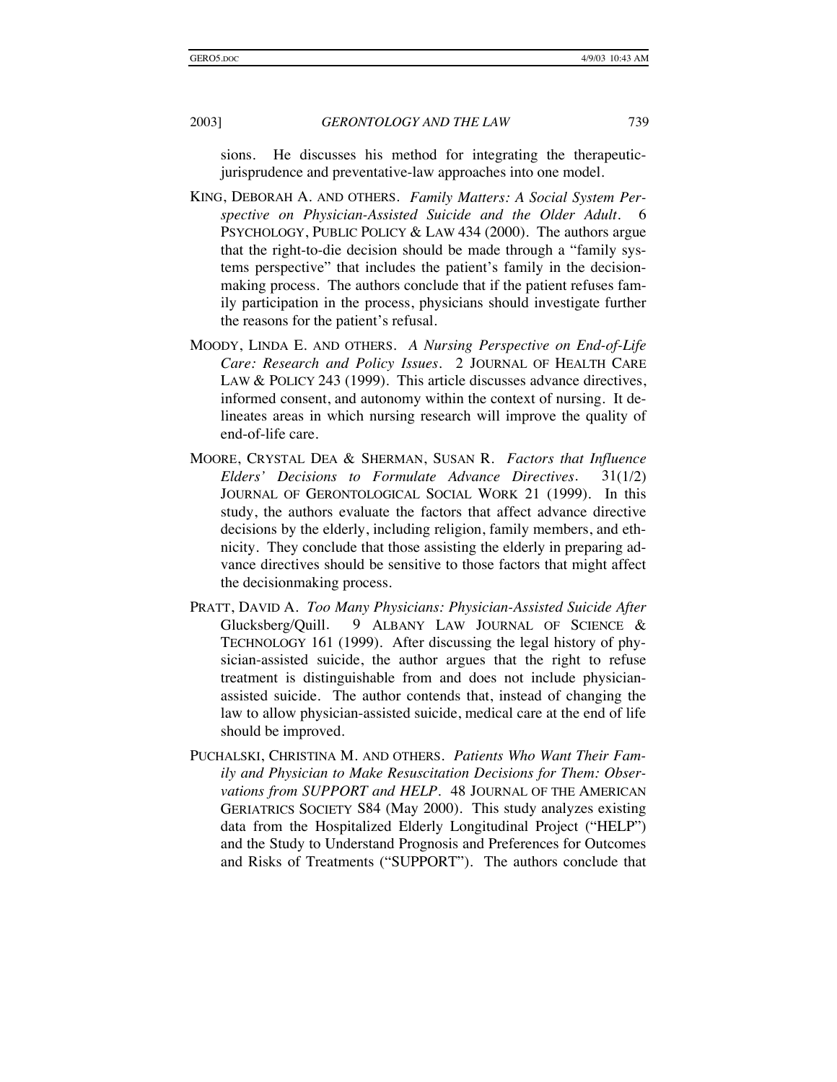sions. He discusses his method for integrating the therapeuticjurisprudence and preventative-law approaches into one model.

- KING, DEBORAH A. AND OTHERS. *Family Matters: A Social System Per*spective on Physician-Assisted Suicide and the Older Adult. PSYCHOLOGY, PUBLIC POLICY & LAW 434 (2000). The authors argue that the right-to-die decision should be made through a "family systems perspective" that includes the patient's family in the decisionmaking process. The authors conclude that if the patient refuses family participation in the process, physicians should investigate further the reasons for the patient's refusal.
- MOODY, LINDA E. AND OTHERS. *A Nursing Perspective on End-of-Life Care: Research and Policy Issues*. 2 JOURNAL OF HEALTH CARE LAW & POLICY 243 (1999). This article discusses advance directives, informed consent, and autonomy within the context of nursing. It delineates areas in which nursing research will improve the quality of end-of-life care.
- MOORE, CRYSTAL DEA & SHERMAN, SUSAN R. *Factors that Influence Elders' Decisions to Formulate Advance Directives*. 31(1/2) JOURNAL OF GERONTOLOGICAL SOCIAL WORK 21 (1999). In this study, the authors evaluate the factors that affect advance directive decisions by the elderly, including religion, family members, and ethnicity. They conclude that those assisting the elderly in preparing advance directives should be sensitive to those factors that might affect the decisionmaking process.
- PRATT, DAVID A. *Too Many Physicians: Physician-Assisted Suicide After*  Glucksberg*/*Quill. 9 ALBANY LAW JOURNAL OF SCIENCE & TECHNOLOGY 161 (1999). After discussing the legal history of physician-assisted suicide, the author argues that the right to refuse treatment is distinguishable from and does not include physicianassisted suicide. The author contends that, instead of changing the law to allow physician-assisted suicide, medical care at the end of life should be improved.
- PUCHALSKI, CHRISTINA M. AND OTHERS. *Patients Who Want Their Family and Physician to Make Resuscitation Decisions for Them: Observations from SUPPORT and HELP*. 48 JOURNAL OF THE AMERICAN GERIATRICS SOCIETY S84 (May 2000). This study analyzes existing data from the Hospitalized Elderly Longitudinal Project ("HELP") and the Study to Understand Prognosis and Preferences for Outcomes and Risks of Treatments ("SUPPORT"). The authors conclude that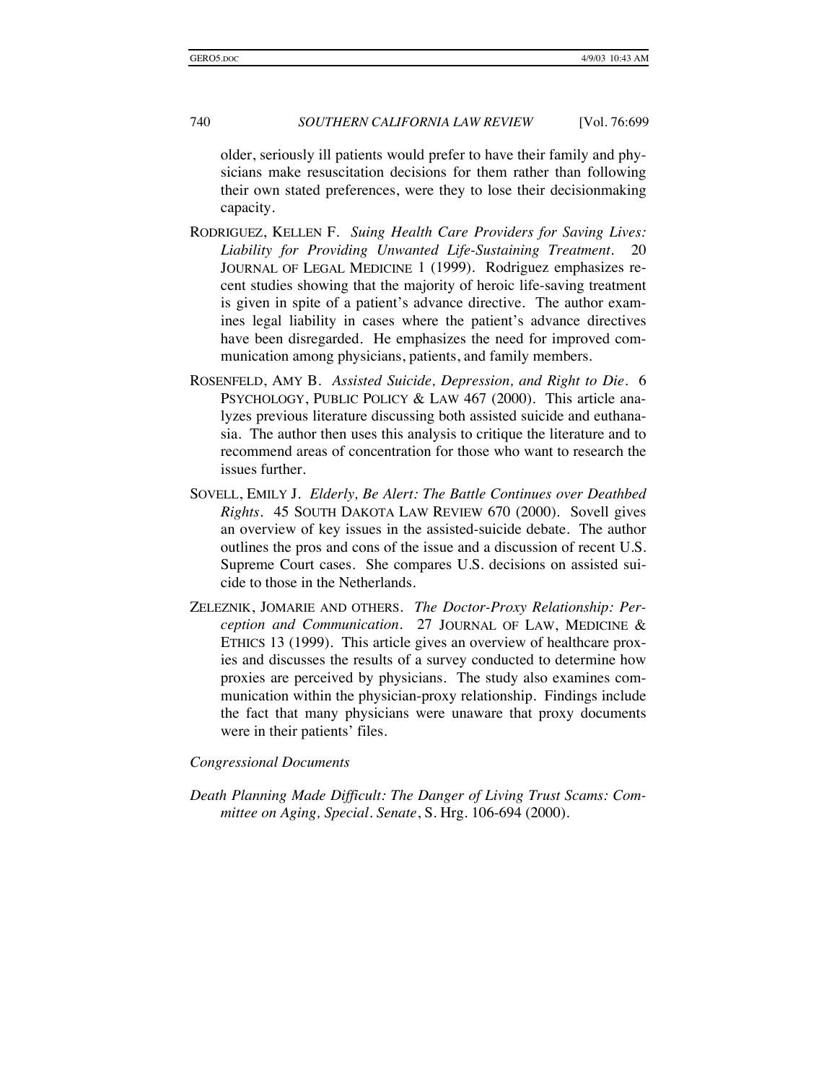older, seriously ill patients would prefer to have their family and physicians make resuscitation decisions for them rather than following their own stated preferences, were they to lose their decisionmaking capacity.

- RODRIGUEZ, KELLEN F. *Suing Health Care Providers for Saving Lives: Liability for Providing Unwanted Life-Sustaining Treatment*. 20 JOURNAL OF LEGAL MEDICINE 1 (1999). Rodriguez emphasizes recent studies showing that the majority of heroic life-saving treatment is given in spite of a patient's advance directive. The author examines legal liability in cases where the patient's advance directives have been disregarded. He emphasizes the need for improved communication among physicians, patients, and family members.
- ROSENFELD, AMY B. *Assisted Suicide, Depression, and Right to Die*. 6 PSYCHOLOGY, PUBLIC POLICY & LAW 467 (2000). This article analyzes previous literature discussing both assisted suicide and euthanasia. The author then uses this analysis to critique the literature and to recommend areas of concentration for those who want to research the issues further.
- SOVELL, EMILY J. *Elderly, Be Alert: The Battle Continues over Deathbed Rights*. 45 SOUTH DAKOTA LAW REVIEW 670 (2000). Sovell gives an overview of key issues in the assisted-suicide debate. The author outlines the pros and cons of the issue and a discussion of recent U.S. Supreme Court cases. She compares U.S. decisions on assisted suicide to those in the Netherlands.
- ZELEZNIK, JOMARIE AND OTHERS. *The Doctor-Proxy Relationship: Perception and Communication*. 27 JOURNAL OF LAW, MEDICINE & ETHICS 13 (1999). This article gives an overview of healthcare proxies and discusses the results of a survey conducted to determine how proxies are perceived by physicians. The study also examines communication within the physician-proxy relationship. Findings include the fact that many physicians were unaware that proxy documents were in their patients' files.

*Congressional Documents* 

*Death Planning Made Difficult: The Danger of Living Trust Scams: Committee on Aging, Special. Senate*, S. Hrg. 106-694 (2000).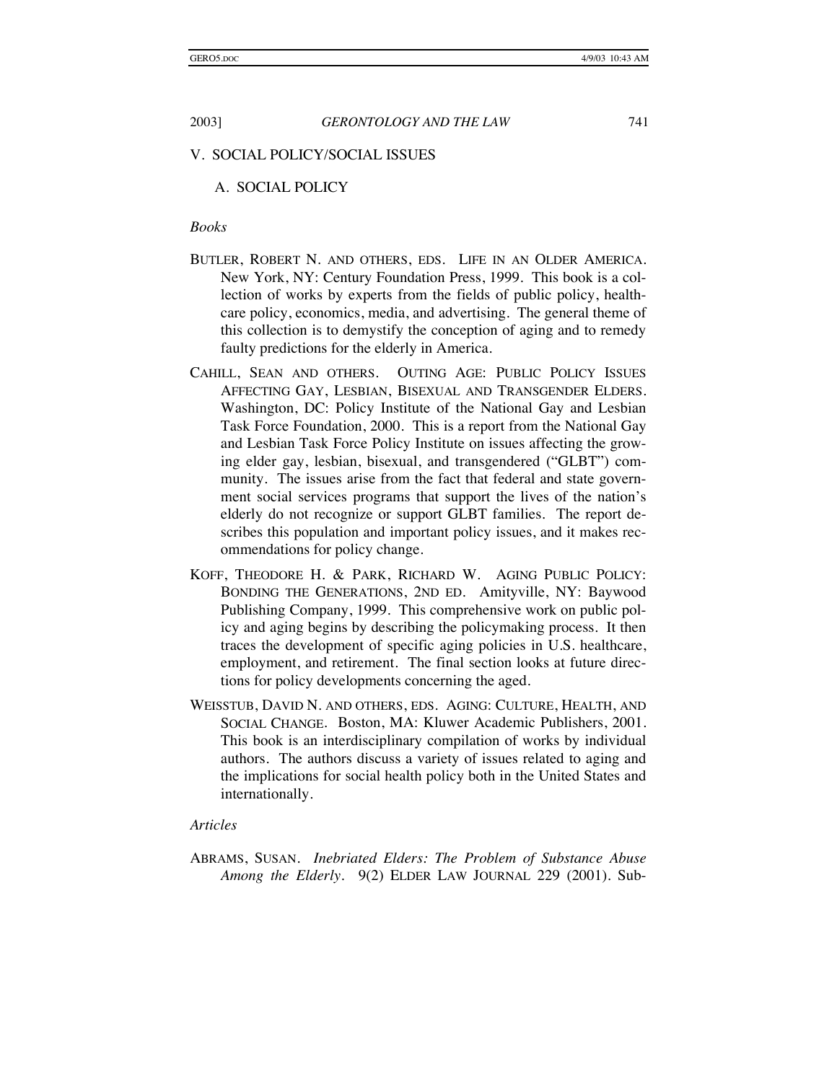#### V. SOCIAL POLICY/SOCIAL ISSUES

#### A. SOCIAL POLICY

#### *Books*

- BUTLER, ROBERT N. AND OTHERS, EDS. LIFE IN AN OLDER AMERICA. New York, NY: Century Foundation Press, 1999. This book is a collection of works by experts from the fields of public policy, healthcare policy, economics, media, and advertising. The general theme of this collection is to demystify the conception of aging and to remedy faulty predictions for the elderly in America.
- CAHILL, SEAN AND OTHERS. OUTING AGE: PUBLIC POLICY ISSUES AFFECTING GAY, LESBIAN, BISEXUAL AND TRANSGENDER ELDERS. Washington, DC: Policy Institute of the National Gay and Lesbian Task Force Foundation, 2000. This is a report from the National Gay and Lesbian Task Force Policy Institute on issues affecting the growing elder gay, lesbian, bisexual, and transgendered ("GLBT") community. The issues arise from the fact that federal and state government social services programs that support the lives of the nation's elderly do not recognize or support GLBT families. The report describes this population and important policy issues, and it makes recommendations for policy change.
- KOFF, THEODORE H. & PARK, RICHARD W. AGING PUBLIC POLICY: BONDING THE GENERATIONS, 2ND ED. Amityville, NY: Baywood Publishing Company, 1999. This comprehensive work on public policy and aging begins by describing the policymaking process. It then traces the development of specific aging policies in U.S. healthcare, employment, and retirement. The final section looks at future directions for policy developments concerning the aged.
- WEISSTUB, DAVID N. AND OTHERS, EDS. AGING: CULTURE, HEALTH, AND SOCIAL CHANGE. Boston, MA: Kluwer Academic Publishers, 2001. This book is an interdisciplinary compilation of works by individual authors. The authors discuss a variety of issues related to aging and the implications for social health policy both in the United States and internationally.

#### *Articles*

ABRAMS, SUSAN. *Inebriated Elders: The Problem of Substance Abuse Among the Elderly*. 9(2) ELDER LAW JOURNAL 229 (2001). Sub-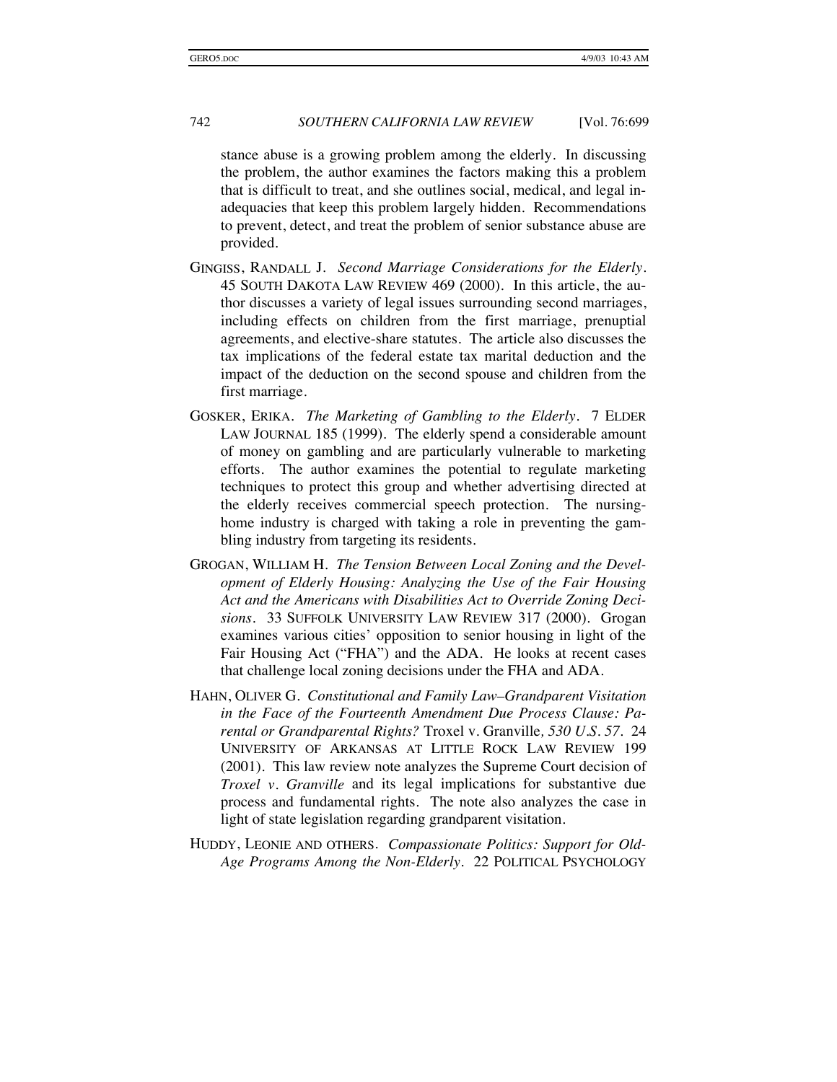stance abuse is a growing problem among the elderly. In discussing the problem, the author examines the factors making this a problem that is difficult to treat, and she outlines social, medical, and legal inadequacies that keep this problem largely hidden. Recommendations to prevent, detect, and treat the problem of senior substance abuse are provided.

- GINGISS, RANDALL J. *Second Marriage Considerations for the Elderly*. 45 SOUTH DAKOTA LAW REVIEW 469 (2000). In this article, the author discusses a variety of legal issues surrounding second marriages, including effects on children from the first marriage, prenuptial agreements, and elective-share statutes. The article also discusses the tax implications of the federal estate tax marital deduction and the impact of the deduction on the second spouse and children from the first marriage.
- GOSKER, ERIKA. *The Marketing of Gambling to the Elderly*. 7 ELDER LAW JOURNAL 185 (1999). The elderly spend a considerable amount of money on gambling and are particularly vulnerable to marketing efforts. The author examines the potential to regulate marketing techniques to protect this group and whether advertising directed at the elderly receives commercial speech protection. The nursinghome industry is charged with taking a role in preventing the gambling industry from targeting its residents.
- GROGAN, WILLIAM H. *The Tension Between Local Zoning and the Development of Elderly Housing: Analyzing the Use of the Fair Housing Act and the Americans with Disabilities Act to Override Zoning Decisions*. 33 SUFFOLK UNIVERSITY LAW REVIEW 317 (2000). Grogan examines various cities' opposition to senior housing in light of the Fair Housing Act ("FHA") and the ADA. He looks at recent cases that challenge local zoning decisions under the FHA and ADA.
- HAHN, OLIVER G. *Constitutional and Family Law–Grandparent Visitation in the Face of the Fourteenth Amendment Due Process Clause: Parental or Grandparental Rights?* Troxel v. Granville*, 530 U.S. 57.* 24 UNIVERSITY OF ARKANSAS AT LITTLE ROCK LAW REVIEW 199 (2001). This law review note analyzes the Supreme Court decision of *Troxel v. Granville* and its legal implications for substantive due process and fundamental rights. The note also analyzes the case in light of state legislation regarding grandparent visitation.
- HUDDY, LEONIE AND OTHERS. *Compassionate Politics: Support for Old-Age Programs Among the Non-Elderly*. 22 POLITICAL PSYCHOLOGY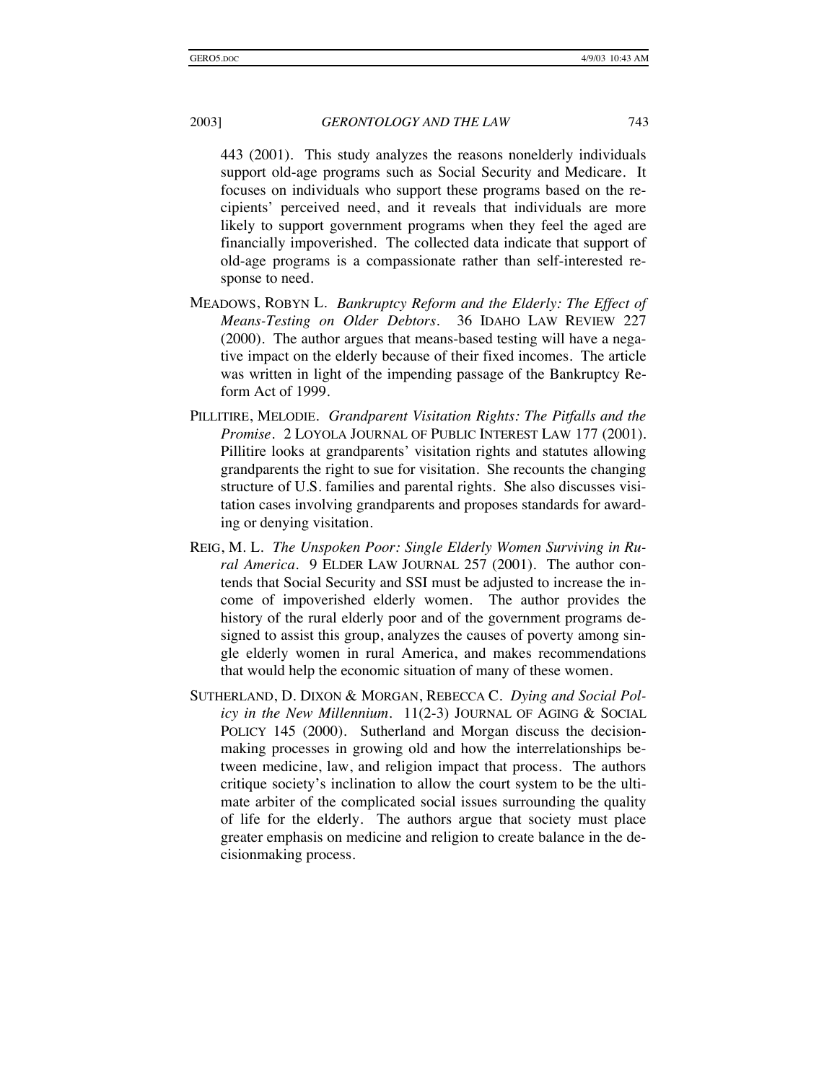443 (2001). This study analyzes the reasons nonelderly individuals support old-age programs such as Social Security and Medicare. It focuses on individuals who support these programs based on the recipients' perceived need, and it reveals that individuals are more likely to support government programs when they feel the aged are financially impoverished. The collected data indicate that support of old-age programs is a compassionate rather than self-interested response to need.

- MEADOWS, ROBYN L. *Bankruptcy Reform and the Elderly: The Effect of Means-Testing on Older Debtors*. 36 IDAHO LAW REVIEW 227 (2000). The author argues that means-based testing will have a negative impact on the elderly because of their fixed incomes. The article was written in light of the impending passage of the Bankruptcy Reform Act of 1999.
- PILLITIRE, MELODIE. *Grandparent Visitation Rights: The Pitfalls and the Promise*. 2 LOYOLA JOURNAL OF PUBLIC INTEREST LAW 177 (2001). Pillitire looks at grandparents' visitation rights and statutes allowing grandparents the right to sue for visitation. She recounts the changing structure of U.S. families and parental rights. She also discusses visitation cases involving grandparents and proposes standards for awarding or denying visitation.
- REIG, M. L. *The Unspoken Poor: Single Elderly Women Surviving in Rural America*. 9 ELDER LAW JOURNAL 257 (2001). The author contends that Social Security and SSI must be adjusted to increase the income of impoverished elderly women. The author provides the history of the rural elderly poor and of the government programs designed to assist this group, analyzes the causes of poverty among single elderly women in rural America, and makes recommendations that would help the economic situation of many of these women.
- SUTHERLAND, D. DIXON & MORGAN, REBECCA C. *Dying and Social Policy in the New Millennium*. 11(2-3) JOURNAL OF AGING & SOCIAL POLICY 145 (2000). Sutherland and Morgan discuss the decisionmaking processes in growing old and how the interrelationships between medicine, law, and religion impact that process. The authors critique society's inclination to allow the court system to be the ultimate arbiter of the complicated social issues surrounding the quality of life for the elderly. The authors argue that society must place greater emphasis on medicine and religion to create balance in the decisionmaking process.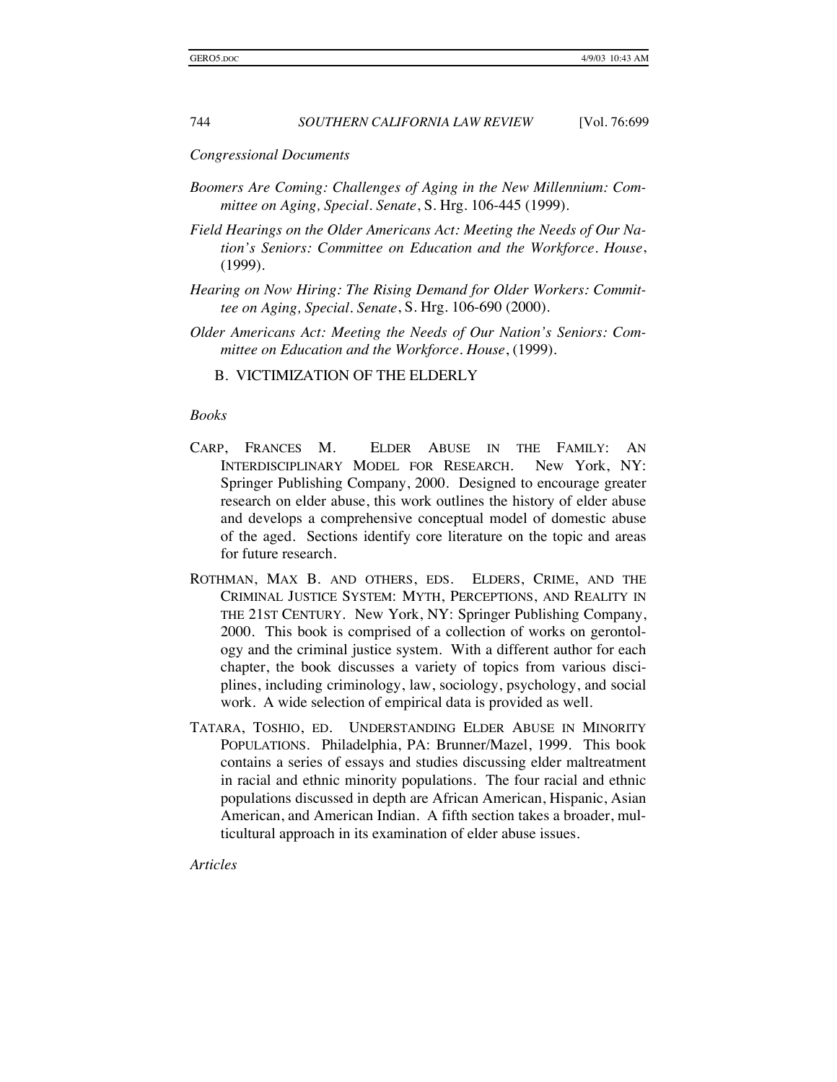*Congressional Documents* 

- *Boomers Are Coming: Challenges of Aging in the New Millennium: Committee on Aging, Special. Senate*, S. Hrg. 106-445 (1999).
- *Field Hearings on the Older Americans Act: Meeting the Needs of Our Nation's Seniors: Committee on Education and the Workforce. House*, (1999).
- *Hearing on Now Hiring: The Rising Demand for Older Workers: Committee on Aging, Special. Senate*, S. Hrg. 106-690 (2000).
- *Older Americans Act: Meeting the Needs of Our Nation's Seniors: Committee on Education and the Workforce. House*, (1999).

B. VICTIMIZATION OF THE ELDERLY

#### *Books*

- CARP, FRANCES M. ELDER ABUSE IN THE FAMILY: AN INTERDISCIPLINARY MODEL FOR RESEARCH. New York, NY: Springer Publishing Company, 2000. Designed to encourage greater research on elder abuse, this work outlines the history of elder abuse and develops a comprehensive conceptual model of domestic abuse of the aged. Sections identify core literature on the topic and areas for future research.
- ROTHMAN, MAX B. AND OTHERS, EDS. ELDERS, CRIME, AND THE CRIMINAL JUSTICE SYSTEM: MYTH, PERCEPTIONS, AND REALITY IN THE 21ST CENTURY. New York, NY: Springer Publishing Company, 2000. This book is comprised of a collection of works on gerontology and the criminal justice system. With a different author for each chapter, the book discusses a variety of topics from various disciplines, including criminology, law, sociology, psychology, and social work. A wide selection of empirical data is provided as well.
- TATARA, TOSHIO, ED. UNDERSTANDING ELDER ABUSE IN MINORITY POPULATIONS. Philadelphia, PA: Brunner/Mazel, 1999. This book contains a series of essays and studies discussing elder maltreatment in racial and ethnic minority populations. The four racial and ethnic populations discussed in depth are African American, Hispanic, Asian American, and American Indian. A fifth section takes a broader, multicultural approach in its examination of elder abuse issues.

*Articles*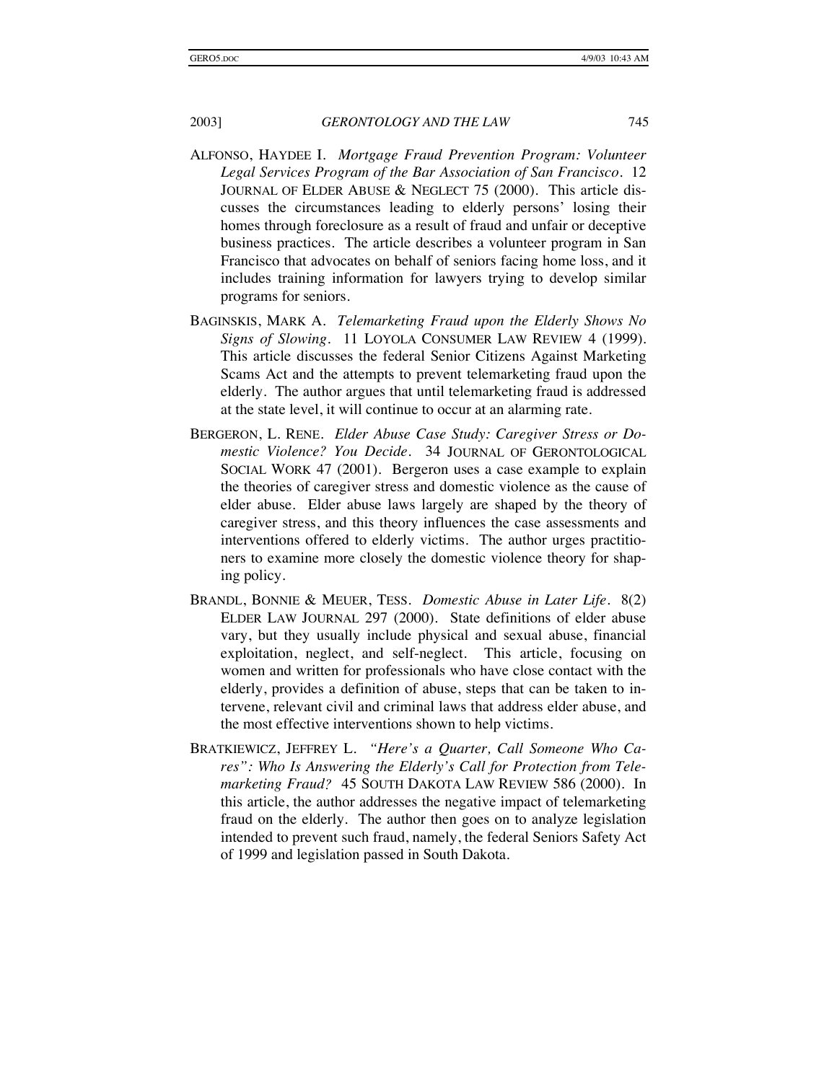- ALFONSO, HAYDEE I. *Mortgage Fraud Prevention Program: Volunteer Legal Services Program of the Bar Association of San Francisco*. 12 JOURNAL OF ELDER ABUSE & NEGLECT 75 (2000). This article discusses the circumstances leading to elderly persons' losing their homes through foreclosure as a result of fraud and unfair or deceptive business practices. The article describes a volunteer program in San Francisco that advocates on behalf of seniors facing home loss, and it includes training information for lawyers trying to develop similar programs for seniors.
- BAGINSKIS, MARK A. *Telemarketing Fraud upon the Elderly Shows No Signs of Slowing*. 11 LOYOLA CONSUMER LAW REVIEW 4 (1999). This article discusses the federal Senior Citizens Against Marketing Scams Act and the attempts to prevent telemarketing fraud upon the elderly. The author argues that until telemarketing fraud is addressed at the state level, it will continue to occur at an alarming rate.
- BERGERON, L. RENE*. Elder Abuse Case Study: Caregiver Stress or Domestic Violence? You Decide*. 34 JOURNAL OF GERONTOLOGICAL SOCIAL WORK 47 (2001). Bergeron uses a case example to explain the theories of caregiver stress and domestic violence as the cause of elder abuse. Elder abuse laws largely are shaped by the theory of caregiver stress, and this theory influences the case assessments and interventions offered to elderly victims. The author urges practitioners to examine more closely the domestic violence theory for shaping policy.
- BRANDL, BONNIE & MEUER, TESS. *Domestic Abuse in Later Life*. 8(2) ELDER LAW JOURNAL 297 (2000). State definitions of elder abuse vary, but they usually include physical and sexual abuse, financial exploitation, neglect, and self-neglect. This article, focusing on women and written for professionals who have close contact with the elderly, provides a definition of abuse, steps that can be taken to intervene, relevant civil and criminal laws that address elder abuse, and the most effective interventions shown to help victims.
- BRATKIEWICZ, JEFFREY L*. "Here's a Quarter, Call Someone Who Cares": Who Is Answering the Elderly's Call for Protection from Telemarketing Fraud?* 45 SOUTH DAKOTA LAW REVIEW 586 (2000). In this article, the author addresses the negative impact of telemarketing fraud on the elderly. The author then goes on to analyze legislation intended to prevent such fraud, namely, the federal Seniors Safety Act of 1999 and legislation passed in South Dakota.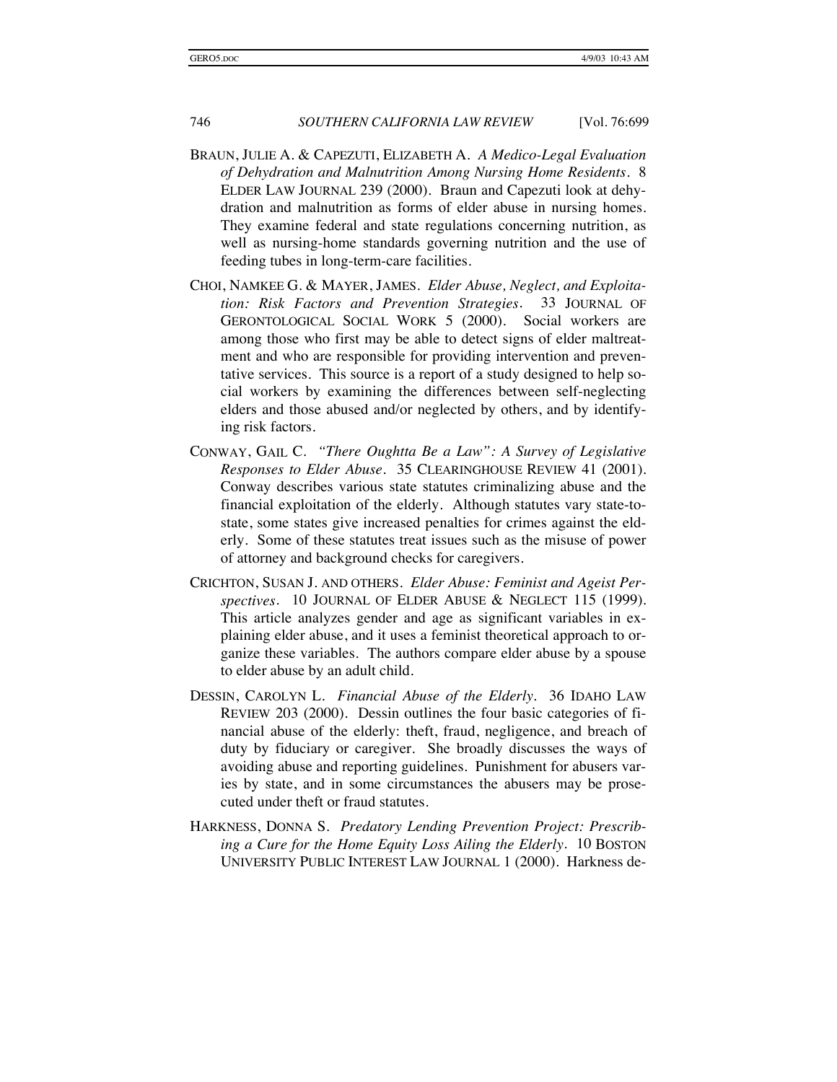- BRAUN, JULIE A. & CAPEZUTI, ELIZABETH A. *A Medico-Legal Evaluation of Dehydration and Malnutrition Among Nursing Home Residents*. 8 ELDER LAW JOURNAL 239 (2000). Braun and Capezuti look at dehydration and malnutrition as forms of elder abuse in nursing homes. They examine federal and state regulations concerning nutrition, as well as nursing-home standards governing nutrition and the use of feeding tubes in long-term-care facilities.
- CHOI, NAMKEE G. & MAYER, JAMES. *Elder Abuse, Neglect, and Exploitation: Risk Factors and Prevention Strategies*. 33 JOURNAL OF GERONTOLOGICAL SOCIAL WORK 5 (2000). Social workers are among those who first may be able to detect signs of elder maltreatment and who are responsible for providing intervention and preventative services. This source is a report of a study designed to help social workers by examining the differences between self-neglecting elders and those abused and/or neglected by others, and by identifying risk factors.
- CONWAY, GAIL C. *"There Oughtta Be a Law": A Survey of Legislative Responses to Elder Abuse*. 35 CLEARINGHOUSE REVIEW 41 (2001). Conway describes various state statutes criminalizing abuse and the financial exploitation of the elderly. Although statutes vary state-tostate, some states give increased penalties for crimes against the elderly. Some of these statutes treat issues such as the misuse of power of attorney and background checks for caregivers.
- CRICHTON, SUSAN J. AND OTHERS. *Elder Abuse: Feminist and Ageist Perspectives*. 10 JOURNAL OF ELDER ABUSE & NEGLECT 115 (1999). This article analyzes gender and age as significant variables in explaining elder abuse, and it uses a feminist theoretical approach to organize these variables. The authors compare elder abuse by a spouse to elder abuse by an adult child.
- DESSIN, CAROLYN L. *Financial Abuse of the Elderly*. 36 IDAHO LAW REVIEW 203 (2000). Dessin outlines the four basic categories of financial abuse of the elderly: theft, fraud, negligence, and breach of duty by fiduciary or caregiver. She broadly discusses the ways of avoiding abuse and reporting guidelines. Punishment for abusers varies by state, and in some circumstances the abusers may be prosecuted under theft or fraud statutes.
- HARKNESS, DONNA S. *Predatory Lending Prevention Project: Prescribing a Cure for the Home Equity Loss Ailing the Elderly*. 10 BOSTON UNIVERSITY PUBLIC INTEREST LAW JOURNAL 1 (2000). Harkness de-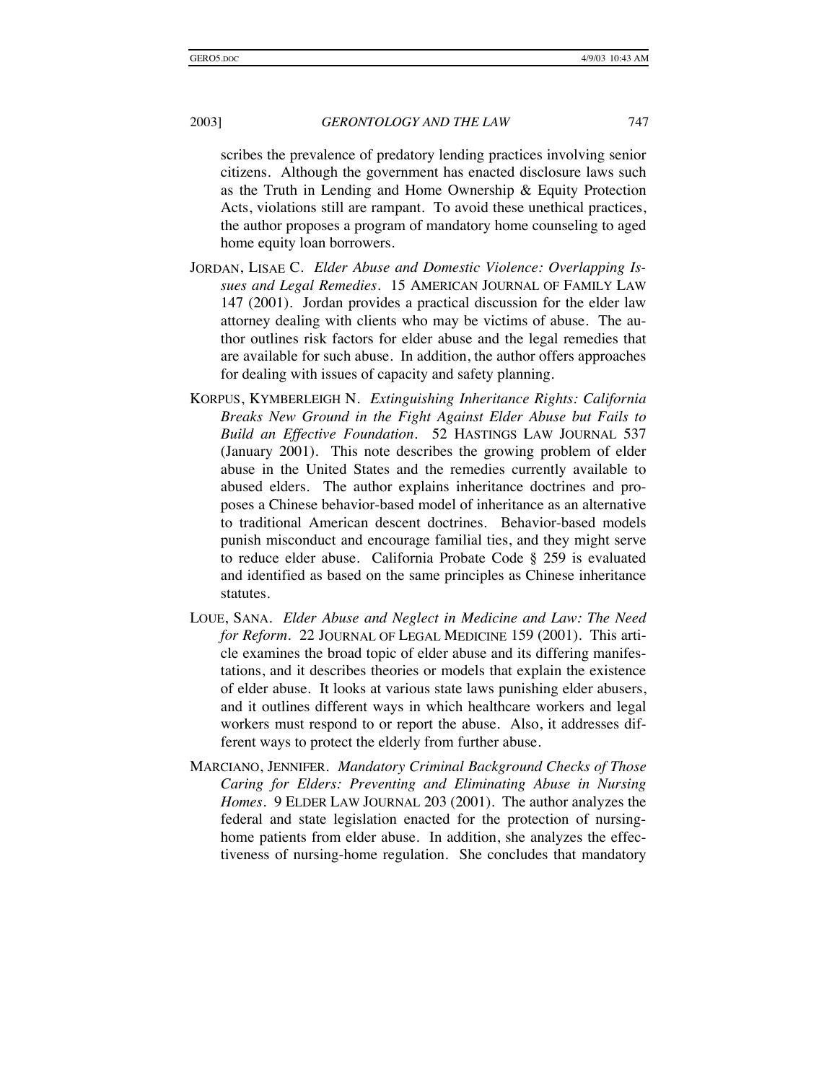scribes the prevalence of predatory lending practices involving senior citizens. Although the government has enacted disclosure laws such as the Truth in Lending and Home Ownership & Equity Protection Acts, violations still are rampant. To avoid these unethical practices, the author proposes a program of mandatory home counseling to aged home equity loan borrowers.

- JORDAN, LISAE C. *Elder Abuse and Domestic Violence: Overlapping Issues and Legal Remedies*. 15 AMERICAN JOURNAL OF FAMILY LAW 147 (2001). Jordan provides a practical discussion for the elder law attorney dealing with clients who may be victims of abuse. The author outlines risk factors for elder abuse and the legal remedies that are available for such abuse. In addition, the author offers approaches for dealing with issues of capacity and safety planning.
- KORPUS, KYMBERLEIGH N. *Extinguishing Inheritance Rights: California Breaks New Ground in the Fight Against Elder Abuse but Fails to Build an Effective Foundation*. 52 HASTINGS LAW JOURNAL 537 (January 2001). This note describes the growing problem of elder abuse in the United States and the remedies currently available to abused elders. The author explains inheritance doctrines and proposes a Chinese behavior-based model of inheritance as an alternative to traditional American descent doctrines. Behavior-based models punish misconduct and encourage familial ties, and they might serve to reduce elder abuse. California Probate Code § 259 is evaluated and identified as based on the same principles as Chinese inheritance statutes.
- LOUE, SANA. *Elder Abuse and Neglect in Medicine and Law: The Need for Reform*. 22 JOURNAL OF LEGAL MEDICINE 159 (2001). This article examines the broad topic of elder abuse and its differing manifestations, and it describes theories or models that explain the existence of elder abuse. It looks at various state laws punishing elder abusers, and it outlines different ways in which healthcare workers and legal workers must respond to or report the abuse. Also, it addresses different ways to protect the elderly from further abuse.
- MARCIANO, JENNIFER. *Mandatory Criminal Background Checks of Those Caring for Elders: Preventing and Eliminating Abuse in Nursing Homes*. 9 ELDER LAW JOURNAL 203 (2001). The author analyzes the federal and state legislation enacted for the protection of nursinghome patients from elder abuse. In addition, she analyzes the effectiveness of nursing-home regulation. She concludes that mandatory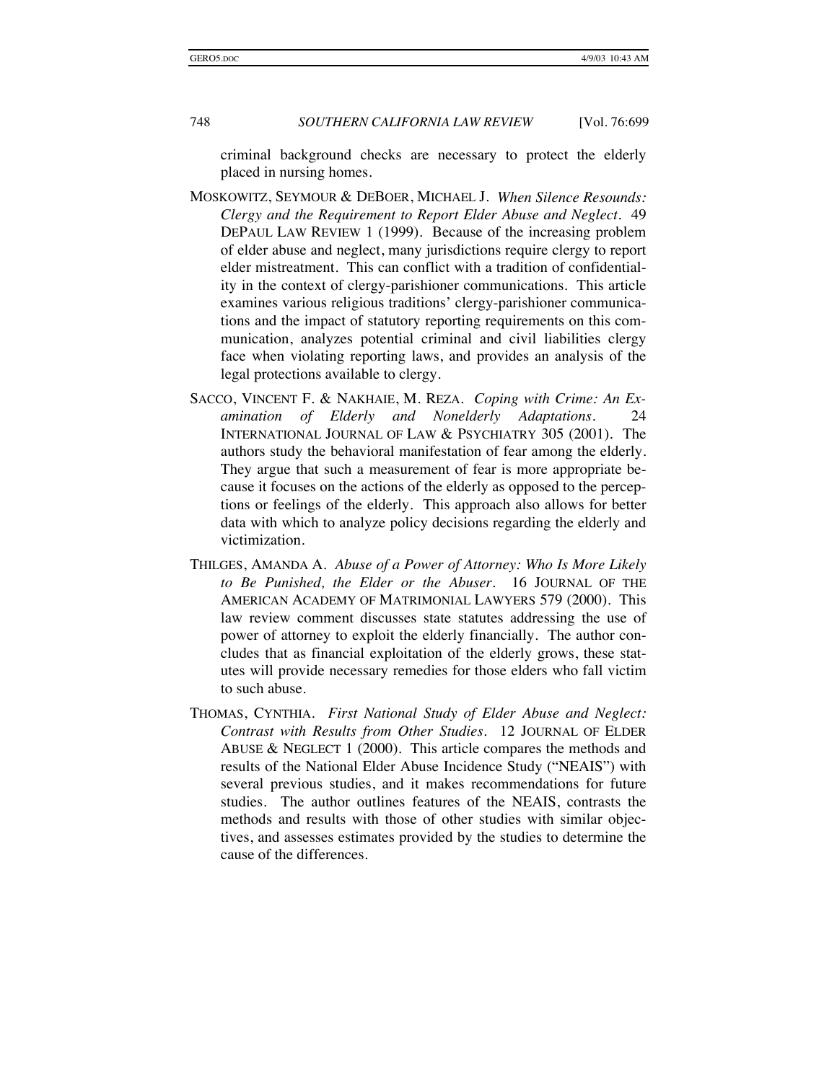criminal background checks are necessary to protect the elderly placed in nursing homes.

- MOSKOWITZ, SEYMOUR & DEBOER, MICHAEL J. *When Silence Resounds: Clergy and the Requirement to Report Elder Abuse and Neglect*. 49 DEPAUL LAW REVIEW 1 (1999). Because of the increasing problem of elder abuse and neglect, many jurisdictions require clergy to report elder mistreatment. This can conflict with a tradition of confidentiality in the context of clergy-parishioner communications. This article examines various religious traditions' clergy-parishioner communications and the impact of statutory reporting requirements on this communication, analyzes potential criminal and civil liabilities clergy face when violating reporting laws, and provides an analysis of the legal protections available to clergy.
- SACCO, VINCENT F. & NAKHAIE, M. REZA. *Coping with Crime: An Examination of Elderly and Nonelderly Adaptations*. 24 INTERNATIONAL JOURNAL OF LAW & PSYCHIATRY 305 (2001). The authors study the behavioral manifestation of fear among the elderly. They argue that such a measurement of fear is more appropriate because it focuses on the actions of the elderly as opposed to the perceptions or feelings of the elderly. This approach also allows for better data with which to analyze policy decisions regarding the elderly and victimization.
- THILGES, AMANDA A. *Abuse of a Power of Attorney: Who Is More Likely to Be Punished, the Elder or the Abuser*. 16 JOURNAL OF THE AMERICAN ACADEMY OF MATRIMONIAL LAWYERS 579 (2000). This law review comment discusses state statutes addressing the use of power of attorney to exploit the elderly financially. The author concludes that as financial exploitation of the elderly grows, these statutes will provide necessary remedies for those elders who fall victim to such abuse.
- THOMAS, CYNTHIA. *First National Study of Elder Abuse and Neglect: Contrast with Results from Other Studies*. 12 JOURNAL OF ELDER ABUSE & NEGLECT 1 (2000). This article compares the methods and results of the National Elder Abuse Incidence Study ("NEAIS") with several previous studies, and it makes recommendations for future studies. The author outlines features of the NEAIS, contrasts the methods and results with those of other studies with similar objectives, and assesses estimates provided by the studies to determine the cause of the differences.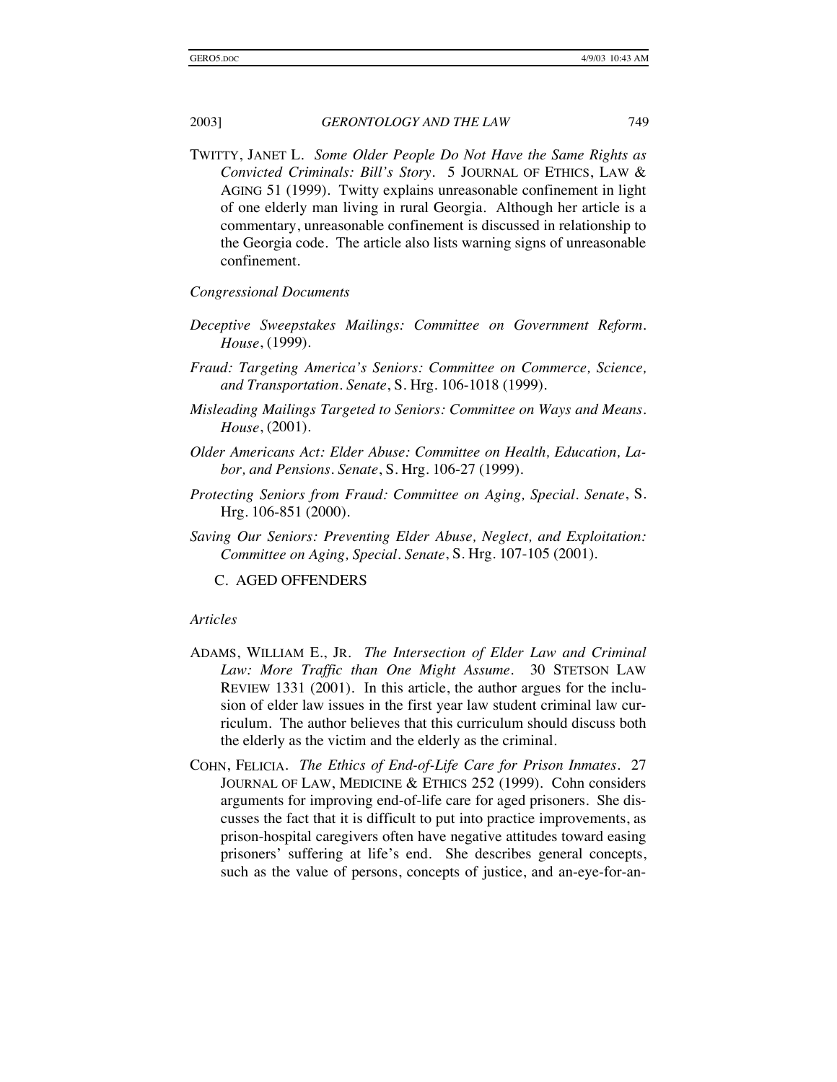TWITTY, JANET L. *Some Older People Do Not Have the Same Rights as Convicted Criminals: Bill's Story*. 5 JOURNAL OF ETHICS, LAW & AGING 51 (1999). Twitty explains unreasonable confinement in light of one elderly man living in rural Georgia. Although her article is a commentary, unreasonable confinement is discussed in relationship to the Georgia code. The article also lists warning signs of unreasonable confinement.

#### *Congressional Documents*

- *Deceptive Sweepstakes Mailings: Committee on Government Reform. House*, (1999).
- *Fraud: Targeting America's Seniors: Committee on Commerce, Science, and Transportation. Senate*, S. Hrg. 106-1018 (1999).
- *Misleading Mailings Targeted to Seniors: Committee on Ways and Means. House*, (2001).
- *Older Americans Act: Elder Abuse: Committee on Health, Education, Labor, and Pensions. Senate*, S. Hrg. 106-27 (1999).
- *Protecting Seniors from Fraud: Committee on Aging, Special. Senate*, S. Hrg. 106-851 (2000).
- *Saving Our Seniors: Preventing Elder Abuse, Neglect, and Exploitation: Committee on Aging, Special. Senate*, S. Hrg. 107-105 (2001).

C. AGED OFFENDERS

#### *Articles*

- ADAMS, WILLIAM E., JR. *The Intersection of Elder Law and Criminal Law: More Traffic than One Might Assume*. 30 STETSON LAW REVIEW 1331 (2001). In this article, the author argues for the inclusion of elder law issues in the first year law student criminal law curriculum. The author believes that this curriculum should discuss both the elderly as the victim and the elderly as the criminal.
- COHN, FELICIA. *The Ethics of End-of-Life Care for Prison Inmates.* 27 JOURNAL OF LAW, MEDICINE & ETHICS 252 (1999). Cohn considers arguments for improving end-of-life care for aged prisoners. She discusses the fact that it is difficult to put into practice improvements, as prison-hospital caregivers often have negative attitudes toward easing prisoners' suffering at life's end. She describes general concepts, such as the value of persons, concepts of justice, and an-eye-for-an-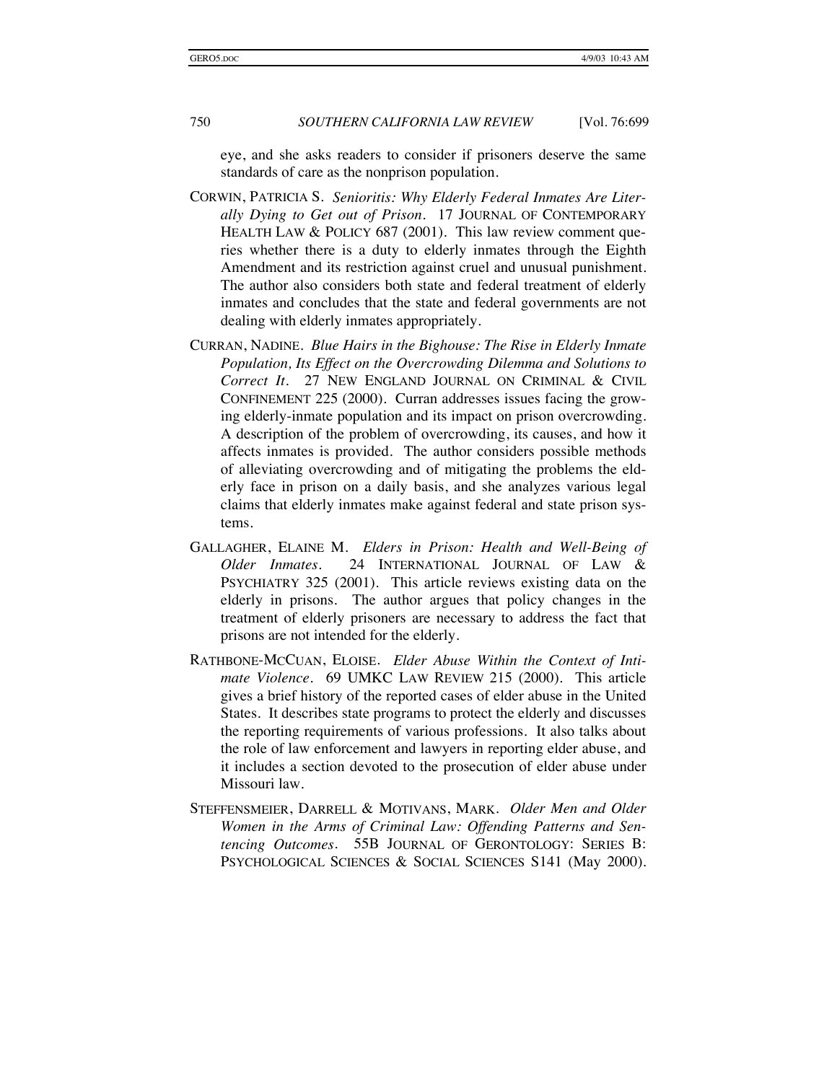eye, and she asks readers to consider if prisoners deserve the same standards of care as the nonprison population.

- CORWIN, PATRICIA S. *Senioritis: Why Elderly Federal Inmates Are Literally Dying to Get out of Prison.* 17 JOURNAL OF CONTEMPORARY HEALTH LAW & POLICY 687 (2001). This law review comment queries whether there is a duty to elderly inmates through the Eighth Amendment and its restriction against cruel and unusual punishment. The author also considers both state and federal treatment of elderly inmates and concludes that the state and federal governments are not dealing with elderly inmates appropriately.
- CURRAN, NADINE. *Blue Hairs in the Bighouse: The Rise in Elderly Inmate Population, Its Effect on the Overcrowding Dilemma and Solutions to Correct It.* 27 NEW ENGLAND JOURNAL ON CRIMINAL & CIVIL CONFINEMENT 225 (2000). Curran addresses issues facing the growing elderly-inmate population and its impact on prison overcrowding. A description of the problem of overcrowding, its causes, and how it affects inmates is provided. The author considers possible methods of alleviating overcrowding and of mitigating the problems the elderly face in prison on a daily basis, and she analyzes various legal claims that elderly inmates make against federal and state prison systems.
- GALLAGHER, ELAINE M. *Elders in Prison: Health and Well-Being of Older Inmates*. 24 INTERNATIONAL JOURNAL OF LAW & PSYCHIATRY 325 (2001). This article reviews existing data on the elderly in prisons. The author argues that policy changes in the treatment of elderly prisoners are necessary to address the fact that prisons are not intended for the elderly.
- RATHBONE-MCCUAN, ELOISE. *Elder Abuse Within the Context of Intimate Violence*. 69 UMKC LAW REVIEW 215 (2000). This article gives a brief history of the reported cases of elder abuse in the United States. It describes state programs to protect the elderly and discusses the reporting requirements of various professions. It also talks about the role of law enforcement and lawyers in reporting elder abuse, and it includes a section devoted to the prosecution of elder abuse under Missouri law.
- STEFFENSMEIER, DARRELL & MOTIVANS, MARK. *Older Men and Older Women in the Arms of Criminal Law: Offending Patterns and Sentencing Outcomes*. 55B JOURNAL OF GERONTOLOGY: SERIES B: PSYCHOLOGICAL SCIENCES & SOCIAL SCIENCES S141 (May 2000).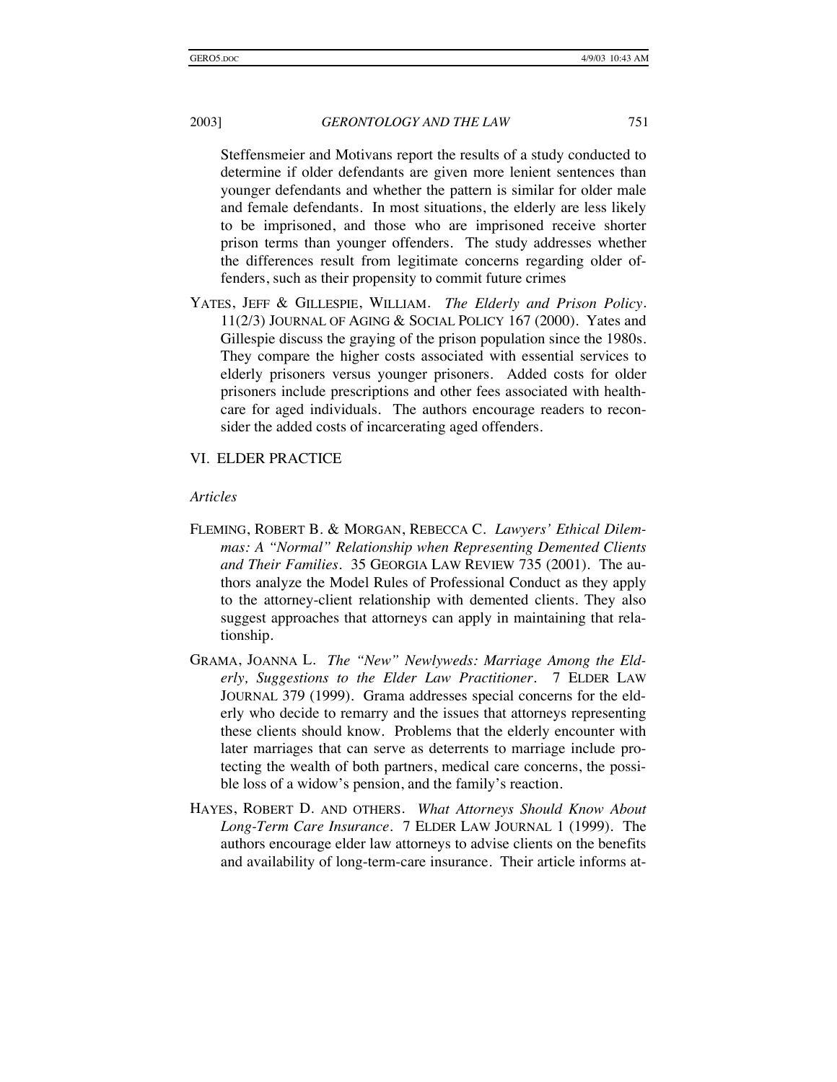Steffensmeier and Motivans report the results of a study conducted to determine if older defendants are given more lenient sentences than younger defendants and whether the pattern is similar for older male and female defendants. In most situations, the elderly are less likely to be imprisoned, and those who are imprisoned receive shorter prison terms than younger offenders. The study addresses whether the differences result from legitimate concerns regarding older offenders, such as their propensity to commit future crimes

YATES, JEFF & GILLESPIE, WILLIAM. *The Elderly and Prison Policy*. 11(2/3) JOURNAL OF AGING & SOCIAL POLICY 167 (2000). Yates and Gillespie discuss the graying of the prison population since the 1980s. They compare the higher costs associated with essential services to elderly prisoners versus younger prisoners. Added costs for older prisoners include prescriptions and other fees associated with healthcare for aged individuals. The authors encourage readers to reconsider the added costs of incarcerating aged offenders.

#### VI. ELDER PRACTICE

#### *Articles*

- FLEMING, ROBERT B. & MORGAN, REBECCA C. *Lawyers' Ethical Dilemmas: A "Normal" Relationship when Representing Demented Clients and Their Families*. 35 GEORGIA LAW REVIEW 735 (2001). The authors analyze the Model Rules of Professional Conduct as they apply to the attorney-client relationship with demented clients. They also suggest approaches that attorneys can apply in maintaining that relationship.
- GRAMA, JOANNA L. *The "New" Newlyweds: Marriage Among the Elderly, Suggestions to the Elder Law Practitioner*. 7 ELDER LAW JOURNAL 379 (1999). Grama addresses special concerns for the elderly who decide to remarry and the issues that attorneys representing these clients should know. Problems that the elderly encounter with later marriages that can serve as deterrents to marriage include protecting the wealth of both partners, medical care concerns, the possible loss of a widow's pension, and the family's reaction.
- HAYES, ROBERT D. AND OTHERS. *What Attorneys Should Know About Long-Term Care Insurance*. 7 ELDER LAW JOURNAL 1 (1999). The authors encourage elder law attorneys to advise clients on the benefits and availability of long-term-care insurance. Their article informs at-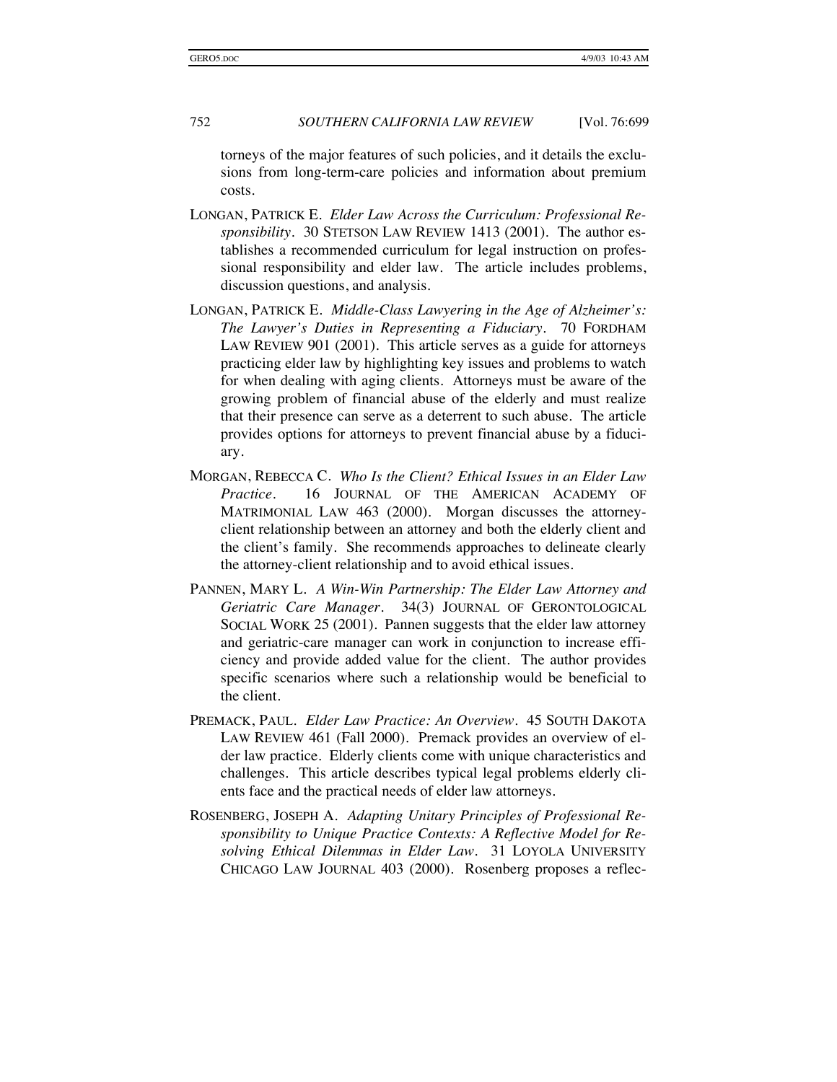torneys of the major features of such policies, and it details the exclusions from long-term-care policies and information about premium costs.

- LONGAN, PATRICK E. *Elder Law Across the Curriculum: Professional Responsibility*. 30 STETSON LAW REVIEW 1413 (2001). The author establishes a recommended curriculum for legal instruction on professional responsibility and elder law. The article includes problems, discussion questions, and analysis.
- LONGAN, PATRICK E. *Middle-Class Lawyering in the Age of Alzheimer's: The Lawyer's Duties in Representing a Fiduciary*. 70 FORDHAM LAW REVIEW 901 (2001). This article serves as a guide for attorneys practicing elder law by highlighting key issues and problems to watch for when dealing with aging clients. Attorneys must be aware of the growing problem of financial abuse of the elderly and must realize that their presence can serve as a deterrent to such abuse. The article provides options for attorneys to prevent financial abuse by a fiduciary.
- MORGAN, REBECCA C. *Who Is the Client? Ethical Issues in an Elder Law Practice*. 16 JOURNAL OF THE AMERICAN ACADEMY OF MATRIMONIAL LAW 463 (2000). Morgan discusses the attorneyclient relationship between an attorney and both the elderly client and the client's family. She recommends approaches to delineate clearly the attorney-client relationship and to avoid ethical issues.
- PANNEN, MARY L. *A Win-Win Partnership: The Elder Law Attorney and Geriatric Care Manager*. 34(3) JOURNAL OF GERONTOLOGICAL SOCIAL WORK 25 (2001). Pannen suggests that the elder law attorney and geriatric-care manager can work in conjunction to increase efficiency and provide added value for the client. The author provides specific scenarios where such a relationship would be beneficial to the client.
- PREMACK, PAUL. *Elder Law Practice: An Overview*. 45 SOUTH DAKOTA LAW REVIEW 461 (Fall 2000). Premack provides an overview of elder law practice. Elderly clients come with unique characteristics and challenges. This article describes typical legal problems elderly clients face and the practical needs of elder law attorneys.
- ROSENBERG, JOSEPH A. *Adapting Unitary Principles of Professional Responsibility to Unique Practice Contexts: A Reflective Model for Resolving Ethical Dilemmas in Elder Law*. 31 LOYOLA UNIVERSITY CHICAGO LAW JOURNAL 403 (2000). Rosenberg proposes a reflec-